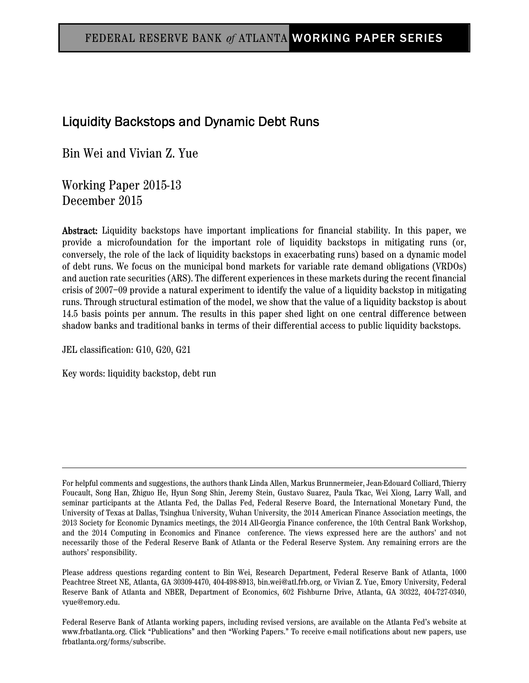# Liquidity Backstops and Dynamic Debt Runs

Bin Wei and Vivian Z. Yue

Working Paper 2015-13 December 2015

Abstract: Liquidity backstops have important implications for financial stability. In this paper, we provide a microfoundation for the important role of liquidity backstops in mitigating runs (or, conversely, the role of the lack of liquidity backstops in exacerbating runs) based on a dynamic model of debt runs. We focus on the municipal bond markets for variable rate demand obligations (VRDOs) and auction rate securities (ARS). The different experiences in these markets during the recent financial crisis of 2007–09 provide a natural experiment to identify the value of a liquidity backstop in mitigating runs. Through structural estimation of the model, we show that the value of a liquidity backstop is about 14.5 basis points per annum. The results in this paper shed light on one central difference between shadow banks and traditional banks in terms of their differential access to public liquidity backstops.

JEL classification: G10, G20, G21

Key words: liquidity backstop, debt run

Please address questions regarding content to Bin Wei, Research Department, Federal Reserve Bank of Atlanta, 1000 Peachtree Street NE, Atlanta, GA 30309-4470, 404-498-8913, bin.wei@atl.frb.org, or Vivian Z. Yue, Emory University, Federal Reserve Bank of Atlanta and NBER, Department of Economics, 602 Fishburne Drive, Atlanta, GA 30322, 404-727-0340, vyue@emory.edu.

Federal Reserve Bank of Atlanta working papers, including revised versions, are available on the Atlanta Fed's website at www.frbatlanta.org. Click "Publications" and then "Working Papers." To receive e-mail notifications about new papers, use frbatlanta.org/forms/subscribe.

For helpful comments and suggestions, the authors thank Linda Allen, Markus Brunnermeier, Jean-Edouard Colliard, Thierry Foucault, Song Han, Zhiguo He, Hyun Song Shin, Jeremy Stein, Gustavo Suarez, Paula Tkac, Wei Xiong, Larry Wall, and seminar participants at the Atlanta Fed, the Dallas Fed, Federal Reserve Board, the International Monetary Fund, the University of Texas at Dallas, Tsinghua University, Wuhan University, the 2014 American Finance Association meetings, the 2013 Society for Economic Dynamics meetings, the 2014 All-Georgia Finance conference, the 10th Central Bank Workshop, and the 2014 Computing in Economics and Finance conference. The views expressed here are the authors' and not necessarily those of the Federal Reserve Bank of Atlanta or the Federal Reserve System. Any remaining errors are the authors' responsibility.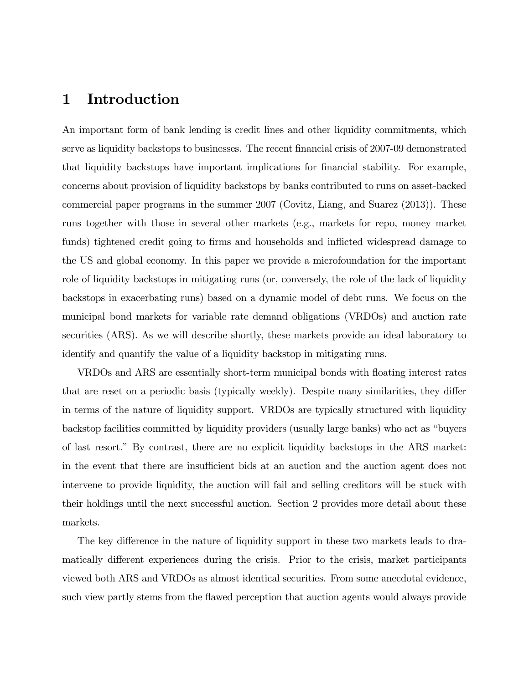## 1 Introduction

An important form of bank lending is credit lines and other liquidity commitments, which serve as liquidity backstops to businesses. The recent financial crisis of 2007-09 demonstrated that liquidity backstops have important implications for Önancial stability. For example, concerns about provision of liquidity backstops by banks contributed to runs on asset-backed commercial paper programs in the summer 2007 (Covitz, Liang, and Suarez (2013)). These runs together with those in several other markets (e.g., markets for repo, money market funds) tightened credit going to firms and households and inflicted widespread damage to the US and global economy. In this paper we provide a microfoundation for the important role of liquidity backstops in mitigating runs (or, conversely, the role of the lack of liquidity backstops in exacerbating runs) based on a dynamic model of debt runs. We focus on the municipal bond markets for variable rate demand obligations (VRDOs) and auction rate securities (ARS). As we will describe shortly, these markets provide an ideal laboratory to identify and quantify the value of a liquidity backstop in mitigating runs.

VRDOs and ARS are essentially short-term municipal bonds with floating interest rates that are reset on a periodic basis (typically weekly). Despite many similarities, they differ in terms of the nature of liquidity support. VRDOs are typically structured with liquidity backstop facilities committed by liquidity providers (usually large banks) who act as "buyers" of last resort.î By contrast, there are no explicit liquidity backstops in the ARS market: in the event that there are insufficient bids at an auction and the auction agent does not intervene to provide liquidity, the auction will fail and selling creditors will be stuck with their holdings until the next successful auction. Section 2 provides more detail about these markets.

The key difference in the nature of liquidity support in these two markets leads to dramatically different experiences during the crisis. Prior to the crisis, market participants viewed both ARS and VRDOs as almost identical securities. From some anecdotal evidence, such view partly stems from the áawed perception that auction agents would always provide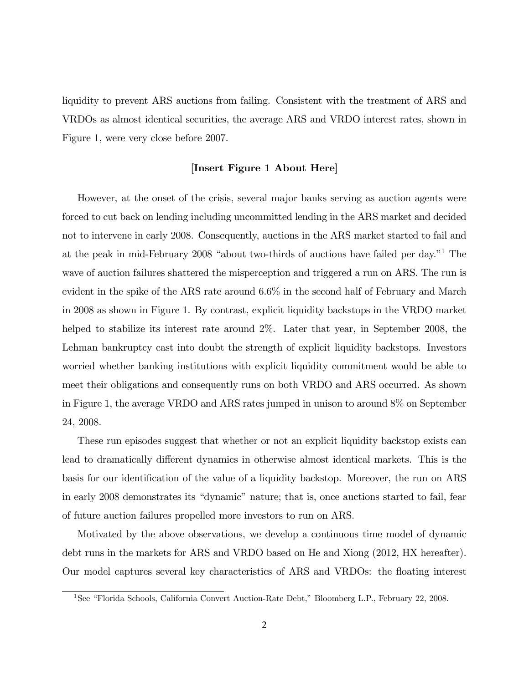liquidity to prevent ARS auctions from failing. Consistent with the treatment of ARS and VRDOs as almost identical securities, the average ARS and VRDO interest rates, shown in Figure 1, were very close before 2007.

#### [Insert Figure 1 About Here]

However, at the onset of the crisis, several major banks serving as auction agents were forced to cut back on lending including uncommitted lending in the ARS market and decided not to intervene in early 2008. Consequently, auctions in the ARS market started to fail and at the peak in mid-February 2008 "about two-thirds of auctions have failed per day."<sup>1</sup> The wave of auction failures shattered the misperception and triggered a run on ARS. The run is evident in the spike of the ARS rate around 6.6% in the second half of February and March in 2008 as shown in Figure 1. By contrast, explicit liquidity backstops in the VRDO market helped to stabilize its interest rate around 2\%. Later that year, in September 2008, the Lehman bankruptcy cast into doubt the strength of explicit liquidity backstops. Investors worried whether banking institutions with explicit liquidity commitment would be able to meet their obligations and consequently runs on both VRDO and ARS occurred. As shown in Figure 1, the average VRDO and ARS rates jumped in unison to around 8% on September 24, 2008.

These run episodes suggest that whether or not an explicit liquidity backstop exists can lead to dramatically different dynamics in otherwise almost identical markets. This is the basis for our identification of the value of a liquidity backstop. Moreover, the run on ARS in early 2008 demonstrates its "dynamic" nature; that is, once auctions started to fail, fear of future auction failures propelled more investors to run on ARS.

Motivated by the above observations, we develop a continuous time model of dynamic debt runs in the markets for ARS and VRDO based on He and Xiong (2012, HX hereafter). Our model captures several key characteristics of ARS and VRDOs: the floating interest

<sup>&</sup>lt;sup>1</sup>See "Florida Schools, California Convert Auction-Rate Debt," Bloomberg L.P., February 22, 2008.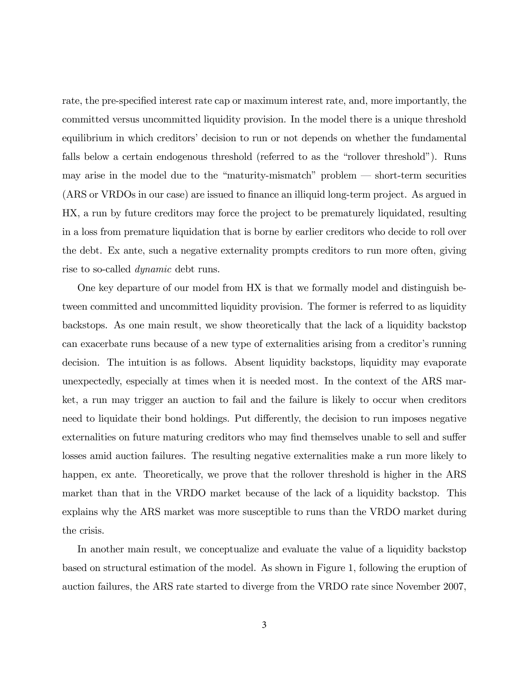rate, the pre-specified interest rate cap or maximum interest rate, and, more importantly, the committed versus uncommitted liquidity provision. In the model there is a unique threshold equilibrium in which creditors' decision to run or not depends on whether the fundamental falls below a certain endogenous threshold (referred to as the "rollover threshold"). Runs may arise in the model due to the "maturity-mismatch" problem  $-$  short-term securities (ARS or VRDOs in our case) are issued to Önance an illiquid long-term project. As argued in HX, a run by future creditors may force the project to be prematurely liquidated, resulting in a loss from premature liquidation that is borne by earlier creditors who decide to roll over the debt. Ex ante, such a negative externality prompts creditors to run more often, giving rise to so-called dynamic debt runs.

One key departure of our model from HX is that we formally model and distinguish between committed and uncommitted liquidity provision. The former is referred to as liquidity backstops. As one main result, we show theoretically that the lack of a liquidity backstop can exacerbate runs because of a new type of externalities arising from a creditor's running decision. The intuition is as follows. Absent liquidity backstops, liquidity may evaporate unexpectedly, especially at times when it is needed most. In the context of the ARS market, a run may trigger an auction to fail and the failure is likely to occur when creditors need to liquidate their bond holdings. Put differently, the decision to run imposes negative externalities on future maturing creditors who may find themselves unable to sell and suffer losses amid auction failures. The resulting negative externalities make a run more likely to happen, ex ante. Theoretically, we prove that the rollover threshold is higher in the ARS market than that in the VRDO market because of the lack of a liquidity backstop. This explains why the ARS market was more susceptible to runs than the VRDO market during the crisis.

In another main result, we conceptualize and evaluate the value of a liquidity backstop based on structural estimation of the model. As shown in Figure 1, following the eruption of auction failures, the ARS rate started to diverge from the VRDO rate since November 2007,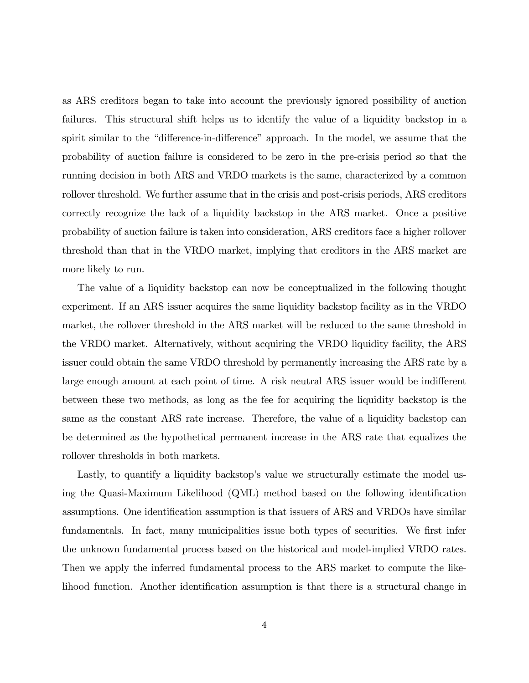as ARS creditors began to take into account the previously ignored possibility of auction failures. This structural shift helps us to identify the value of a liquidity backstop in a spirit similar to the "difference-in-difference" approach. In the model, we assume that the probability of auction failure is considered to be zero in the pre-crisis period so that the running decision in both ARS and VRDO markets is the same, characterized by a common rollover threshold. We further assume that in the crisis and post-crisis periods, ARS creditors correctly recognize the lack of a liquidity backstop in the ARS market. Once a positive probability of auction failure is taken into consideration, ARS creditors face a higher rollover threshold than that in the VRDO market, implying that creditors in the ARS market are more likely to run.

The value of a liquidity backstop can now be conceptualized in the following thought experiment. If an ARS issuer acquires the same liquidity backstop facility as in the VRDO market, the rollover threshold in the ARS market will be reduced to the same threshold in the VRDO market. Alternatively, without acquiring the VRDO liquidity facility, the ARS issuer could obtain the same VRDO threshold by permanently increasing the ARS rate by a large enough amount at each point of time. A risk neutral ARS issuer would be indifferent between these two methods, as long as the fee for acquiring the liquidity backstop is the same as the constant ARS rate increase. Therefore, the value of a liquidity backstop can be determined as the hypothetical permanent increase in the ARS rate that equalizes the rollover thresholds in both markets.

Lastly, to quantify a liquidity backstop's value we structurally estimate the model using the Quasi-Maximum Likelihood (QML) method based on the following identification assumptions. One identification assumption is that issuers of ARS and VRDOs have similar fundamentals. In fact, many municipalities issue both types of securities. We first infer the unknown fundamental process based on the historical and model-implied VRDO rates. Then we apply the inferred fundamental process to the ARS market to compute the likelihood function. Another identification assumption is that there is a structural change in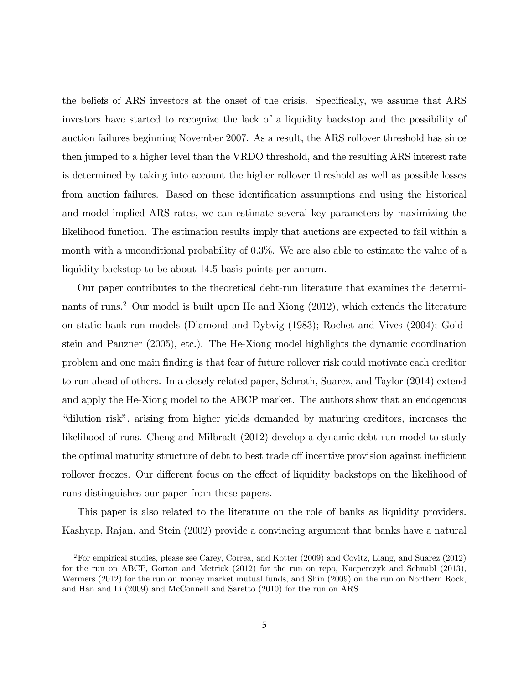the beliefs of ARS investors at the onset of the crisis. Specifically, we assume that ARS investors have started to recognize the lack of a liquidity backstop and the possibility of auction failures beginning November 2007. As a result, the ARS rollover threshold has since then jumped to a higher level than the VRDO threshold, and the resulting ARS interest rate is determined by taking into account the higher rollover threshold as well as possible losses from auction failures. Based on these identification assumptions and using the historical and model-implied ARS rates, we can estimate several key parameters by maximizing the likelihood function. The estimation results imply that auctions are expected to fail within a month with a unconditional probability of 0.3%. We are also able to estimate the value of a liquidity backstop to be about 14.5 basis points per annum.

Our paper contributes to the theoretical debt-run literature that examines the determinants of runs.<sup>2</sup> Our model is built upon He and Xiong (2012), which extends the literature on static bank-run models (Diamond and Dybvig (1983); Rochet and Vives (2004); Goldstein and Pauzner (2005), etc.). The He-Xiong model highlights the dynamic coordination problem and one main Önding is that fear of future rollover risk could motivate each creditor to run ahead of others. In a closely related paper, Schroth, Suarez, and Taylor (2014) extend and apply the He-Xiong model to the ABCP market. The authors show that an endogenous ìdilution riskî, arising from higher yields demanded by maturing creditors, increases the likelihood of runs. Cheng and Milbradt (2012) develop a dynamic debt run model to study the optimal maturity structure of debt to best trade off incentive provision against inefficient rollover freezes. Our different focus on the effect of liquidity backstops on the likelihood of runs distinguishes our paper from these papers.

This paper is also related to the literature on the role of banks as liquidity providers. Kashyap, Rajan, and Stein (2002) provide a convincing argument that banks have a natural

<sup>2</sup>For empirical studies, please see Carey, Correa, and Kotter (2009) and Covitz, Liang, and Suarez (2012) for the run on ABCP, Gorton and Metrick (2012) for the run on repo, Kacperczyk and Schnabl (2013), Wermers (2012) for the run on money market mutual funds, and Shin (2009) on the run on Northern Rock, and Han and Li (2009) and McConnell and Saretto (2010) for the run on ARS.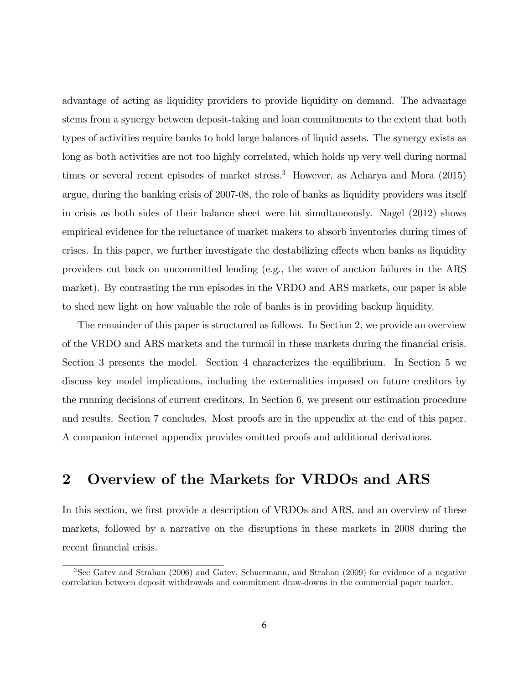advantage of acting as liquidity providers to provide liquidity on demand. The advantage stems from a synergy between deposit-taking and loan commitments to the extent that both types of activities require banks to hold large balances of liquid assets. The synergy exists as long as both activities are not too highly correlated, which holds up very well during normal times or several recent episodes of market stress.<sup>3</sup> However, as Acharya and Mora (2015) argue, during the banking crisis of 2007-08, the role of banks as liquidity providers was itself in crisis as both sides of their balance sheet were hit simultaneously. Nagel (2012) shows empirical evidence for the reluctance of market makers to absorb inventories during times of crises. In this paper, we further investigate the destabilizing effects when banks as liquidity providers cut back on uncommitted lending (e.g., the wave of auction failures in the ARS market). By contrasting the run episodes in the VRDO and ARS markets, our paper is able to shed new light on how valuable the role of banks is in providing backup liquidity.

The remainder of this paper is structured as follows. In Section 2, we provide an overview of the VRDO and ARS markets and the turmoil in these markets during the Önancial crisis. Section 3 presents the model. Section 4 characterizes the equilibrium. In Section 5 we discuss key model implications, including the externalities imposed on future creditors by the running decisions of current creditors. In Section 6, we present our estimation procedure and results. Section 7 concludes. Most proofs are in the appendix at the end of this paper. A companion internet appendix provides omitted proofs and additional derivations.

## 2 Overview of the Markets for VRDOs and ARS

In this section, we first provide a description of VRDOs and ARS, and an overview of these markets, followed by a narrative on the disruptions in these markets in 2008 during the recent financial crisis.

<sup>3</sup>See Gatev and Strahan (2006) and Gatev, Schuermann, and Strahan (2009) for evidence of a negative correlation between deposit withdrawals and commitment draw-downs in the commercial paper market.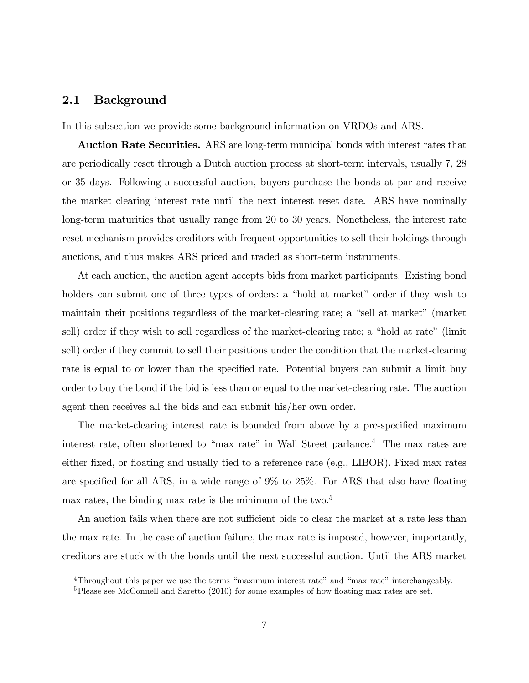## 2.1 Background

In this subsection we provide some background information on VRDOs and ARS.

Auction Rate Securities. ARS are long-term municipal bonds with interest rates that are periodically reset through a Dutch auction process at short-term intervals, usually 7, 28 or 35 days. Following a successful auction, buyers purchase the bonds at par and receive the market clearing interest rate until the next interest reset date. ARS have nominally long-term maturities that usually range from 20 to 30 years. Nonetheless, the interest rate reset mechanism provides creditors with frequent opportunities to sell their holdings through auctions, and thus makes ARS priced and traded as short-term instruments.

At each auction, the auction agent accepts bids from market participants. Existing bond holders can submit one of three types of orders: a "hold at market" order if they wish to maintain their positions regardless of the market-clearing rate; a "sell at market" (market sell) order if they wish to sell regardless of the market-clearing rate; a "hold at rate" (limit sell) order if they commit to sell their positions under the condition that the market-clearing rate is equal to or lower than the specified rate. Potential buyers can submit a limit buy order to buy the bond if the bid is less than or equal to the market-clearing rate. The auction agent then receives all the bids and can submit his/her own order.

The market-clearing interest rate is bounded from above by a pre-specified maximum interest rate, often shortened to "max rate" in Wall Street parlance.<sup>4</sup> The max rates are either fixed, or floating and usually tied to a reference rate (e.g., LIBOR). Fixed max rates are specified for all ARS, in a wide range of  $9\%$  to  $25\%$ . For ARS that also have floating max rates, the binding max rate is the minimum of the two.<sup>5</sup>

An auction fails when there are not sufficient bids to clear the market at a rate less than the max rate. In the case of auction failure, the max rate is imposed, however, importantly, creditors are stuck with the bonds until the next successful auction. Until the ARS market

<sup>&</sup>lt;sup>4</sup>Throughout this paper we use the terms "maximum interest rate" and "max rate" interchangeably.

<sup>&</sup>lt;sup>5</sup>Please see McConnell and Saretto  $(2010)$  for some examples of how floating max rates are set.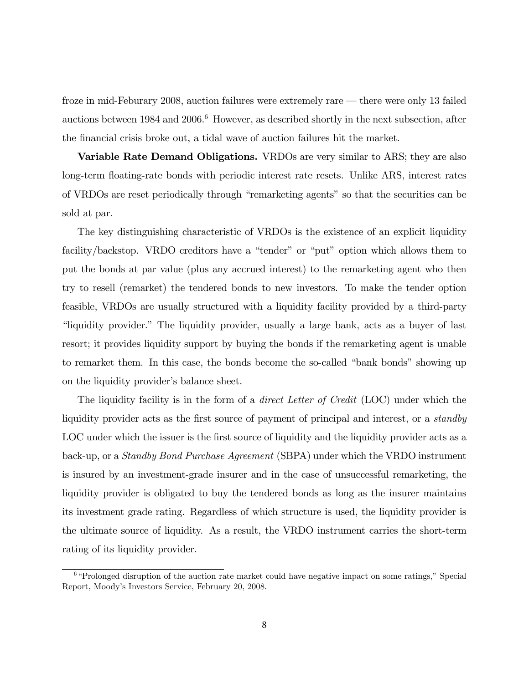froze in mid-Feburary 2008, auction failures were extremely rare  $-$  there were only 13 failed auctions between  $1984$  and  $2006<sup>6</sup>$  However, as described shortly in the next subsection, after the Önancial crisis broke out, a tidal wave of auction failures hit the market.

Variable Rate Demand Obligations. VRDOs are very similar to ARS; they are also long-term floating-rate bonds with periodic interest rate resets. Unlike ARS, interest rates of VRDOs are reset periodically through "remarketing agents" so that the securities can be sold at par.

The key distinguishing characteristic of VRDOs is the existence of an explicit liquidity facility/backstop. VRDO creditors have a "tender" or "put" option which allows them to put the bonds at par value (plus any accrued interest) to the remarketing agent who then try to resell (remarket) the tendered bonds to new investors. To make the tender option feasible, VRDOs are usually structured with a liquidity facility provided by a third-party ìliquidity provider.î The liquidity provider, usually a large bank, acts as a buyer of last resort; it provides liquidity support by buying the bonds if the remarketing agent is unable to remarket them. In this case, the bonds become the so-called "bank bonds" showing up on the liquidity provider's balance sheet.

The liquidity facility is in the form of a *direct Letter of Credit* (LOC) under which the liquidity provider acts as the first source of payment of principal and interest, or a *standby* LOC under which the issuer is the first source of liquidity and the liquidity provider acts as a back-up, or a Standby Bond Purchase Agreement (SBPA) under which the VRDO instrument is insured by an investment-grade insurer and in the case of unsuccessful remarketing, the liquidity provider is obligated to buy the tendered bonds as long as the insurer maintains its investment grade rating. Regardless of which structure is used, the liquidity provider is the ultimate source of liquidity. As a result, the VRDO instrument carries the short-term rating of its liquidity provider.

 $6$ <sup>6</sup> Prolonged disruption of the auction rate market could have negative impact on some ratings," Special Report, Moodyís Investors Service, February 20, 2008.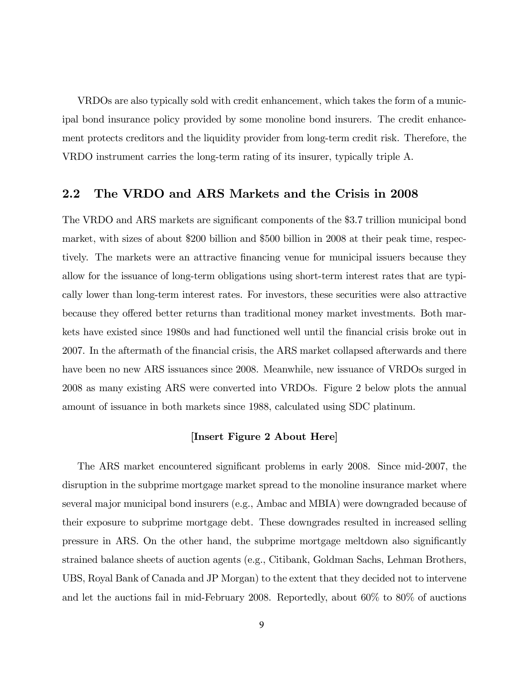VRDOs are also typically sold with credit enhancement, which takes the form of a municipal bond insurance policy provided by some monoline bond insurers. The credit enhancement protects creditors and the liquidity provider from long-term credit risk. Therefore, the VRDO instrument carries the long-term rating of its insurer, typically triple A.

## 2.2 The VRDO and ARS Markets and the Crisis in 2008

The VRDO and ARS markets are significant components of the \$3.7 trillion municipal bond market, with sizes of about \$200 billion and \$500 billion in 2008 at their peak time, respectively. The markets were an attractive financing venue for municipal issuers because they allow for the issuance of long-term obligations using short-term interest rates that are typically lower than long-term interest rates. For investors, these securities were also attractive because they offered better returns than traditional money market investments. Both markets have existed since 1980s and had functioned well until the Önancial crisis broke out in 2007. In the aftermath of the financial crisis, the ARS market collapsed afterwards and there have been no new ARS issuances since 2008. Meanwhile, new issuance of VRDOs surged in 2008 as many existing ARS were converted into VRDOs. Figure 2 below plots the annual amount of issuance in both markets since 1988, calculated using SDC platinum.

### [Insert Figure 2 About Here]

The ARS market encountered significant problems in early 2008. Since mid-2007, the disruption in the subprime mortgage market spread to the monoline insurance market where several major municipal bond insurers (e.g., Ambac and MBIA) were downgraded because of their exposure to subprime mortgage debt. These downgrades resulted in increased selling pressure in ARS. On the other hand, the subprime mortgage meltdown also significantly strained balance sheets of auction agents (e.g., Citibank, Goldman Sachs, Lehman Brothers, UBS, Royal Bank of Canada and JP Morgan) to the extent that they decided not to intervene and let the auctions fail in mid-February 2008. Reportedly, about 60% to 80% of auctions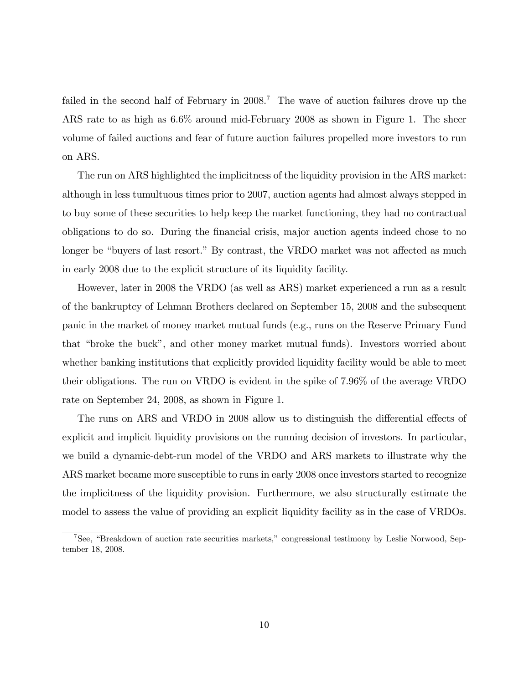failed in the second half of February in 2008.<sup>7</sup> The wave of auction failures drove up the ARS rate to as high as 6.6% around mid-February 2008 as shown in Figure 1. The sheer volume of failed auctions and fear of future auction failures propelled more investors to run on ARS.

The run on ARS highlighted the implicitness of the liquidity provision in the ARS market: although in less tumultuous times prior to 2007, auction agents had almost always stepped in to buy some of these securities to help keep the market functioning, they had no contractual obligations to do so. During the Önancial crisis, major auction agents indeed chose to no longer be "buyers of last resort." By contrast, the VRDO market was not affected as much in early 2008 due to the explicit structure of its liquidity facility.

However, later in 2008 the VRDO (as well as ARS) market experienced a run as a result of the bankruptcy of Lehman Brothers declared on September 15, 2008 and the subsequent panic in the market of money market mutual funds (e.g., runs on the Reserve Primary Fund that "broke the buck", and other money market mutual funds). Investors worried about whether banking institutions that explicitly provided liquidity facility would be able to meet their obligations. The run on VRDO is evident in the spike of 7.96% of the average VRDO rate on September 24, 2008, as shown in Figure 1.

The runs on ARS and VRDO in 2008 allow us to distinguish the differential effects of explicit and implicit liquidity provisions on the running decision of investors. In particular, we build a dynamic-debt-run model of the VRDO and ARS markets to illustrate why the ARS market became more susceptible to runs in early 2008 once investors started to recognize the implicitness of the liquidity provision. Furthermore, we also structurally estimate the model to assess the value of providing an explicit liquidity facility as in the case of VRDOs.

<sup>&</sup>lt;sup>7</sup>See, "Breakdown of auction rate securities markets," congressional testimony by Leslie Norwood, September 18, 2008.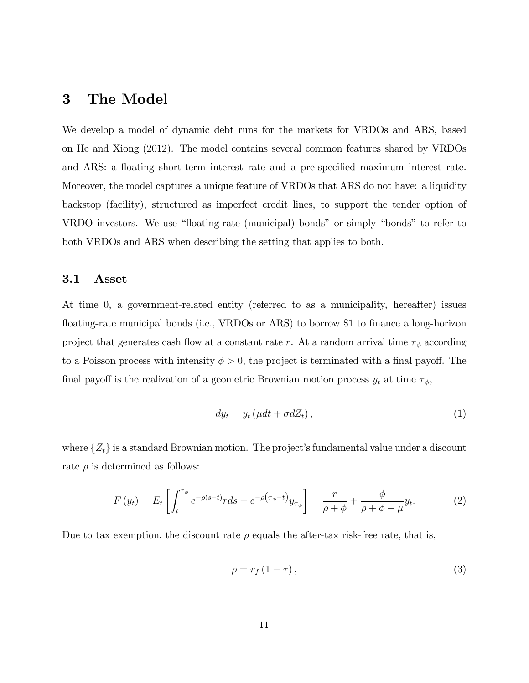## 3 The Model

We develop a model of dynamic debt runs for the markets for VRDOs and ARS, based on He and Xiong (2012). The model contains several common features shared by VRDOs and ARS: a floating short-term interest rate and a pre-specified maximum interest rate. Moreover, the model captures a unique feature of VRDOs that ARS do not have: a liquidity backstop (facility), structured as imperfect credit lines, to support the tender option of VRDO investors. We use "floating-rate (municipal) bonds" or simply "bonds" to refer to both VRDOs and ARS when describing the setting that applies to both.

#### 3.1 Asset

At time 0, a government-related entity (referred to as a municipality, hereafter) issues floating-rate municipal bonds (i.e., VRDOs or ARS) to borrow \$1 to finance a long-horizon project that generates cash flow at a constant rate r. At a random arrival time  $\tau_{\phi}$  according to a Poisson process with intensity  $\phi > 0$ , the project is terminated with a final payoff. The final payoff is the realization of a geometric Brownian motion process  $y_t$  at time  $\tau_{\phi}$ ,

$$
dy_t = y_t \left(\mu dt + \sigma dZ_t\right),\tag{1}
$$

where  $\{Z_t\}$  is a standard Brownian motion. The project's fundamental value under a discount rate  $\rho$  is determined as follows:

$$
F(y_t) = E_t \left[ \int_t^{\tau_\phi} e^{-\rho(s-t)} r ds + e^{-\rho(\tau_\phi - t)} y_{\tau_\phi} \right] = \frac{r}{\rho + \phi} + \frac{\phi}{\rho + \phi - \mu} y_t.
$$
 (2)

Due to tax exemption, the discount rate  $\rho$  equals the after-tax risk-free rate, that is,

$$
\rho = r_f \left(1 - \tau\right),\tag{3}
$$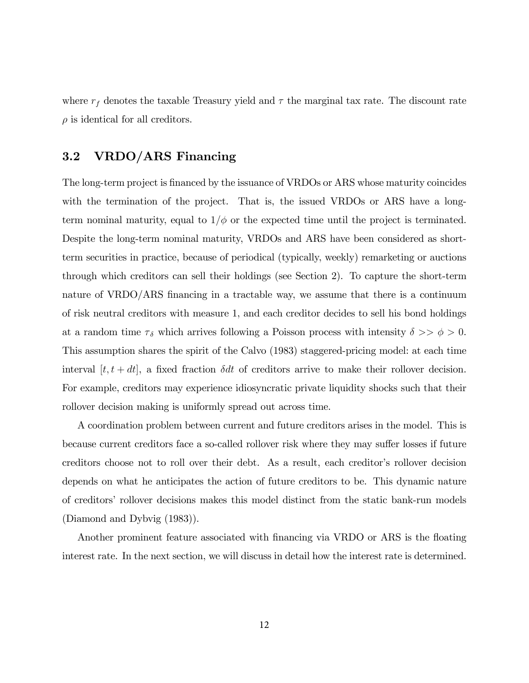where  $r_f$  denotes the taxable Treasury yield and  $\tau$  the marginal tax rate. The discount rate  $\rho$  is identical for all creditors.

## 3.2 VRDO/ARS Financing

The long-term project is financed by the issuance of VRDOs or ARS whose maturity coincides with the termination of the project. That is, the issued VRDOs or ARS have a longterm nominal maturity, equal to  $1/\phi$  or the expected time until the project is terminated. Despite the long-term nominal maturity, VRDOs and ARS have been considered as shortterm securities in practice, because of periodical (typically, weekly) remarketing or auctions through which creditors can sell their holdings (see Section 2). To capture the short-term nature of VRDO/ARS financing in a tractable way, we assume that there is a continuum of risk neutral creditors with measure 1, and each creditor decides to sell his bond holdings at a random time  $\tau_{\delta}$  which arrives following a Poisson process with intensity  $\delta \gg \phi > 0$ . This assumption shares the spirit of the Calvo (1983) staggered-pricing model: at each time interval  $[t, t + dt]$ , a fixed fraction  $\delta dt$  of creditors arrive to make their rollover decision. For example, creditors may experience idiosyncratic private liquidity shocks such that their rollover decision making is uniformly spread out across time.

A coordination problem between current and future creditors arises in the model. This is because current creditors face a so-called rollover risk where they may suffer losses if future creditors choose not to roll over their debt. As a result, each creditor's rollover decision depends on what he anticipates the action of future creditors to be. This dynamic nature of creditorsí rollover decisions makes this model distinct from the static bank-run models (Diamond and Dybvig (1983)).

Another prominent feature associated with financing via VRDO or ARS is the floating interest rate. In the next section, we will discuss in detail how the interest rate is determined.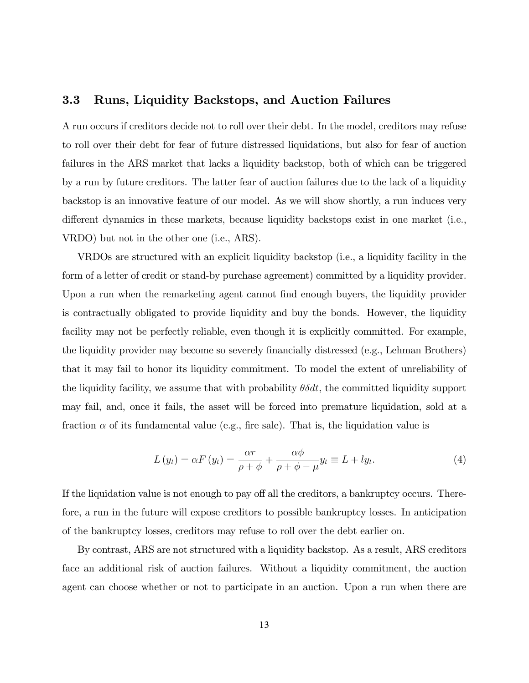### 3.3 Runs, Liquidity Backstops, and Auction Failures

A run occurs if creditors decide not to roll over their debt. In the model, creditors may refuse to roll over their debt for fear of future distressed liquidations, but also for fear of auction failures in the ARS market that lacks a liquidity backstop, both of which can be triggered by a run by future creditors. The latter fear of auction failures due to the lack of a liquidity backstop is an innovative feature of our model. As we will show shortly, a run induces very different dynamics in these markets, because liquidity backstops exist in one market (i.e., VRDO) but not in the other one (i.e., ARS).

VRDOs are structured with an explicit liquidity backstop (i.e., a liquidity facility in the form of a letter of credit or stand-by purchase agreement) committed by a liquidity provider. Upon a run when the remarketing agent cannot find enough buyers, the liquidity provider is contractually obligated to provide liquidity and buy the bonds. However, the liquidity facility may not be perfectly reliable, even though it is explicitly committed. For example, the liquidity provider may become so severely financially distressed (e.g., Lehman Brothers) that it may fail to honor its liquidity commitment. To model the extent of unreliability of the liquidity facility, we assume that with probability  $\theta \delta dt$ , the committed liquidity support may fail, and, once it fails, the asset will be forced into premature liquidation, sold at a fraction  $\alpha$  of its fundamental value (e.g., fire sale). That is, the liquidation value is

$$
L(y_t) = \alpha F(y_t) = \frac{\alpha r}{\rho + \phi} + \frac{\alpha \phi}{\rho + \phi - \mu} y_t \equiv L + ly_t.
$$
 (4)

If the liquidation value is not enough to pay off all the creditors, a bankruptcy occurs. Therefore, a run in the future will expose creditors to possible bankruptcy losses. In anticipation of the bankruptcy losses, creditors may refuse to roll over the debt earlier on.

By contrast, ARS are not structured with a liquidity backstop. As a result, ARS creditors face an additional risk of auction failures. Without a liquidity commitment, the auction agent can choose whether or not to participate in an auction. Upon a run when there are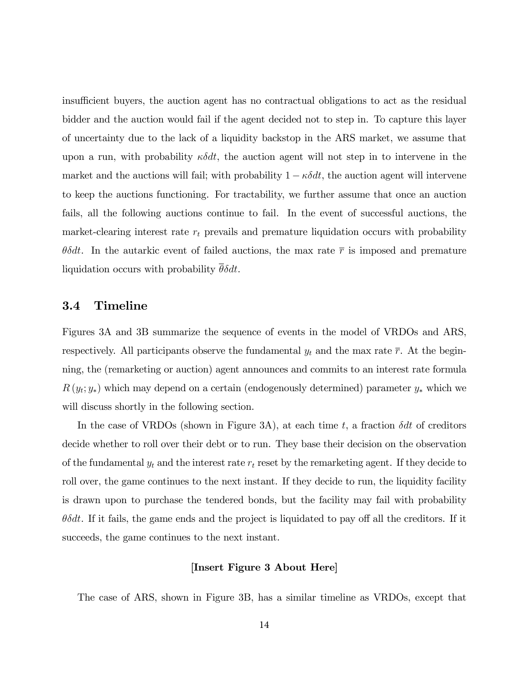insufficient buyers, the auction agent has no contractual obligations to act as the residual bidder and the auction would fail if the agent decided not to step in. To capture this layer of uncertainty due to the lack of a liquidity backstop in the ARS market, we assume that upon a run, with probability  $\kappa \delta dt$ , the auction agent will not step in to intervene in the market and the auctions will fail; with probability  $1 - \kappa \delta dt$ , the auction agent will intervene to keep the auctions functioning. For tractability, we further assume that once an auction fails, all the following auctions continue to fail. In the event of successful auctions, the market-clearing interest rate  $r_t$  prevails and premature liquidation occurs with probability  $\theta \delta dt$ . In the autarkic event of failed auctions, the max rate  $\bar{r}$  is imposed and premature liquidation occurs with probability  $\overline{\theta} \delta dt$ .

### 3.4 Timeline

Figures 3A and 3B summarize the sequence of events in the model of VRDOs and ARS, respectively. All participants observe the fundamental  $y_t$  and the max rate  $\bar{r}$ . At the beginning, the (remarketing or auction) agent announces and commits to an interest rate formula  $R(y_t; y_*)$  which may depend on a certain (endogenously determined) parameter  $y_*$  which we will discuss shortly in the following section.

In the case of VRDOs (shown in Figure 3A), at each time t, a fraction  $\delta dt$  of creditors decide whether to roll over their debt or to run. They base their decision on the observation of the fundamental  $y_t$  and the interest rate  $r_t$  reset by the remarketing agent. If they decide to roll over, the game continues to the next instant. If they decide to run, the liquidity facility is drawn upon to purchase the tendered bonds, but the facility may fail with probability  $\theta\delta dt$ . If it fails, the game ends and the project is liquidated to pay off all the creditors. If it succeeds, the game continues to the next instant.

#### [Insert Figure 3 About Here]

The case of ARS, shown in Figure 3B, has a similar timeline as VRDOs, except that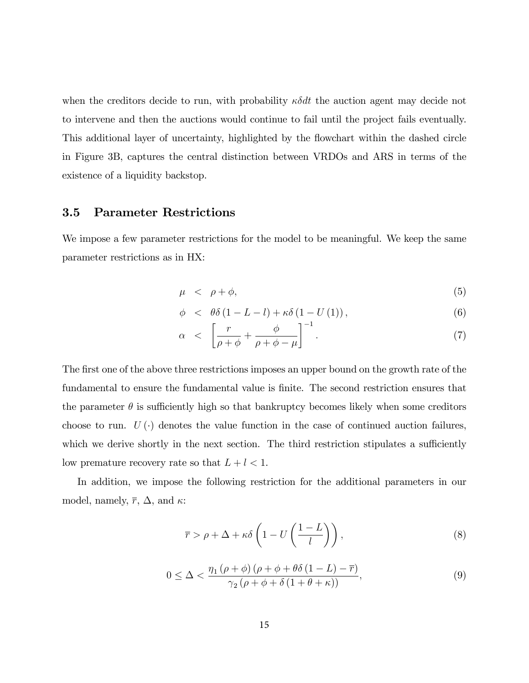when the creditors decide to run, with probability  $\kappa \delta dt$  the auction agent may decide not to intervene and then the auctions would continue to fail until the project fails eventually. This additional layer of uncertainty, highlighted by the flowchart within the dashed circle in Figure 3B, captures the central distinction between VRDOs and ARS in terms of the existence of a liquidity backstop.

### 3.5 Parameter Restrictions

We impose a few parameter restrictions for the model to be meaningful. We keep the same parameter restrictions as in HX:

$$
\mu \quad < \quad \rho + \phi,\tag{5}
$$

$$
\phi \quad < \quad \theta \delta \left( 1 - L - l \right) + \kappa \delta \left( 1 - U \left( 1 \right) \right),\tag{6}
$$

$$
\alpha \quad < \quad \left[ \frac{r}{\rho + \phi} + \frac{\phi}{\rho + \phi - \mu} \right]^{-1} . \tag{7}
$$

The first one of the above three restrictions imposes an upper bound on the growth rate of the fundamental to ensure the fundamental value is finite. The second restriction ensures that the parameter  $\theta$  is sufficiently high so that bankruptcy becomes likely when some creditors choose to run.  $U(\cdot)$  denotes the value function in the case of continued auction failures, which we derive shortly in the next section. The third restriction stipulates a sufficiently low premature recovery rate so that  $L + l < 1$ .

In addition, we impose the following restriction for the additional parameters in our model, namely,  $\overline{r}$ ,  $\Delta$ , and  $\kappa$ :

$$
\bar{r} > \rho + \Delta + \kappa \delta \left( 1 - U \left( \frac{1 - L}{l} \right) \right),\tag{8}
$$

$$
0 \leq \Delta < \frac{\eta_1\left(\rho + \phi\right)\left(\rho + \phi + \theta\delta\left(1 - L\right) - \overline{r}\right)}{\gamma_2\left(\rho + \phi + \delta\left(1 + \theta + \kappa\right)\right)},\tag{9}
$$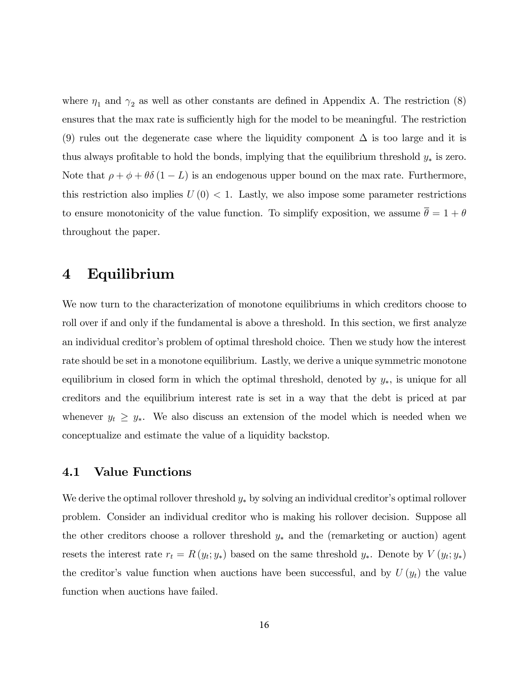where  $\eta_1$  and  $\gamma_2$  as well as other constants are defined in Appendix A. The restriction (8) ensures that the max rate is sufficiently high for the model to be meaningful. The restriction (9) rules out the degenerate case where the liquidity component  $\Delta$  is too large and it is thus always profitable to hold the bonds, implying that the equilibrium threshold  $y_*$  is zero. Note that  $\rho + \phi + \theta \delta (1 - L)$  is an endogenous upper bound on the max rate. Furthermore, this restriction also implies  $U(0) < 1$ . Lastly, we also impose some parameter restrictions to ensure monotonicity of the value function. To simplify exposition, we assume  $\bar{\theta} = 1 + \theta$ throughout the paper.

## 4 Equilibrium

We now turn to the characterization of monotone equilibriums in which creditors choose to roll over if and only if the fundamental is above a threshold. In this section, we first analyze an individual creditor's problem of optimal threshold choice. Then we study how the interest rate should be set in a monotone equilibrium. Lastly, we derive a unique symmetric monotone equilibrium in closed form in which the optimal threshold, denoted by  $y_*$ , is unique for all creditors and the equilibrium interest rate is set in a way that the debt is priced at par whenever  $y_t \geq y_*$ . We also discuss an extension of the model which is needed when we conceptualize and estimate the value of a liquidity backstop.

## 4.1 Value Functions

We derive the optimal rollover threshold  $y_*$  by solving an individual creditor's optimal rollover problem. Consider an individual creditor who is making his rollover decision. Suppose all the other creditors choose a rollover threshold  $y_*$  and the (remarketing or auction) agent resets the interest rate  $r_t = R(y_t; y_*)$  based on the same threshold  $y_*$ . Denote by  $V(y_t; y_*)$ the creditor's value function when auctions have been successful, and by  $U(y_t)$  the value function when auctions have failed.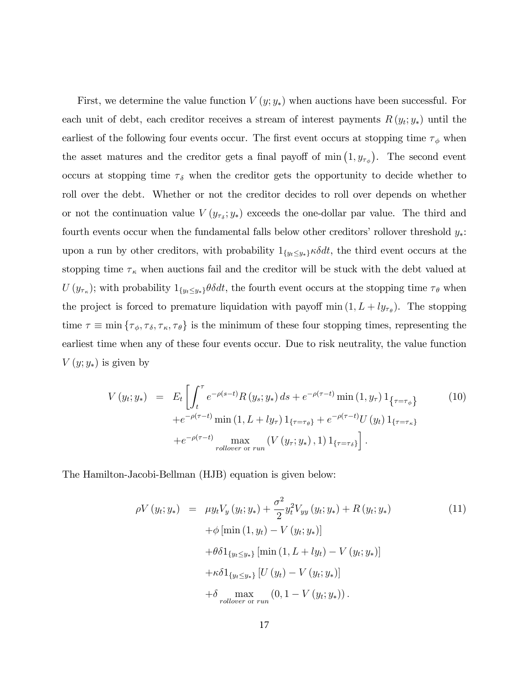First, we determine the value function  $V(y; y_*)$  when auctions have been successful. For each unit of debt, each creditor receives a stream of interest payments  $R(y_t; y_*)$  until the earliest of the following four events occur. The first event occurs at stopping time  $\tau_{\phi}$  when the asset matures and the creditor gets a final payoff of min  $(1, y_{\tau_{\phi}})$ . The second event occurs at stopping time  $\tau_{\delta}$  when the creditor gets the opportunity to decide whether to roll over the debt. Whether or not the creditor decides to roll over depends on whether or not the continuation value  $V(y_{\tau_{\delta}}; y_{*})$  exceeds the one-dollar par value. The third and fourth events occur when the fundamental falls below other creditors' rollover threshold  $y_*$ : upon a run by other creditors, with probability  $1_{\{y_t \leq y_*\}} \kappa \delta dt$ , the third event occurs at the stopping time  $\tau_{\kappa}$  when auctions fail and the creditor will be stuck with the debt valued at  $U(y_{\tau_{\kappa}})$ ; with probability  $1_{\{y_t \le y_*\}} \theta \delta dt$ , the fourth event occurs at the stopping time  $\tau_{\theta}$  when the project is forced to premature liquidation with payoff  $\min(1, L + ly_{\tau_{\theta}})$ . The stopping time  $\tau \equiv \min \{ \tau_{\phi}, \tau_{\delta}, \tau_{\kappa}, \tau_{\theta} \}$  is the minimum of these four stopping times, representing the earliest time when any of these four events occur. Due to risk neutrality, the value function  $V(y; y_*)$  is given by

$$
V(y_t; y_*) = E_t \left[ \int_t^{\tau} e^{-\rho(s-t)} R(y_s; y_*) ds + e^{-\rho(\tau-t)} \min(1, y_\tau) 1_{\{\tau = \tau_{\phi}\}} \right]
$$
(10)  
+  $e^{-\rho(\tau-t)} \min(1, L + ly_\tau) 1_{\{\tau = \tau_{\theta}\}} + e^{-\rho(\tau-t)} U(y_t) 1_{\{\tau = \tau_{\kappa}\}}$   
+  $e^{-\rho(\tau-t)} \max_{\text{volume or run}} (V(y_\tau; y_*), 1) 1_{\{\tau = \tau_{\delta}\}} \right].$ 

The Hamilton-Jacobi-Bellman (HJB) equation is given below:

$$
\rho V(y_t; y_*) = \mu y_t V_y(y_t; y_*) + \frac{\sigma^2}{2} y_t^2 V_{yy}(y_t; y_*) + R(y_t; y_*)
$$
\n
$$
+ \phi \left[ \min(1, y_t) - V(y_t; y_*) \right]
$$
\n
$$
+ \theta \delta 1_{\{y_t \le y_*\}} \left[ \min(1, L + ly_t) - V(y_t; y_*) \right]
$$
\n
$$
+ \kappa \delta 1_{\{y_t \le y_*\}} \left[ U(y_t) - V(y_t; y_*) \right]
$$
\n
$$
+ \delta \max_{\text{volume or run}} (0, 1 - V(y_t; y_*)).
$$
\n(11)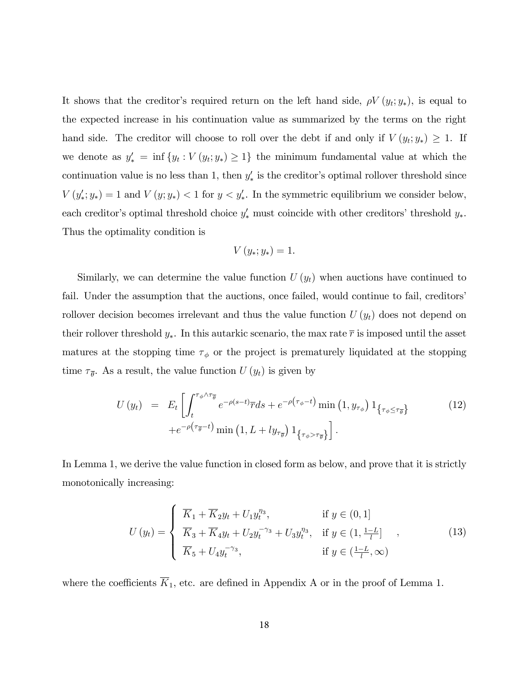It shows that the creditor's required return on the left hand side,  $\rho V(y_t; y_*)$ , is equal to the expected increase in his continuation value as summarized by the terms on the right hand side. The creditor will choose to roll over the debt if and only if  $V(y_t; y_*) \geq 1$ . If we denote as  $y'_{*} = \inf \{y_t : V(y_t; y_*) \geq 1\}$  the minimum fundamental value at which the continuation value is no less than 1, then  $y'_{*}$  is the creditor's optimal rollover threshold since  $V(y'_*; y_*) = 1$  and  $V(y; y_*) < 1$  for  $y < y'_*$ . In the symmetric equilibrium we consider below, each creditor's optimal threshold choice  $y'_*$  must coincide with other creditors' threshold  $y_*$ . Thus the optimality condition is

$$
V(y_*; y_*) = 1.
$$

Similarly, we can determine the value function  $U(y_t)$  when auctions have continued to fail. Under the assumption that the auctions, once failed, would continue to fail, creditors rollover decision becomes irrelevant and thus the value function  $U(y_t)$  does not depend on their rollover threshold  $y_*$ . In this autarkic scenario, the max rate  $\bar{r}$  is imposed until the asset matures at the stopping time  $\tau_{\phi}$  or the project is prematurely liquidated at the stopping time  $\tau_{\bar{\theta}}$ . As a result, the value function  $U(y_t)$  is given by

$$
U(y_t) = E_t \left[ \int_t^{\tau_{\phi} \wedge \tau_{\overline{\theta}}} e^{-\rho(s-t)} \overline{r} ds + e^{-\rho(\tau_{\phi}-t)} \min\left(1, y_{\tau_{\phi}}\right) 1_{\{\tau_{\phi} \leq \tau_{\overline{\theta}}\}} \right] + e^{-\rho(\tau_{\overline{\theta}}-t)} \min\left(1, L + ly_{\tau_{\overline{\theta}}}\right) 1_{\{\tau_{\phi} > \tau_{\overline{\theta}}\}}.
$$
\n
$$
(12)
$$

In Lemma 1, we derive the value function in closed form as below, and prove that it is strictly monotonically increasing:

$$
U(y_t) = \begin{cases} \overline{K}_1 + \overline{K}_2 y_t + U_1 y_t^{\eta_3}, & \text{if } y \in (0, 1] \\ \overline{K}_3 + \overline{K}_4 y_t + U_2 y_t^{-\gamma_3} + U_3 y_t^{\eta_3}, & \text{if } y \in (1, \frac{1 - L}{l}] \\ \overline{K}_5 + U_4 y_t^{-\gamma_3}, & \text{if } y \in (\frac{1 - L}{l}, \infty) \end{cases}
$$
(13)

where the coefficients  $\overline{K}_1$ , etc. are defined in Appendix A or in the proof of Lemma 1.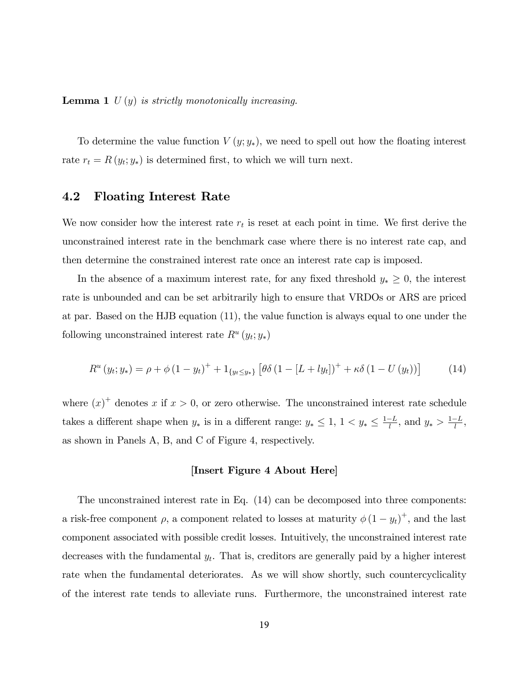**Lemma 1**  $U(y)$  is strictly monotonically increasing.

To determine the value function  $V(y; y_*)$ , we need to spell out how the floating interest rate  $r_t = R(y_t; y_*)$  is determined first, to which we will turn next.

## 4.2 Floating Interest Rate

We now consider how the interest rate  $r_t$  is reset at each point in time. We first derive the unconstrained interest rate in the benchmark case where there is no interest rate cap, and then determine the constrained interest rate once an interest rate cap is imposed.

In the absence of a maximum interest rate, for any fixed threshold  $y_* \geq 0$ , the interest rate is unbounded and can be set arbitrarily high to ensure that VRDOs or ARS are priced at par. Based on the HJB equation (11), the value function is always equal to one under the following unconstrained interest rate  $R^u(y_t; y_*)$ 

$$
R^{u}(y_{t}; y_{*}) = \rho + \phi (1 - y_{t})^{+} + 1_{\{y_{t} \le y_{*}\}} [\theta \delta (1 - [L + ly_{t}])^{+} + \kappa \delta (1 - U(y_{t}))]
$$
(14)

where  $(x)^{+}$  denotes x if  $x > 0$ , or zero otherwise. The unconstrained interest rate schedule takes a different shape when  $y_*$  is in a different range:  $y_* \leq 1$ ,  $1 < y_* \leq \frac{1-L}{l}$ , and  $y_* > \frac{1-L}{l}$ , as shown in Panels A, B, and C of Figure 4, respectively.

#### [Insert Figure 4 About Here]

The unconstrained interest rate in Eq. (14) can be decomposed into three components: a risk-free component  $\rho$ , a component related to losses at maturity  $\phi(1-y_t)^+$ , and the last component associated with possible credit losses. Intuitively, the unconstrained interest rate decreases with the fundamental  $y_t$ . That is, creditors are generally paid by a higher interest rate when the fundamental deteriorates. As we will show shortly, such countercyclicality of the interest rate tends to alleviate runs. Furthermore, the unconstrained interest rate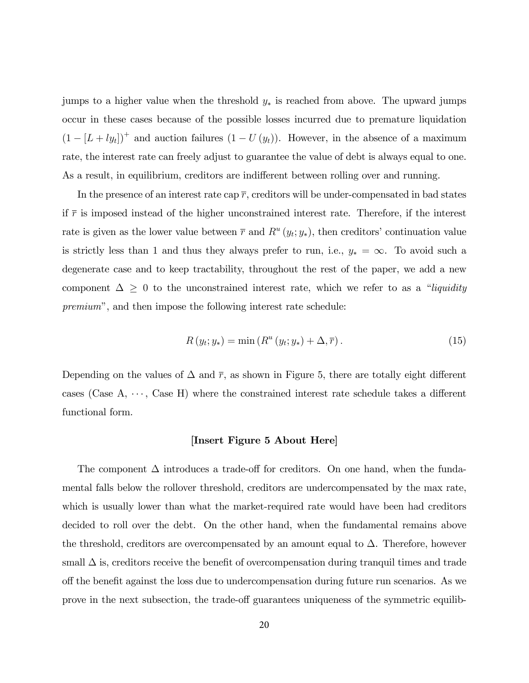jumps to a higher value when the threshold  $y_*$  is reached from above. The upward jumps occur in these cases because of the possible losses incurred due to premature liquidation  $(1 - [L + ly<sub>t</sub>])^+$  and auction failures  $(1 - U(y_t))$ . However, in the absence of a maximum rate, the interest rate can freely adjust to guarantee the value of debt is always equal to one. As a result, in equilibrium, creditors are indifferent between rolling over and running.

In the presence of an interest rate cap  $\bar{r}$ , creditors will be under-compensated in bad states if  $\bar{r}$  is imposed instead of the higher unconstrained interest rate. Therefore, if the interest rate is given as the lower value between  $\bar{r}$  and  $R^u(y_t; y_*)$ , then creditors' continuation value is strictly less than 1 and thus they always prefer to run, i.e.,  $y_* = \infty$ . To avoid such a degenerate case and to keep tractability, throughout the rest of the paper, we add a new component  $\Delta \geq 0$  to the unconstrained interest rate, which we refer to as a "liquidity premium", and then impose the following interest rate schedule:

$$
R(y_t; y_*) = \min(R^u(y_t; y_*) + \Delta, \overline{r}).
$$
\n(15)

Depending on the values of  $\Delta$  and  $\bar{r}$ , as shown in Figure 5, there are totally eight different cases (Case  $A, \dots, C$ ase H) where the constrained interest rate schedule takes a different functional form.

#### [Insert Figure 5 About Here]

The component  $\Delta$  introduces a trade-off for creditors. On one hand, when the fundamental falls below the rollover threshold, creditors are undercompensated by the max rate, which is usually lower than what the market-required rate would have been had creditors decided to roll over the debt. On the other hand, when the fundamental remains above the threshold, creditors are overcompensated by an amount equal to  $\Delta$ . Therefore, however small  $\Delta$  is, creditors receive the benefit of overcompensation during tranquil times and trade off the benefit against the loss due to undercompensation during future run scenarios. As we prove in the next subsection, the trade-off guarantees uniqueness of the symmetric equilib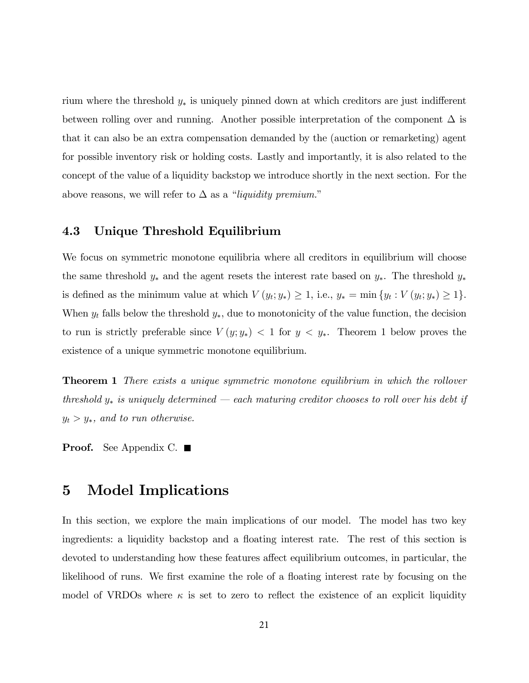rium where the threshold  $y_*$  is uniquely pinned down at which creditors are just indifferent between rolling over and running. Another possible interpretation of the component  $\Delta$  is that it can also be an extra compensation demanded by the (auction or remarketing) agent for possible inventory risk or holding costs. Lastly and importantly, it is also related to the concept of the value of a liquidity backstop we introduce shortly in the next section. For the above reasons, we will refer to  $\Delta$  as a "liquidity premium."

## 4.3 Unique Threshold Equilibrium

We focus on symmetric monotone equilibria where all creditors in equilibrium will choose the same threshold  $y_*$  and the agent resets the interest rate based on  $y_*$ . The threshold  $y_*$ is defined as the minimum value at which  $V(y_t; y_*) \geq 1$ , i.e.,  $y_* = \min \{y_t : V(y_t; y_*) \geq 1\}$ . When  $y_t$  falls below the threshold  $y_*$ , due to monotonicity of the value function, the decision to run is strictly preferable since  $V(y; y_*)$  < 1 for  $y \leq y_*$ . Theorem 1 below proves the existence of a unique symmetric monotone equilibrium.

**Theorem 1** There exists a unique symmetric monotone equilibrium in which the rollover threshold  $y_*$  is uniquely determined – each maturing creditor chooses to roll over his debt if  $y_t > y_*$ , and to run otherwise.

**Proof.** See Appendix C.  $\blacksquare$ 

## 5 Model Implications

In this section, we explore the main implications of our model. The model has two key ingredients: a liquidity backstop and a floating interest rate. The rest of this section is devoted to understanding how these features affect equilibrium outcomes, in particular, the likelihood of runs. We first examine the role of a floating interest rate by focusing on the model of VRDOs where  $\kappa$  is set to zero to reflect the existence of an explicit liquidity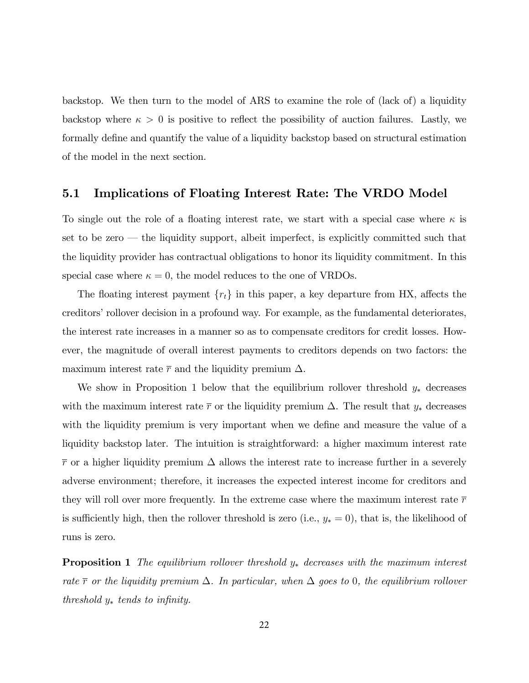backstop. We then turn to the model of ARS to examine the role of (lack of) a liquidity backstop where  $\kappa > 0$  is positive to reflect the possibility of auction failures. Lastly, we formally define and quantify the value of a liquidity backstop based on structural estimation of the model in the next section.

### 5.1 Implications of Floating Interest Rate: The VRDO Model

To single out the role of a floating interest rate, we start with a special case where  $\kappa$  is set to be zero  $-$  the liquidity support, albeit imperfect, is explicitly committed such that the liquidity provider has contractual obligations to honor its liquidity commitment. In this special case where  $\kappa = 0$ , the model reduces to the one of VRDOs.

The floating interest payment  ${r_t}$  in this paper, a key departure from HX, affects the creditors' rollover decision in a profound way. For example, as the fundamental deteriorates, the interest rate increases in a manner so as to compensate creditors for credit losses. However, the magnitude of overall interest payments to creditors depends on two factors: the maximum interest rate  $\bar{r}$  and the liquidity premium  $\Delta$ .

We show in Proposition 1 below that the equilibrium rollover threshold  $y_*$  decreases with the maximum interest rate  $\bar{r}$  or the liquidity premium  $\Delta$ . The result that  $y_*$  decreases with the liquidity premium is very important when we define and measure the value of a liquidity backstop later. The intuition is straightforward: a higher maximum interest rate  $\bar{r}$  or a higher liquidity premium  $\Delta$  allows the interest rate to increase further in a severely adverse environment; therefore, it increases the expected interest income for creditors and they will roll over more frequently. In the extreme case where the maximum interest rate  $\bar{r}$ is sufficiently high, then the rollover threshold is zero (i.e.,  $y_* = 0$ ), that is, the likelihood of runs is zero.

**Proposition 1** The equilibrium rollover threshold  $y_*$  decreases with the maximum interest rate  $\bar{r}$  or the liquidity premium  $\Delta$ . In particular, when  $\Delta$  goes to 0, the equilibrium rollover threshold  $y_*$  tends to infinity.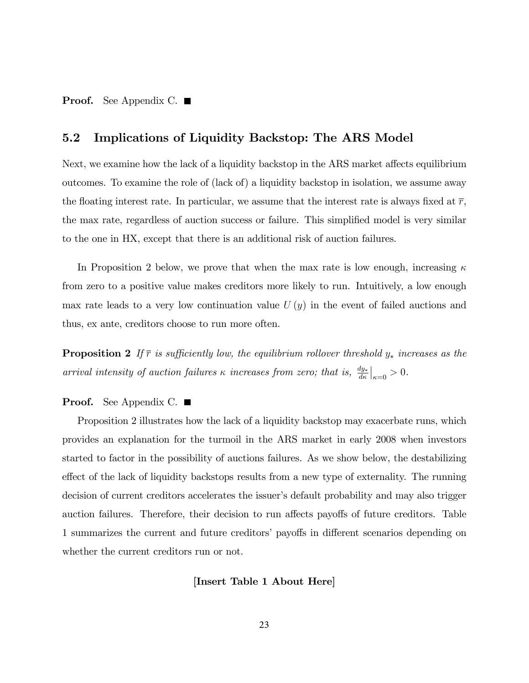**Proof.** See Appendix C.  $\blacksquare$ 

## 5.2 Implications of Liquidity Backstop: The ARS Model

Next, we examine how the lack of a liquidity backstop in the ARS market affects equilibrium outcomes. To examine the role of (lack of) a liquidity backstop in isolation, we assume away the floating interest rate. In particular, we assume that the interest rate is always fixed at  $\bar{r}$ , the max rate, regardless of auction success or failure. This simplified model is very similar to the one in HX, except that there is an additional risk of auction failures.

In Proposition 2 below, we prove that when the max rate is low enough, increasing  $\kappa$ from zero to a positive value makes creditors more likely to run. Intuitively, a low enough max rate leads to a very low continuation value  $U(y)$  in the event of failed auctions and thus, ex ante, creditors choose to run more often.

**Proposition 2** If  $\bar{r}$  is sufficiently low, the equilibrium rollover threshold  $y_*$  increases as the arrival intensity of auction failures  $\kappa$  increases from zero; that is,  $\frac{dy_*}{d\kappa}\Big|_{\kappa=0} > 0$ .

#### **Proof.** See Appendix C. ■

Proposition 2 illustrates how the lack of a liquidity backstop may exacerbate runs, which provides an explanation for the turmoil in the ARS market in early 2008 when investors started to factor in the possibility of auctions failures. As we show below, the destabilizing effect of the lack of liquidity backstops results from a new type of externality. The running decision of current creditors accelerates the issuer's default probability and may also trigger auction failures. Therefore, their decision to run affects payoffs of future creditors. Table 1 summarizes the current and future creditors' payoffs in different scenarios depending on whether the current creditors run or not.

#### [Insert Table 1 About Here]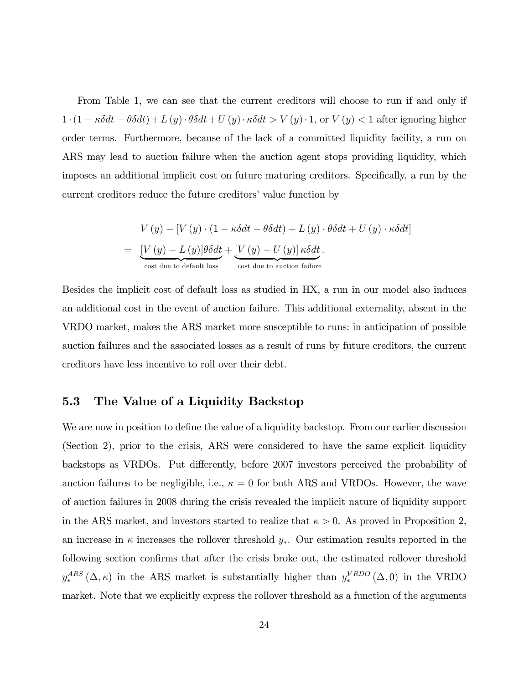From Table 1, we can see that the current creditors will choose to run if and only if  $1 \cdot (1 - \kappa \delta dt - \theta \delta dt) + L(y) \cdot \theta \delta dt + U(y) \cdot \kappa \delta dt > V(y) \cdot 1$ , or  $V(y) < 1$  after ignoring higher order terms. Furthermore, because of the lack of a committed liquidity facility, a run on ARS may lead to auction failure when the auction agent stops providing liquidity, which imposes an additional implicit cost on future maturing creditors. Specifically, a run by the current creditors reduce the future creditors' value function by

$$
V(y) - [V(y) \cdot (1 - \kappa \delta dt - \theta \delta dt) + L(y) \cdot \theta \delta dt + U(y) \cdot \kappa \delta dt]
$$
  
= 
$$
\underbrace{[V(y) - L(y)] \theta \delta dt}_{\text{cost due to default loss}} + \underbrace{[V(y) - U(y)] \kappa \delta dt}_{\text{cost due to auction failure}}.
$$

Besides the implicit cost of default loss as studied in HX, a run in our model also induces an additional cost in the event of auction failure. This additional externality, absent in the VRDO market, makes the ARS market more susceptible to runs: in anticipation of possible auction failures and the associated losses as a result of runs by future creditors, the current creditors have less incentive to roll over their debt.

## 5.3 The Value of a Liquidity Backstop

We are now in position to define the value of a liquidity backstop. From our earlier discussion (Section 2), prior to the crisis, ARS were considered to have the same explicit liquidity backstops as VRDOs. Put differently, before 2007 investors perceived the probability of auction failures to be negligible, i.e.,  $\kappa = 0$  for both ARS and VRDOs. However, the wave of auction failures in 2008 during the crisis revealed the implicit nature of liquidity support in the ARS market, and investors started to realize that  $\kappa > 0$ . As proved in Proposition 2, an increase in  $\kappa$  increases the rollover threshold  $y_*$ . Our estimation results reported in the following section confirms that after the crisis broke out, the estimated rollover threshold  $y_\ast^{ARS}$  $_{*}^{ARS}(\Delta, \kappa)$  in the ARS market is substantially higher than  $y_{*}^{VROO}$  $_{*}^{VRDO}(\Delta,0)$  in the VRDO market. Note that we explicitly express the rollover threshold as a function of the arguments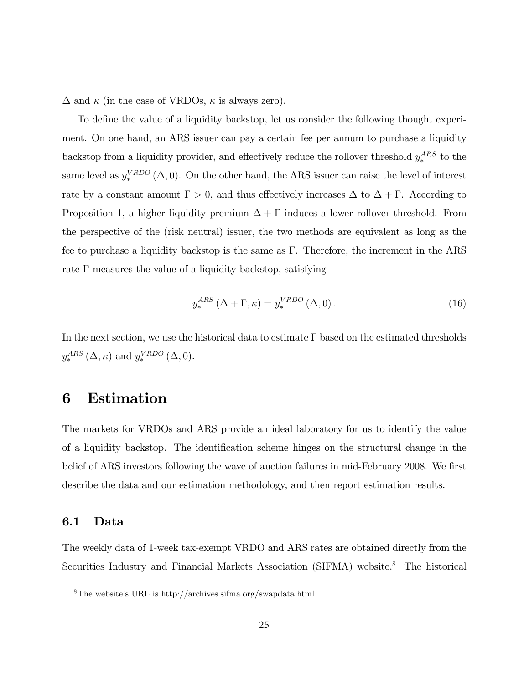$\Delta$  and  $\kappa$  (in the case of VRDOs,  $\kappa$  is always zero).

To define the value of a liquidity backstop, let us consider the following thought experiment. On one hand, an ARS issuer can pay a certain fee per annum to purchase a liquidity backstop from a liquidity provider, and effectively reduce the rollover threshold  $y_*^{ARS}$  $_{*}^{ARS}$  to the same level as  $y_*^{VRDO}$  $_{*}^{VRDO}(\Delta,0)$ . On the other hand, the ARS issuer can raise the level of interest rate by a constant amount  $\Gamma > 0$ , and thus effectively increases  $\Delta$  to  $\Delta + \Gamma$ . According to Proposition 1, a higher liquidity premium  $\Delta + \Gamma$  induces a lower rollover threshold. From the perspective of the (risk neutral) issuer, the two methods are equivalent as long as the fee to purchase a liquidity backstop is the same as  $\Gamma$ . Therefore, the increment in the ARS rate  $\Gamma$  measures the value of a liquidity backstop, satisfying

$$
y_*^{ARS} (\Delta + \Gamma, \kappa) = y_*^{VRDO} (\Delta, 0). \tag{16}
$$

In the next section, we use the historical data to estimate  $\Gamma$  based on the estimated thresholds  $y_\ast^{ARS}$  $_{*}^{ARS}(\Delta, \kappa)$  and  $y_{*}^{VRDO}$  $_{*}^{VRDO}(\Delta,0).$ 

## 6 Estimation

The markets for VRDOs and ARS provide an ideal laboratory for us to identify the value of a liquidity backstop. The identification scheme hinges on the structural change in the belief of ARS investors following the wave of auction failures in mid-February 2008. We first describe the data and our estimation methodology, and then report estimation results.

### 6.1 Data

The weekly data of 1-week tax-exempt VRDO and ARS rates are obtained directly from the Securities Industry and Financial Markets Association (SIFMA) website.<sup>8</sup> The historical

 ${}^{8}$ The website's URL is http://archives.sifma.org/swapdata.html.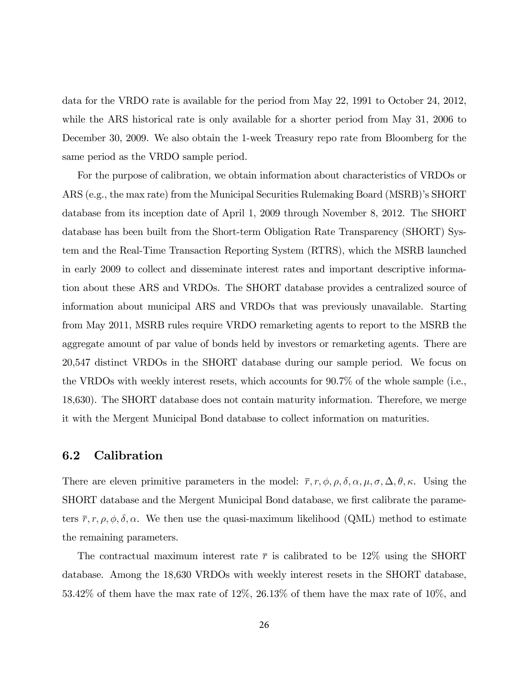data for the VRDO rate is available for the period from May 22, 1991 to October 24, 2012, while the ARS historical rate is only available for a shorter period from May 31, 2006 to December 30, 2009. We also obtain the 1-week Treasury repo rate from Bloomberg for the same period as the VRDO sample period.

For the purpose of calibration, we obtain information about characteristics of VRDOs or ARS (e.g., the max rate) from the Municipal Securities Rulemaking Board (MSRB)'s SHORT database from its inception date of April 1, 2009 through November 8, 2012. The SHORT database has been built from the Short-term Obligation Rate Transparency (SHORT) System and the Real-Time Transaction Reporting System (RTRS), which the MSRB launched in early 2009 to collect and disseminate interest rates and important descriptive information about these ARS and VRDOs. The SHORT database provides a centralized source of information about municipal ARS and VRDOs that was previously unavailable. Starting from May 2011, MSRB rules require VRDO remarketing agents to report to the MSRB the aggregate amount of par value of bonds held by investors or remarketing agents. There are 20,547 distinct VRDOs in the SHORT database during our sample period. We focus on the VRDOs with weekly interest resets, which accounts for 90.7% of the whole sample (i.e., 18,630). The SHORT database does not contain maturity information. Therefore, we merge it with the Mergent Municipal Bond database to collect information on maturities.

### 6.2 Calibration

There are eleven primitive parameters in the model:  $\bar{r}$ ,  $r$ ,  $\phi$ ,  $\rho$ ,  $\delta$ ,  $\alpha$ ,  $\mu$ ,  $\sigma$ ,  $\Delta$ ,  $\theta$ ,  $\kappa$ . Using the SHORT database and the Mergent Municipal Bond database, we first calibrate the parameters  $\bar{r}, r, \rho, \phi, \delta, \alpha$ . We then use the quasi-maximum likelihood (QML) method to estimate the remaining parameters.

The contractual maximum interest rate  $\bar{r}$  is calibrated to be 12\% using the SHORT database. Among the 18,630 VRDOs with weekly interest resets in the SHORT database, 53.42% of them have the max rate of 12%, 26.13% of them have the max rate of 10%, and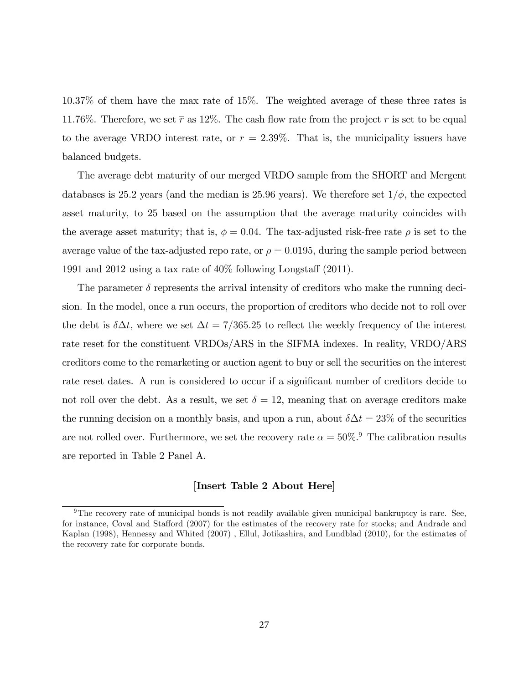10.37% of them have the max rate of 15%. The weighted average of these three rates is 11.76%. Therefore, we set  $\bar{r}$  as 12%. The cash flow rate from the project r is set to be equal to the average VRDO interest rate, or  $r = 2.39\%$ . That is, the municipality issuers have balanced budgets.

The average debt maturity of our merged VRDO sample from the SHORT and Mergent databases is 25.2 years (and the median is 25.96 years). We therefore set  $1/\phi$ , the expected asset maturity, to 25 based on the assumption that the average maturity coincides with the average asset maturity; that is,  $\phi = 0.04$ . The tax-adjusted risk-free rate  $\rho$  is set to the average value of the tax-adjusted repo rate, or  $\rho = 0.0195$ , during the sample period between 1991 and 2012 using a tax rate of  $40\%$  following Longstaff (2011).

The parameter  $\delta$  represents the arrival intensity of creditors who make the running decision. In the model, once a run occurs, the proportion of creditors who decide not to roll over the debt is  $\delta \Delta t$ , where we set  $\Delta t = 7/365.25$  to reflect the weekly frequency of the interest rate reset for the constituent VRDOs/ARS in the SIFMA indexes. In reality, VRDO/ARS creditors come to the remarketing or auction agent to buy or sell the securities on the interest rate reset dates. A run is considered to occur if a significant number of creditors decide to not roll over the debt. As a result, we set  $\delta = 12$ , meaning that on average creditors make the running decision on a monthly basis, and upon a run, about  $\delta \Delta t = 23\%$  of the securities are not rolled over. Furthermore, we set the recovery rate  $\alpha = 50\%$ .<sup>9</sup> The calibration results are reported in Table 2 Panel A.

#### [Insert Table 2 About Here]

<sup>9</sup>The recovery rate of municipal bonds is not readily available given municipal bankruptcy is rare. See, for instance, Coval and Stafford (2007) for the estimates of the recovery rate for stocks; and Andrade and Kaplan (1998), Hennessy and Whited (2007) , Ellul, Jotikashira, and Lundblad (2010), for the estimates of the recovery rate for corporate bonds.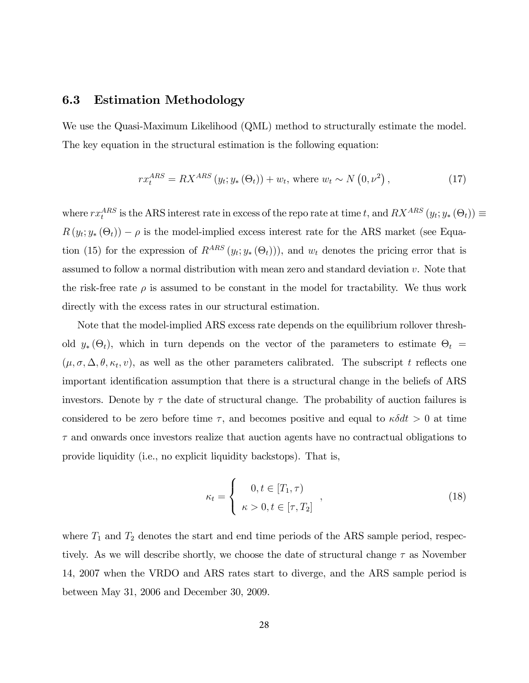## 6.3 Estimation Methodology

We use the Quasi-Maximum Likelihood (QML) method to structurally estimate the model. The key equation in the structural estimation is the following equation:

$$
rx_t^{ARS} = RX^{ARS} (y_t; y_*(\Theta_t)) + w_t, \text{ where } w_t \sim N(0, \nu^2), \qquad (17)
$$

where  $rx_t^{ARS}$  is the ARS interest rate in excess of the repo rate at time t, and  $RX^{ARS}(y_t; y_*(\Theta_t)) \equiv$  $R(y_t; y_*(\Theta_t)) - \rho$  is the model-implied excess interest rate for the ARS market (see Equation (15) for the expression of  $R^{ARS}(y_t; y_*(\Theta_t)))$ , and  $w_t$  denotes the pricing error that is assumed to follow a normal distribution with mean zero and standard deviation v. Note that the risk-free rate  $\rho$  is assumed to be constant in the model for tractability. We thus work directly with the excess rates in our structural estimation.

Note that the model-implied ARS excess rate depends on the equilibrium rollover threshold  $y_* (\Theta_t)$ , which in turn depends on the vector of the parameters to estimate  $\Theta_t =$  $(\mu, \sigma, \Delta, \theta, \kappa_t, v)$ , as well as the other parameters calibrated. The subscript t reflects one important identification assumption that there is a structural change in the beliefs of ARS investors. Denote by  $\tau$  the date of structural change. The probability of auction failures is considered to be zero before time  $\tau$ , and becomes positive and equal to  $\kappa \delta dt > 0$  at time  $\tau$  and onwards once investors realize that auction agents have no contractual obligations to provide liquidity (i.e., no explicit liquidity backstops). That is,

$$
\kappa_t = \begin{cases} 0, t \in [T_1, \tau) \\ \kappa > 0, t \in [\tau, T_2] \end{cases}, \tag{18}
$$

where  $T_1$  and  $T_2$  denotes the start and end time periods of the ARS sample period, respectively. As we will describe shortly, we choose the date of structural change  $\tau$  as November 14, 2007 when the VRDO and ARS rates start to diverge, and the ARS sample period is between May 31, 2006 and December 30, 2009.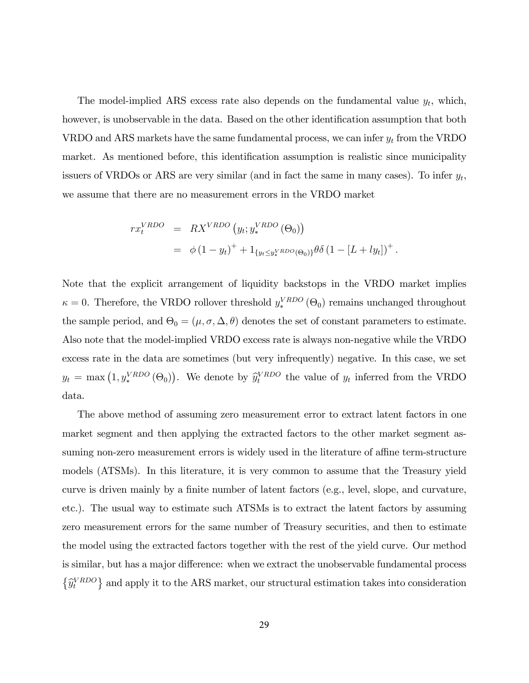The model-implied ARS excess rate also depends on the fundamental value  $y_t$ , which, however, is unobservable in the data. Based on the other identification assumption that both VRDO and ARS markets have the same fundamental process, we can infer  $y_t$  from the VRDO market. As mentioned before, this identification assumption is realistic since municipality issuers of VRDOs or ARS are very similar (and in fact the same in many cases). To infer  $y_t$ , we assume that there are no measurement errors in the VRDO market

$$
rx_t^{VRDO} = RX^{VRDO}(y_t; y_*^{VRDO}(\Theta_0))
$$
  
=  $\phi (1 - y_t)^+ + 1_{\{y_t \le y_*^{VRDO}(\Theta_0)\}} \theta \delta (1 - [L + ly_t])^+.$ 

Note that the explicit arrangement of liquidity backstops in the VRDO market implies  $\kappa = 0$ . Therefore, the VRDO rollover threshold  $y_{*}^{VROO}$  $\binom{VRDO}{*}$  ( $\Theta_0$ ) remains unchanged throughout the sample period, and  $\Theta_0 = (\mu, \sigma, \Delta, \theta)$  denotes the set of constant parameters to estimate. Also note that the model-implied VRDO excess rate is always non-negative while the VRDO excess rate in the data are sometimes (but very infrequently) negative. In this case, we set  $y_t = \max(1, y_*^{VRDO}(\Theta_0)).$  We denote by  $\hat{y}_t^{VRDO}$  the value of  $y_t$  inferred from the VRDO data.

The above method of assuming zero measurement error to extract latent factors in one market segment and then applying the extracted factors to the other market segment assuming non-zero measurement errors is widely used in the literature of affine term-structure models (ATSMs). In this literature, it is very common to assume that the Treasury yield curve is driven mainly by a finite number of latent factors (e.g., level, slope, and curvature, etc.). The usual way to estimate such ATSMs is to extract the latent factors by assuming zero measurement errors for the same number of Treasury securities, and then to estimate the model using the extracted factors together with the rest of the yield curve. Our method is similar, but has a major difference: when we extract the unobservable fundamental process  $\left\{\widehat{y}_{t}^{\text{VRDO}}\right\}$  and apply it to the ARS market, our structural estimation takes into consideration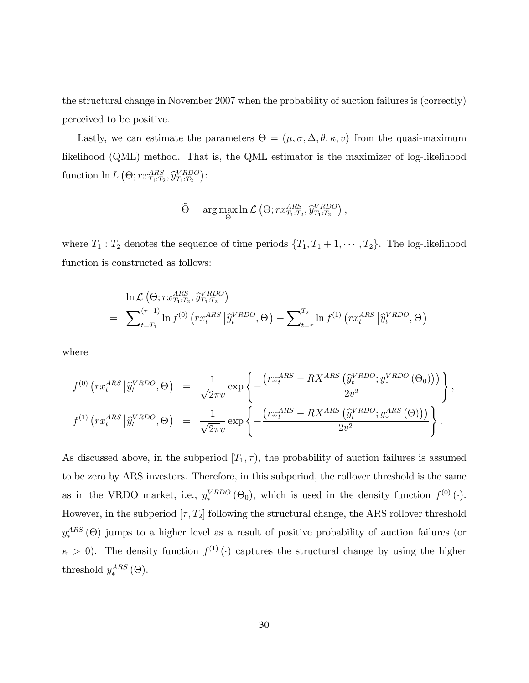the structural change in November 2007 when the probability of auction failures is (correctly) perceived to be positive.

Lastly, we can estimate the parameters  $\Theta = (\mu, \sigma, \Delta, \theta, \kappa, v)$  from the quasi-maximum likelihood (QML) method. That is, the QML estimator is the maximizer of log-likelihood function  $\ln L(\Theta; rx_{T_1:T_2}^{ARS}, \hat{y}_{T_1:T_2}^{VRDO})$ :

$$
\widehat{\Theta} = \arg \max_{\Theta} \ln \mathcal{L} \left( \Theta; rx_{T_1:T_2}^{ARS}, \widehat{y}_{T_1:T_2}^{VRDO} \right),
$$

where  $T_1$ :  $T_2$  denotes the sequence of time periods  $\{T_1, T_1 + 1, \dots, T_2\}$ . The log-likelihood function is constructed as follows:

$$
\ln \mathcal{L} \left( \Theta; rx_{T_1:T_2}^{ARS}, \widehat{y}_{T_1:T_2}^{VRDO} \right)
$$
\n
$$
= \sum_{t=T_1}^{(\tau-1)} \ln f^{(0)} \left( rx_t^{ARS} \left| \widehat{y}_t^{VRDO}, \Theta \right. \right) + \sum_{t=\tau}^{T_2} \ln f^{(1)} \left( rx_t^{ARS} \left| \widehat{y}_t^{VRDO}, \Theta \right. \right)
$$

where

$$
f^{(0)}\left(rx_t^{ARS}|\hat{y}_t^{VRDO},\Theta\right) = \frac{1}{\sqrt{2\pi}v} \exp\left\{-\frac{\left(rx_t^{ARS} - RX^{ARS}\left(\hat{y}_t^{VRDO}; y_*^{VRDO}\left(\Theta_0\right)\right)\right)}{2v^2}\right\},\
$$

$$
f^{(1)}\left(rx_t^{ARS}|\hat{y}_t^{VRDO},\Theta\right) = \frac{1}{\sqrt{2\pi}v} \exp\left\{-\frac{\left(rx_t^{ARS} - RX^{ARS}\left(\hat{y}_t^{VRDO}; y_*^{ARS}\left(\Theta\right)\right)\right)}{2v^2}\right\}.
$$

As discussed above, in the subperiod  $[T_1, \tau)$ , the probability of auction failures is assumed to be zero by ARS investors. Therefore, in this subperiod, the rollover threshold is the same as in the VRDO market, i.e.,  $y_*^{VRDO}$  $_{*}^{VRDO}$  ( $\Theta_{0}$ ), which is used in the density function  $f^{(0)}(.)$ . However, in the subperiod  $[\tau, T_2]$  following the structural change, the ARS rollover threshold  $y_*^{ARS}$  $_{*}^{ARS}$  ( $\Theta$ ) jumps to a higher level as a result of positive probability of auction failures (or  $\kappa > 0$ ). The density function  $f^{(1)}(\cdot)$  captures the structural change by using the higher threshold  $y_*^{ARS}$  $_{*}^{ARS}$  ( $\Theta$ ).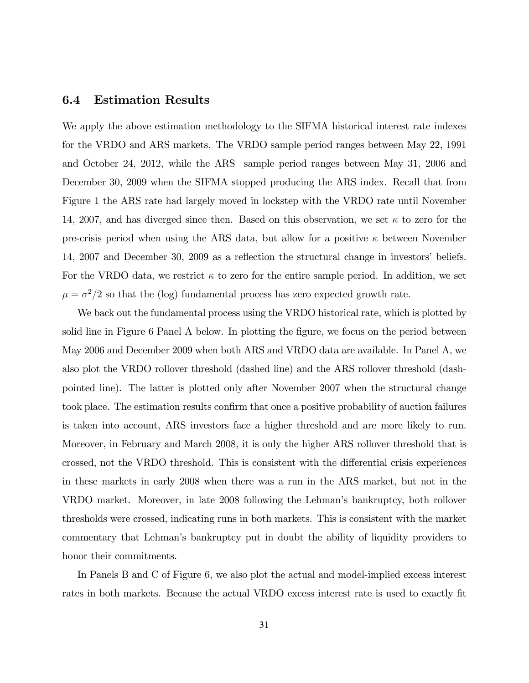### 6.4 Estimation Results

We apply the above estimation methodology to the SIFMA historical interest rate indexes for the VRDO and ARS markets. The VRDO sample period ranges between May 22, 1991 and October 24, 2012, while the ARS sample period ranges between May 31, 2006 and December 30, 2009 when the SIFMA stopped producing the ARS index. Recall that from Figure 1 the ARS rate had largely moved in lockstep with the VRDO rate until November 14, 2007, and has diverged since then. Based on this observation, we set  $\kappa$  to zero for the pre-crisis period when using the ARS data, but allow for a positive  $\kappa$  between November 14, 2007 and December 30, 2009 as a reflection the structural change in investors' beliefs. For the VRDO data, we restrict  $\kappa$  to zero for the entire sample period. In addition, we set  $\mu = \sigma^2/2$  so that the (log) fundamental process has zero expected growth rate.

We back out the fundamental process using the VRDO historical rate, which is plotted by solid line in Figure 6 Panel A below. In plotting the figure, we focus on the period between May 2006 and December 2009 when both ARS and VRDO data are available. In Panel A, we also plot the VRDO rollover threshold (dashed line) and the ARS rollover threshold (dashpointed line). The latter is plotted only after November 2007 when the structural change took place. The estimation results confirm that once a positive probability of auction failures is taken into account, ARS investors face a higher threshold and are more likely to run. Moreover, in February and March 2008, it is only the higher ARS rollover threshold that is crossed, not the VRDO threshold. This is consistent with the differential crisis experiences in these markets in early 2008 when there was a run in the ARS market, but not in the VRDO market. Moreover, in late 2008 following the Lehmanís bankruptcy, both rollover thresholds were crossed, indicating runs in both markets. This is consistent with the market commentary that Lehmanís bankruptcy put in doubt the ability of liquidity providers to honor their commitments.

In Panels B and C of Figure 6, we also plot the actual and model-implied excess interest rates in both markets. Because the actual VRDO excess interest rate is used to exactly fit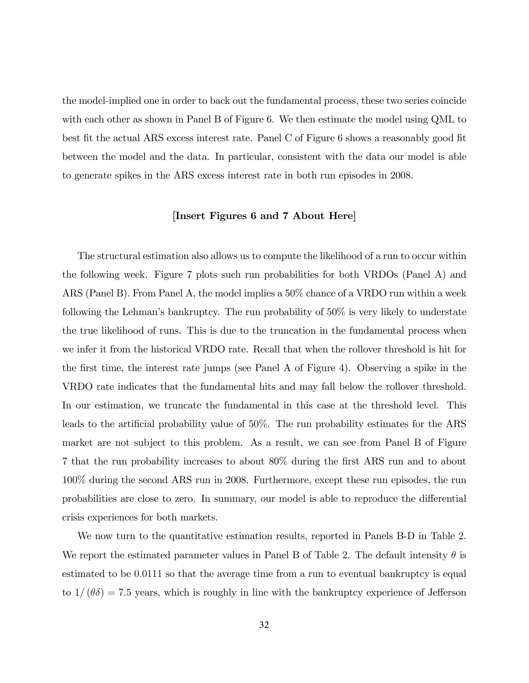the model-implied one in order to back out the fundamental process, these two series coincide with each other as shown in Panel B of Figure 6. We then estimate the model using QML to best fit the actual ARS excess interest rate. Panel C of Figure 6 shows a reasonably good fit between the model and the data. In particular, consistent with the data our model is able to generate spikes in the ARS excess interest rate in both run episodes in 2008.

#### [Insert Figures 6 and 7 About Here]

The structural estimation also allows us to compute the likelihood of a run to occur within the following week. Figure 7 plots such run probabilities for both VRDOs (Panel A) and ARS (Panel B). From Panel A, the model implies a 50% chance of a VRDO run within a week following the Lehman's bankruptcy. The run probability of  $50\%$  is very likely to understate the true likelihood of runs. This is due to the truncation in the fundamental process when we infer it from the historical VRDO rate. Recall that when the rollover threshold is hit for the first time, the interest rate jumps (see Panel A of Figure 4). Observing a spike in the VRDO rate indicates that the fundamental hits and may fall below the rollover threshold. In our estimation, we truncate the fundamental in this case at the threshold level. This leads to the artificial probability value of  $50\%$ . The run probability estimates for the ARS market are not subject to this problem. As a result, we can see from Panel B of Figure 7 that the run probability increases to about 80% during the Örst ARS run and to about 100% during the second ARS run in 2008. Furthermore, except these run episodes, the run probabilities are close to zero. In summary, our model is able to reproduce the differential crisis experiences for both markets.

We now turn to the quantitative estimation results, reported in Panels B-D in Table 2. We report the estimated parameter values in Panel B of Table 2. The default intensity  $\theta$  is estimated to be 0.0111 so that the average time from a run to eventual bankruptcy is equal to  $1/(\theta\delta) = 7.5$  years, which is roughly in line with the bankruptcy experience of Jefferson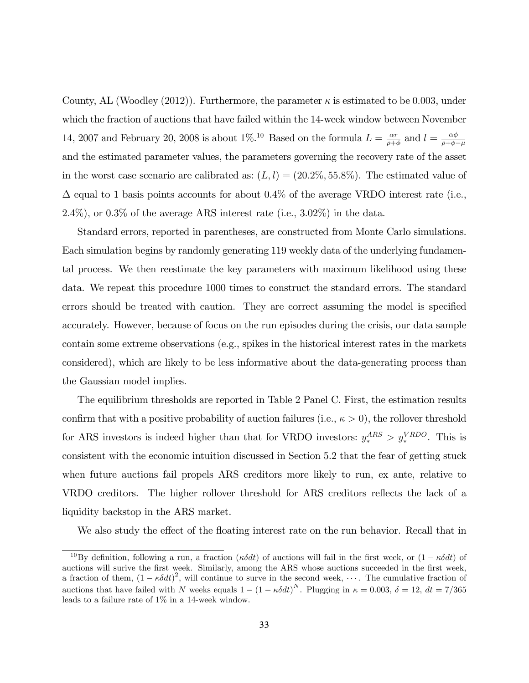County, AL (Woodley (2012)). Furthermore, the parameter  $\kappa$  is estimated to be 0.003, under which the fraction of auctions that have failed within the 14-week window between November 14, 2007 and February 20, 2008 is about  $1\%$ .<sup>10</sup> Based on the formula  $L = \frac{\alpha r}{\alpha + 1}$  $\frac{\alpha r}{\rho + \phi}$  and  $l = \frac{\alpha \phi}{\rho + \phi - \phi}$  $\rho + \phi - \mu$ and the estimated parameter values, the parameters governing the recovery rate of the asset in the worst case scenario are calibrated as:  $(L, l) = (20.2\%, 55.8\%)$ . The estimated value of  $\Delta$  equal to 1 basis points accounts for about 0.4% of the average VRDO interest rate (i.e., 2.4%), or 0.3% of the average ARS interest rate (i.e.,  $3.02\%$ ) in the data.

Standard errors, reported in parentheses, are constructed from Monte Carlo simulations. Each simulation begins by randomly generating 119 weekly data of the underlying fundamental process. We then reestimate the key parameters with maximum likelihood using these data. We repeat this procedure 1000 times to construct the standard errors. The standard errors should be treated with caution. They are correct assuming the model is specified accurately. However, because of focus on the run episodes during the crisis, our data sample contain some extreme observations (e.g., spikes in the historical interest rates in the markets considered), which are likely to be less informative about the data-generating process than the Gaussian model implies.

The equilibrium thresholds are reported in Table 2 Panel C. First, the estimation results confirm that with a positive probability of auction failures (i.e.,  $\kappa > 0$ ), the rollover threshold for ARS investors is indeed higher than that for VRDO investors:  $y_*^{ARS} > y_*^{VRDO}$ . This is consistent with the economic intuition discussed in Section 5.2 that the fear of getting stuck when future auctions fail propels ARS creditors more likely to run, ex ante, relative to VRDO creditors. The higher rollover threshold for ARS creditors reflects the lack of a liquidity backstop in the ARS market.

We also study the effect of the floating interest rate on the run behavior. Recall that in

<sup>&</sup>lt;sup>10</sup>By definition, following a run, a fraction ( $\kappa \delta dt$ ) of auctions will fail in the first week, or  $(1 - \kappa \delta dt)$  of auctions will surive the first week. Similarly, among the ARS whose auctions succeeded in the first week, a fraction of them,  $(1 - \kappa \delta dt)^2$ , will continue to surve in the second week, ... The cumulative fraction of auctions that have failed with N weeks equals  $1 - (1 - \kappa \delta dt)^N$ . Plugging in  $\kappa = 0.003$ ,  $\delta = 12$ ,  $dt = 7/365$ leads to a failure rate of 1% in a 14-week window.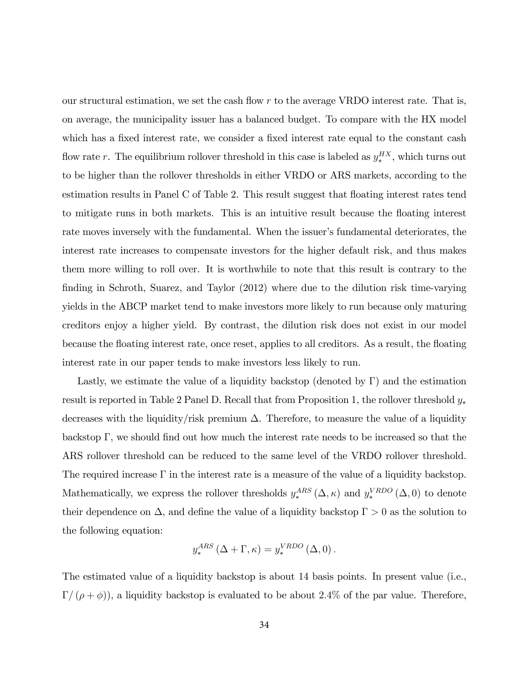our structural estimation, we set the cash flow  $r$  to the average VRDO interest rate. That is, on average, the municipality issuer has a balanced budget. To compare with the HX model which has a fixed interest rate, we consider a fixed interest rate equal to the constant cash flow rate r. The equilibrium rollover threshold in this case is labeled as  $y_*^{HX}$  $_{*}^{H X}$ , which turns out to be higher than the rollover thresholds in either VRDO or ARS markets, according to the estimation results in Panel C of Table 2. This result suggest that floating interest rates tend to mitigate runs in both markets. This is an intuitive result because the floating interest rate moves inversely with the fundamental. When the issuer's fundamental deteriorates, the interest rate increases to compensate investors for the higher default risk, and thus makes them more willing to roll over. It is worthwhile to note that this result is contrary to the finding in Schroth, Suarez, and Taylor (2012) where due to the dilution risk time-varying yields in the ABCP market tend to make investors more likely to run because only maturing creditors enjoy a higher yield. By contrast, the dilution risk does not exist in our model because the floating interest rate, once reset, applies to all creditors. As a result, the floating interest rate in our paper tends to make investors less likely to run.

Lastly, we estimate the value of a liquidity backstop (denoted by  $\Gamma$ ) and the estimation result is reported in Table 2 Panel D. Recall that from Proposition 1, the rollover threshold  $y_*$ decreases with the liquidity/risk premium  $\Delta$ . Therefore, to measure the value of a liquidity backstop  $\Gamma$ , we should find out how much the interest rate needs to be increased so that the ARS rollover threshold can be reduced to the same level of the VRDO rollover threshold. The required increase  $\Gamma$  in the interest rate is a measure of the value of a liquidity backstop. Mathematically, we express the rollover thresholds  $y_*^{ARS}$  $_{*}^{ARS}(\Delta, \kappa)$  and  $y_{*}^{VRDO}$  $_{*}^{VRDO}(\Delta,0)$  to denote their dependence on  $\Delta$ , and define the value of a liquidity backstop  $\Gamma > 0$  as the solution to the following equation:

$$
y_*^{ARS} (\Delta + \Gamma, \kappa) = y_*^{VRDO} (\Delta, 0).
$$

The estimated value of a liquidity backstop is about 14 basis points. In present value (i.e.,  $\Gamma / (\rho + \phi)$ ), a liquidity backstop is evaluated to be about 2.4% of the par value. Therefore,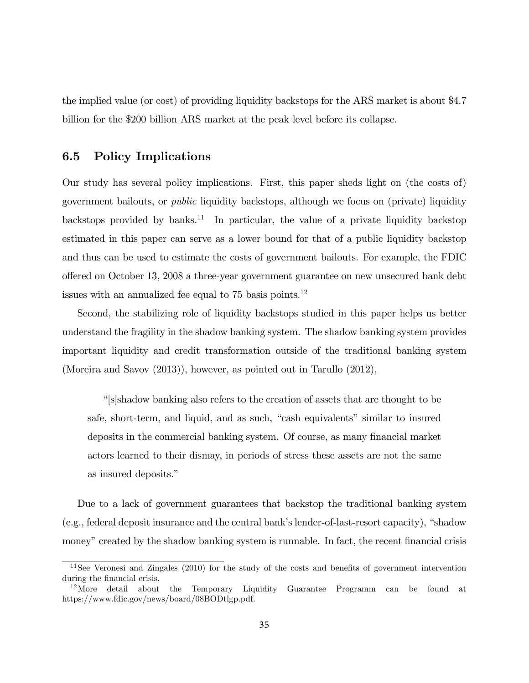the implied value (or cost) of providing liquidity backstops for the ARS market is about \$4.7 billion for the \$200 billion ARS market at the peak level before its collapse.

## 6.5 Policy Implications

Our study has several policy implications. First, this paper sheds light on (the costs of) government bailouts, or public liquidity backstops, although we focus on (private) liquidity backstops provided by banks.<sup>11</sup> In particular, the value of a private liquidity backstop estimated in this paper can serve as a lower bound for that of a public liquidity backstop and thus can be used to estimate the costs of government bailouts. For example, the FDIC o§ered on October 13, 2008 a three-year government guarantee on new unsecured bank debt issues with an annualized fee equal to 75 basis points.<sup>12</sup>

Second, the stabilizing role of liquidity backstops studied in this paper helps us better understand the fragility in the shadow banking system. The shadow banking system provides important liquidity and credit transformation outside of the traditional banking system (Moreira and Savov (2013)), however, as pointed out in Tarullo (2012),

ì[s]shadow banking also refers to the creation of assets that are thought to be safe, short-term, and liquid, and as such, "cash equivalents" similar to insured deposits in the commercial banking system. Of course, as many financial market actors learned to their dismay, in periods of stress these assets are not the same as insured deposits."

Due to a lack of government guarantees that backstop the traditional banking system  $(e.g., federal deposit insurance and the central bank's lender-of-last-resort capacity)$ , "shadow" money" created by the shadow banking system is runnable. In fact, the recent financial crisis

 $11$ See Veronesi and Zingales (2010) for the study of the costs and benefits of government intervention during the financial crisis.

 $12$ More detail about the Temporary Liquidity Guarantee Programm can be found at https://www.fdic.gov/news/board/08BODtlgp.pdf.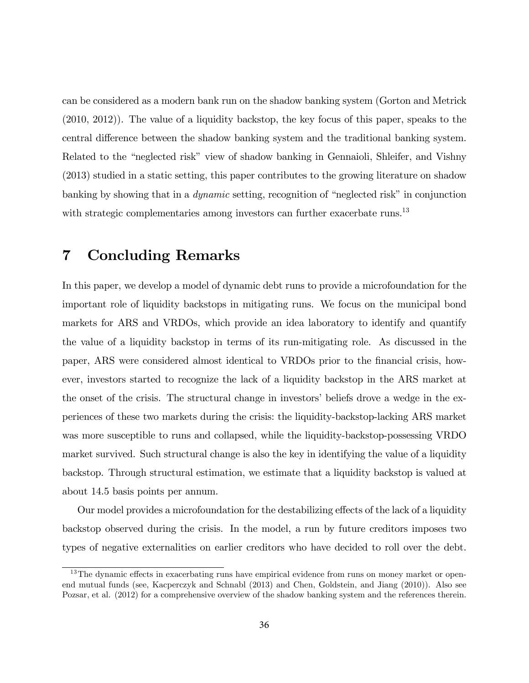can be considered as a modern bank run on the shadow banking system (Gorton and Metrick (2010, 2012)). The value of a liquidity backstop, the key focus of this paper, speaks to the central difference between the shadow banking system and the traditional banking system. Related to the "neglected risk" view of shadow banking in Gennaioli, Shleifer, and Vishny (2013) studied in a static setting, this paper contributes to the growing literature on shadow banking by showing that in a *dynamic* setting, recognition of "neglected risk" in conjunction with strategic complementaries among investors can further exacerbate runs.<sup>13</sup>

## 7 Concluding Remarks

In this paper, we develop a model of dynamic debt runs to provide a microfoundation for the important role of liquidity backstops in mitigating runs. We focus on the municipal bond markets for ARS and VRDOs, which provide an idea laboratory to identify and quantify the value of a liquidity backstop in terms of its run-mitigating role. As discussed in the paper, ARS were considered almost identical to VRDOs prior to the Önancial crisis, however, investors started to recognize the lack of a liquidity backstop in the ARS market at the onset of the crisis. The structural change in investors' beliefs drove a wedge in the experiences of these two markets during the crisis: the liquidity-backstop-lacking ARS market was more susceptible to runs and collapsed, while the liquidity-backstop-possessing VRDO market survived. Such structural change is also the key in identifying the value of a liquidity backstop. Through structural estimation, we estimate that a liquidity backstop is valued at about 14.5 basis points per annum.

Our model provides a microfoundation for the destabilizing effects of the lack of a liquidity backstop observed during the crisis. In the model, a run by future creditors imposes two types of negative externalities on earlier creditors who have decided to roll over the debt.

 $13$ The dynamic effects in exacerbating runs have empirical evidence from runs on money market or openend mutual funds (see, Kacperczyk and Schnabl (2013) and Chen, Goldstein, and Jiang (2010)). Also see Pozsar, et al. (2012) for a comprehensive overview of the shadow banking system and the references therein.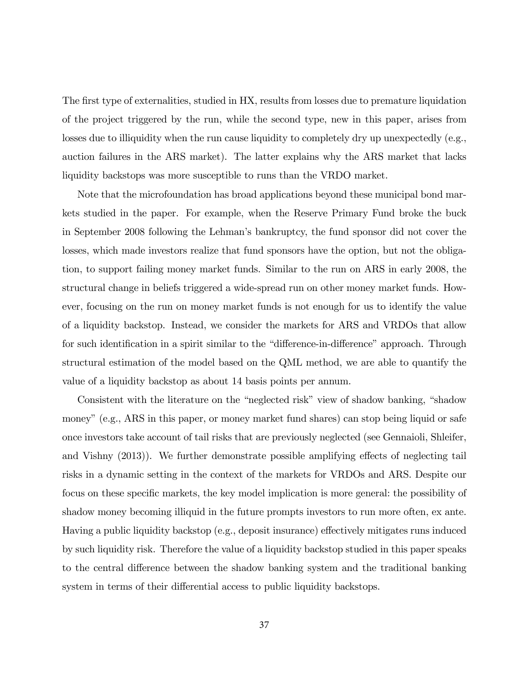The first type of externalities, studied in HX, results from losses due to premature liquidation of the project triggered by the run, while the second type, new in this paper, arises from losses due to illiquidity when the run cause liquidity to completely dry up unexpectedly (e.g., auction failures in the ARS market). The latter explains why the ARS market that lacks liquidity backstops was more susceptible to runs than the VRDO market.

Note that the microfoundation has broad applications beyond these municipal bond markets studied in the paper. For example, when the Reserve Primary Fund broke the buck in September 2008 following the Lehmanís bankruptcy, the fund sponsor did not cover the losses, which made investors realize that fund sponsors have the option, but not the obligation, to support failing money market funds. Similar to the run on ARS in early 2008, the structural change in beliefs triggered a wide-spread run on other money market funds. However, focusing on the run on money market funds is not enough for us to identify the value of a liquidity backstop. Instead, we consider the markets for ARS and VRDOs that allow for such identification in a spirit similar to the "difference-in-difference" approach. Through structural estimation of the model based on the QML method, we are able to quantify the value of a liquidity backstop as about 14 basis points per annum.

Consistent with the literature on the "neglected risk" view of shadow banking, "shadow money" (e.g., ARS in this paper, or money market fund shares) can stop being liquid or safe once investors take account of tail risks that are previously neglected (see Gennaioli, Shleifer, and Vishny  $(2013)$ ). We further demonstrate possible amplifying effects of neglecting tail risks in a dynamic setting in the context of the markets for VRDOs and ARS. Despite our focus on these specific markets, the key model implication is more general: the possibility of shadow money becoming illiquid in the future prompts investors to run more often, ex ante. Having a public liquidity backstop (e.g., deposit insurance) effectively mitigates runs induced by such liquidity risk. Therefore the value of a liquidity backstop studied in this paper speaks to the central difference between the shadow banking system and the traditional banking system in terms of their differential access to public liquidity backstops.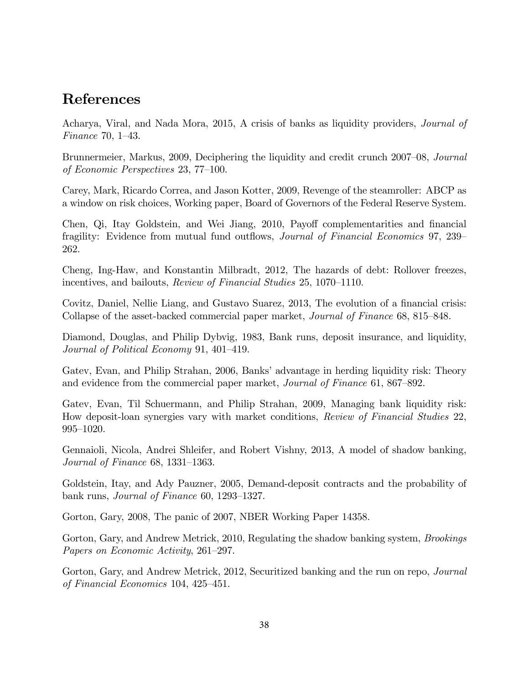## References

Acharya, Viral, and Nada Mora, 2015, A crisis of banks as liquidity providers, Journal of Finance 70,  $1-43$ .

Brunnermeier, Markus, 2009, Deciphering the liquidity and credit crunch 2007–08, Journal of Economic Perspectives  $23, 77-100$ .

Carey, Mark, Ricardo Correa, and Jason Kotter, 2009, Revenge of the steamroller: ABCP as a window on risk choices, Working paper, Board of Governors of the Federal Reserve System.

Chen, Qi, Itay Goldstein, and Wei Jiang, 2010, Payoff complementarities and financial fragility: Evidence from mutual fund outflows, *Journal of Financial Economics* 97, 239 262.

Cheng, Ing-Haw, and Konstantin Milbradt, 2012, The hazards of debt: Rollover freezes, incentives, and bailouts, *Review of Financial Studies* 25, 1070–1110.

Covitz, Daniel, Nellie Liang, and Gustavo Suarez, 2013, The evolution of a financial crisis: Collapse of the asset-backed commercial paper market, *Journal of Finance* 68, 815–848.

Diamond, Douglas, and Philip Dybvig, 1983, Bank runs, deposit insurance, and liquidity, Journal of Political Economy 91, 401-419.

Gatev, Evan, and Philip Strahan, 2006, Banks' advantage in herding liquidity risk: Theory and evidence from the commercial paper market, *Journal of Finance* 61, 867–892.

Gatev, Evan, Til Schuermann, and Philip Strahan, 2009, Managing bank liquidity risk: How deposit-loan synergies vary with market conditions, Review of Financial Studies 22, 995-1020.

Gennaioli, Nicola, Andrei Shleifer, and Robert Vishny, 2013, A model of shadow banking, Journal of Finance  $68$ , 1331–1363.

Goldstein, Itay, and Ady Pauzner, 2005, Demand-deposit contracts and the probability of bank runs, *Journal of Finance* 60, 1293–1327.

Gorton, Gary, 2008, The panic of 2007, NBER Working Paper 14358.

Gorton, Gary, and Andrew Metrick, 2010, Regulating the shadow banking system, *Brookings* Papers on Economic Activity, 261–297.

Gorton, Gary, and Andrew Metrick, 2012, Securitized banking and the run on repo, *Journal* of Financial Economics 104,  $425-451$ .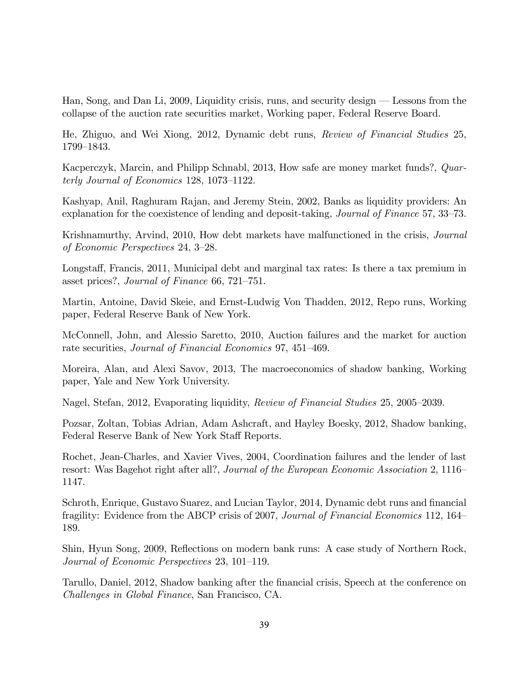Han, Song, and Dan Li, 2009, Liquidity crisis, runs, and security design  $-$  Lessons from the collapse of the auction rate securities market, Working paper, Federal Reserve Board.

He, Zhiguo, and Wei Xiong, 2012, Dynamic debt runs, Review of Financial Studies 25, 1799–1843.

Kacperczyk, Marcin, and Philipp Schnabl, 2013, How safe are money market funds?, Quarterly Journal of Economics 128,  $1073-1122$ .

Kashyap, Anil, Raghuram Rajan, and Jeremy Stein, 2002, Banks as liquidity providers: An explanation for the coexistence of lending and deposit-taking, *Journal of Finance* 57,  $33-73$ .

Krishnamurthy, Arvind, 2010, How debt markets have malfunctioned in the crisis, Journal of Economic Perspectives  $24, 3-28.$ 

Longstaff, Francis, 2011, Municipal debt and marginal tax rates: Is there a tax premium in asset prices?, Journal of Finance  $66, 721-751$ .

Martin, Antoine, David Skeie, and Ernst-Ludwig Von Thadden, 2012, Repo runs, Working paper, Federal Reserve Bank of New York.

McConnell, John, and Alessio Saretto, 2010, Auction failures and the market for auction rate securities, *Journal of Financial Economics* 97, 451–469.

Moreira, Alan, and Alexi Savov, 2013, The macroeconomics of shadow banking, Working paper, Yale and New York University.

Nagel, Stefan, 2012, Evaporating liquidity, Review of Financial Studies 25, 2005–2039.

Pozsar, Zoltan, Tobias Adrian, Adam Ashcraft, and Hayley Boesky, 2012, Shadow banking, Federal Reserve Bank of New York Staff Reports.

Rochet, Jean-Charles, and Xavier Vives, 2004, Coordination failures and the lender of last resort: Was Bagehot right after all?, Journal of the European Economic Association 2, 1116 1147.

Schroth, Enrique, Gustavo Suarez, and Lucian Taylor, 2014, Dynamic debt runs and financial fragility: Evidence from the ABCP crisis of 2007, Journal of Financial Economics 112, 164 189.

Shin, Hyun Song, 2009, Reflections on modern bank runs: A case study of Northern Rock, Journal of Economic Perspectives 23, 101–119.

Tarullo, Daniel, 2012, Shadow banking after the financial crisis, Speech at the conference on Challenges in Global Finance, San Francisco, CA.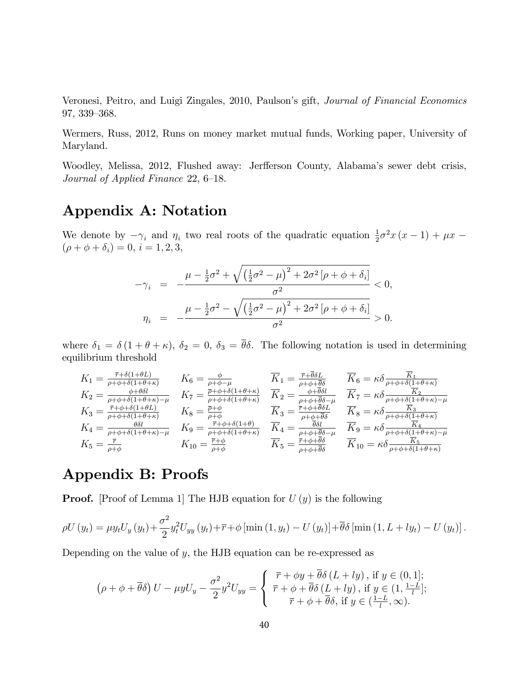Veronesi, Peitro, and Luigi Zingales, 2010, Paulson's gift, *Journal of Financial Economics* 97, 339-368.

Wermers, Russ, 2012, Runs on money market mutual funds, Working paper, University of Maryland.

Woodley, Melissa, 2012, Flushed away: Jerfferson County, Alabama's sewer debt crisis, Journal of Applied Finance  $22, 6-18$ .

# Appendix A: Notation

We denote by  $-\gamma_i$  and  $\eta_i$  two real roots of the quadratic equation  $\frac{1}{2}\sigma^2 x (x-1) + \mu x$  $(\rho + \phi + \delta_i) = 0, i = 1, 2, 3,$ 

$$
-\gamma_{i} = -\frac{\mu - \frac{1}{2}\sigma^{2} + \sqrt{\left(\frac{1}{2}\sigma^{2} - \mu\right)^{2} + 2\sigma^{2}\left[\rho + \phi + \delta_{i}\right]}}{\sigma^{2}} < 0,
$$
  

$$
\eta_{i} = -\frac{\mu - \frac{1}{2}\sigma^{2} - \sqrt{\left(\frac{1}{2}\sigma^{2} - \mu\right)^{2} + 2\sigma^{2}\left[\rho + \phi + \delta_{i}\right]}}{\sigma^{2}} > 0.
$$

where  $\delta_1 = \delta (1 + \theta + \kappa)$ ,  $\delta_2 = 0$ ,  $\delta_3 = \overline{\theta} \delta$ . The following notation is used in determining equilibrium threshold

$$
K_1 = \frac{\overline{r} + \delta(1+\theta L)}{\rho + \phi + \delta(1+\theta + \kappa)}
$$
\n
$$
K_2 = \frac{\phi + \theta \delta l}{\rho + \phi + \delta(1+\theta + \kappa)}
$$
\n
$$
K_3 = \frac{\overline{r} + \phi + \delta(1+\theta + \kappa)}{\rho + \phi + \delta(1+\theta + \kappa)}
$$
\n
$$
K_4 = \frac{\theta \delta l}{\rho + \phi + \delta(1+\theta + \kappa)}
$$
\n
$$
K_5 = \frac{\overline{r} + \phi}{\rho + \phi + \delta(1+\theta + \kappa)}
$$
\n
$$
K_6 = \frac{\phi}{\rho + \phi + \delta(1+\theta + \kappa)}
$$
\n
$$
K_7 = \frac{\overline{r} + \phi + \delta(1+\theta + \kappa)}{\rho + \phi + \delta(1+\theta + \kappa)}
$$
\n
$$
K_8 = \frac{\overline{r} + \phi}{\rho + \phi}
$$
\n
$$
K_9 = \frac{\overline{r} + \phi}{\rho + \phi + \delta(1+\theta + \kappa)}
$$
\n
$$
K_9 = \frac{\overline{r} + \phi}{\rho + \phi + \delta(1+\theta + \kappa)}
$$
\n
$$
K_1 = \frac{\overline{r} + \phi}{\rho + \phi + \delta(1+\theta + \kappa)}
$$
\n
$$
K_2 = \frac{\overline{r} + \phi}{\rho + \phi + \theta}
$$
\n
$$
K_3 = \frac{\overline{r} + \phi + \delta(1+\theta)}{\rho + \phi + \theta}
$$
\n
$$
K_4 = \frac{\overline{\theta} \delta l}{\rho + \phi + \delta(1+\theta + \kappa)}
$$
\n
$$
K_5 = \frac{\overline{r} + \phi}{\rho + \phi + \theta}
$$
\n
$$
K_6 = \frac{\overline{r} + \phi}{\rho + \phi + \delta(1+\theta + \kappa)}
$$
\n
$$
K_7 = \frac{\overline{r} + \phi}{\rho + \phi + \delta(1+\theta + \kappa)}
$$
\n
$$
K_8 = \frac{\overline{r} + \phi}{\rho + \phi + \delta(1+\theta + \kappa)}
$$
\n
$$
K_9 = \frac{\overline{r} + \phi +
$$

## Appendix B: Proofs

**Proof.** [Proof of Lemma 1] The HJB equation for  $U(y)$  is the following

$$
\rho U(y_t) = \mu y_t U_y(y_t) + \frac{\sigma^2}{2} y_t^2 U_{yy}(y_t) + \overline{r} + \phi \left[ \min(1, y_t) - U(y_t) \right] + \overline{\theta} \delta \left[ \min(1, L + ly_t) - U(y_t) \right].
$$

Depending on the value of  $y$ , the HJB equation can be re-expressed as

$$
\left(\rho + \phi + \overline{\theta}\delta\right)U - \mu yU_y - \frac{\sigma^2}{2}y^2U_{yy} = \begin{cases} \overline{r} + \phi y + \overline{\theta}\delta\left(L + ly\right), \text{ if } y \in (0, 1];\\ \overline{r} + \phi + \overline{\theta}\delta\left(L + ly\right), \text{ if } y \in (1, \frac{1 - L}{l};\\ \overline{r} + \phi + \overline{\theta}\delta, \text{ if } y \in (\frac{1 - L}{l}, \infty). \end{cases}
$$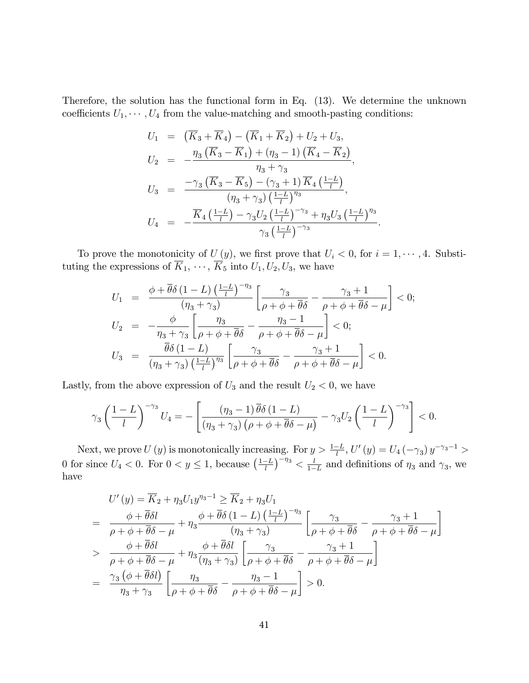Therefore, the solution has the functional form in Eq. (13). We determine the unknown coefficients  $U_1, \dots, U_4$  from the value-matching and smooth-pasting conditions:

$$
U_1 = (\overline{K}_3 + \overline{K}_4) - (\overline{K}_1 + \overline{K}_2) + U_2 + U_3,
$$
  
\n
$$
U_2 = -\frac{\eta_3 (\overline{K}_3 - \overline{K}_1) + (\eta_3 - 1) (\overline{K}_4 - \overline{K}_2)}{\eta_3 + \gamma_3},
$$
  
\n
$$
U_3 = \frac{-\gamma_3 (\overline{K}_3 - \overline{K}_5) - (\gamma_3 + 1) \overline{K}_4 (\frac{1 - L}{l})}{(\eta_3 + \gamma_3) (\frac{1 - L}{l})^{\eta_3}},
$$
  
\n
$$
U_4 = -\frac{\overline{K}_4 (\frac{1 - L}{l}) - \gamma_3 U_2 (\frac{1 - L}{l})^{-\gamma_3} + \eta_3 U_3 (\frac{1 - L}{l})^{\eta_3}}{\gamma_3 (\frac{1 - L}{l})^{-\gamma_3}}.
$$

To prove the monotonicity of  $U(y)$ , we first prove that  $U_i < 0$ , for  $i = 1, \dots, 4$ . Substituting the expressions of  $\overline{K}_1, \cdots, \overline{K}_5$  into  $U_1, U_2, U_3$ , we have

$$
U_1 = \frac{\phi + \overline{\theta}\delta \left(1 - L\right) \left(\frac{1 - L}{l}\right)^{-\eta_3}}{\left(\eta_3 + \gamma_3\right)} \left[\frac{\gamma_3}{\rho + \phi + \overline{\theta}\delta} - \frac{\gamma_3 + 1}{\rho + \phi + \overline{\theta}\delta - \mu}\right] < 0;
$$
  
\n
$$
U_2 = -\frac{\phi}{\eta_3 + \gamma_3} \left[\frac{\eta_3}{\rho + \phi + \overline{\theta}\delta} - \frac{\eta_3 - 1}{\rho + \phi + \overline{\theta}\delta - \mu}\right] < 0;
$$
  
\n
$$
U_3 = \frac{\overline{\theta}\delta \left(1 - L\right)}{\left(\eta_3 + \gamma_3\right) \left(\frac{1 - L}{l}\right)^{\eta_3}} \left[\frac{\gamma_3}{\rho + \phi + \overline{\theta}\delta} - \frac{\gamma_3 + 1}{\rho + \phi + \overline{\theta}\delta - \mu}\right] < 0.
$$

Lastly, from the above expression of  $U_3$  and the result  $U_2 < 0$ , we have

$$
\gamma_3 \left(\frac{1-L}{l}\right)^{-\gamma_3} U_4 = -\left[\frac{(\eta_3 - 1)\,\overline{\theta}\delta\left(1-L\right)}{(\eta_3 + \gamma_3)\left(\rho + \phi + \overline{\theta}\delta - \mu\right)} - \gamma_3 U_2 \left(\frac{1-L}{l}\right)^{-\gamma_3}\right] < 0.
$$

Next, we prove U (y) is monotonically increasing. For  $y > \frac{1-L}{l}$ , U' (y) =  $U_4$  (- $\gamma_3$ )  $y^{-\gamma_3-1}$  > 0 for since  $U_4 < 0$ . For  $0 < y \le 1$ , because  $\left(\frac{1-L}{l}\right)^{-\eta_3} < \frac{l}{1-l}$  $\frac{l}{1-L}$  and definitions of  $\eta_3$  and  $\gamma_3$ , we have

$$
U'(y) = \overline{K}_2 + \eta_3 U_1 y^{\eta_3 - 1} \ge \overline{K}_2 + \eta_3 U_1
$$
  
= 
$$
\frac{\phi + \overline{\theta} \delta l}{\rho + \phi + \overline{\theta} \delta - \mu} + \eta_3 \frac{\phi + \overline{\theta} \delta (1 - L) \left(\frac{1 - L}{l}\right)^{-\eta_3}}{(\eta_3 + \gamma_3)} \left[\frac{\gamma_3}{\rho + \phi + \overline{\theta} \delta} - \frac{\gamma_3 + 1}{\rho + \phi + \overline{\theta} \delta - \mu}\right]
$$
  
> 
$$
\frac{\phi + \overline{\theta} \delta l}{\rho + \phi + \overline{\theta} \delta - \mu} + \eta_3 \frac{\phi + \overline{\theta} \delta l}{(\eta_3 + \gamma_3)} \left[\frac{\gamma_3}{\rho + \phi + \overline{\theta} \delta} - \frac{\gamma_3 + 1}{\rho + \phi + \overline{\theta} \delta - \mu}\right]
$$
  
= 
$$
\frac{\gamma_3 (\phi + \overline{\theta} \delta l)}{\eta_3 + \gamma_3} \left[\frac{\eta_3}{\rho + \phi + \overline{\theta} \delta} - \frac{\eta_3 - 1}{\rho + \phi + \overline{\theta} \delta - \mu}\right] > 0.
$$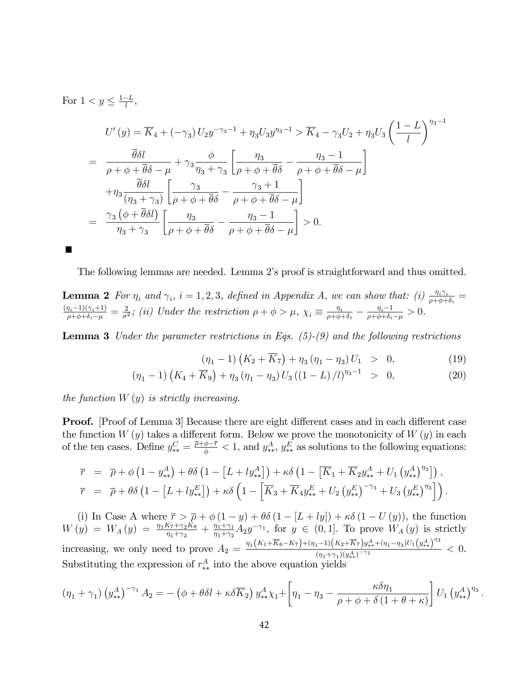For  $1 < y \leq \frac{1-L}{l}$ ,

**Contract** 

$$
U'(y) = \overline{K}_4 + (-\gamma_3) U_2 y^{-\gamma_3 - 1} + \eta_3 U_3 y^{\eta_3 - 1} > \overline{K}_4 - \gamma_3 U_2 + \eta_3 U_3 \left(\frac{1 - L}{l}\right)^{\eta_3 - 1}
$$
  
= 
$$
\frac{\overline{\theta} \delta l}{\rho + \phi + \overline{\theta} \delta - \mu} + \gamma_3 \frac{\phi}{\eta_3 + \gamma_3} \left[ \frac{\eta_3}{\rho + \phi + \overline{\theta} \delta} - \frac{\eta_3 - 1}{\rho + \phi + \overline{\theta} \delta - \mu} \right]
$$

$$
+ \eta_3 \frac{\overline{\theta} \delta l}{(\eta_3 + \gamma_3)} \left[ \frac{\gamma_3}{\rho + \phi + \overline{\theta} \delta} - \frac{\gamma_3 + 1}{\rho + \phi + \overline{\theta} \delta - \mu} \right]
$$

$$
= \frac{\gamma_3 \left(\phi + \overline{\theta} \delta l\right)}{\eta_3 + \gamma_3} \left[ \frac{\eta_3}{\rho + \phi + \overline{\theta} \delta} - \frac{\eta_3 - 1}{\rho + \phi + \overline{\theta} \delta - \mu} \right] > 0.
$$

The following lemmas are needed. Lemma 2ís proof is straightforward and thus omitted.

**Lemma 2** For  $\eta_i$  and  $\gamma_i$ ,  $i = 1, 2, 3$ , defined in Appendix A, we can show that: (i)  $\frac{\eta_i \gamma_i}{\rho + \phi + \delta_i}$  $\frac{(\eta_i-1)(\gamma_i+1)}{\rho+\phi+\delta_i-\mu}=\frac{2}{\sigma^2}$  $\frac{2}{\sigma^2}$ ; (ii) Under the restriction  $\rho + \phi > \mu$ ,  $\chi_i \equiv \frac{\eta_i}{\rho + \phi_i}$  $\frac{\eta_i}{\rho + \phi + \delta_i} - \frac{\eta_i - 1}{\rho + \phi + \delta_i}$  $\frac{\eta_i-1}{\rho+\phi+\delta_i-\mu}>0.$ 

**Lemma 3** Under the parameter restrictions in Eqs.  $(5)-(9)$  and the following restrictions

$$
(\eta_1 - 1) (K_2 + \overline{K}_7) + \eta_3 (\eta_1 - \eta_3) U_1 > 0, \qquad (19)
$$

:

$$
(\eta_1 - 1) \left( K_4 + \overline{K}_9 \right) + \eta_3 \left( \eta_1 - \eta_3 \right) U_3 \left( (1 - L) / l \right)^{\eta_3 - 1} > 0, \tag{20}
$$

the function  $W(y)$  is strictly increasing.

**Proof.** [Proof of Lemma 3] Because there are eight different cases and in each different case the function  $W(y)$  takes a different form. Below we prove the monotonicity of  $W(y)$  in each of the ten cases. Define  $y_{**}^C = \frac{\bar{p} + \phi - \bar{r}}{\phi} < 1$ , and  $y_{**}^A$ ,  $y_{**}^E$  as solutions to the following equations:

$$
\overline{r} = \overline{\rho} + \phi \left( 1 - y_{**}^A \right) + \theta \delta \left( 1 - \left[ L + l y_{**}^A \right] \right) + \kappa \delta \left( 1 - \left[ \overline{K}_1 + \overline{K}_2 y_{**}^A + U_1 \left( y_{**}^A \right)^{\eta_3} \right] \right), \n\overline{r} = \overline{\rho} + \theta \delta \left( 1 - \left[ L + l y_{**}^E \right] \right) + \kappa \delta \left( 1 - \left[ \overline{K}_3 + \overline{K}_4 y_{**}^E + U_2 \left( y_{**}^E \right)^{-\gamma_3} + U_3 \left( y_{**}^E \right)^{\eta_3} \right] \right).
$$

(i) In Case A where  $\overline{r} > \overline{\rho} + \phi(1-y) + \theta \delta(1 - [L + ly]) + \kappa \delta(1 - U(y))$ , the function  $W(y) = W_A(y) = \frac{\eta_1 K_7 + \gamma_2 K_8}{\eta_1 + \gamma_2} + \frac{\eta_1 + \gamma_1}{\eta_1 + \gamma_2}$  $\frac{\eta_1 + \gamma_1}{\eta_1 + \gamma_2} A_2 y^{-\gamma_1}$ , for  $y \in (0, 1]$ . To prove  $W_A(y)$  is strictly increasing, we only need to prove  $A_2 = \frac{\eta_1 (K_1 + \overline{K}_6 - K_7) + (\eta_1 - 1)(K_2 + \overline{K}_7) y_{**}^A + (\eta_1 - \eta_3) U_1 (y_{**}^A)^{\eta_3}}{(\eta_1 + \overline{\chi})^{(\eta_4 - \gamma_1)}},$  $\frac{(n_1+\gamma_1)(y^A_{**})^{-\gamma_1}}{(n_1+\gamma_1)(y^A_{**})^{-\gamma_1}} < 0.$ Substituting the expression of  $r_{**}^A$  into the above equation yields

$$
(\eta_1 + \gamma_1) (y_{**}^A)^{-\gamma_1} A_2 = -(\phi + \theta \delta l + \kappa \delta \overline{K}_2) y_{**}^A \chi_1 + \left[ \eta_1 - \eta_3 - \frac{\kappa \delta \eta_1}{\rho + \phi + \delta (1 + \theta + \kappa)} \right] U_1 (y_{**}^A)^{\eta_3}
$$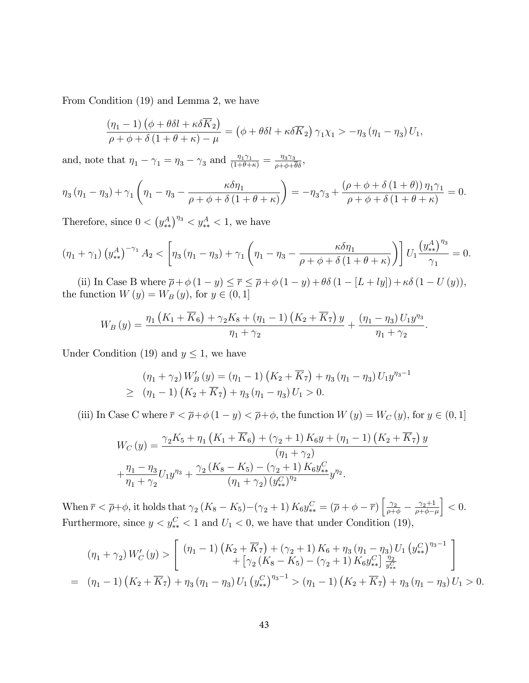From Condition (19) and Lemma 2, we have

$$
\frac{(\eta_1 - 1) (\phi + \theta \delta l + \kappa \delta \overline{K}_2)}{\rho + \phi + \delta (1 + \theta + \kappa) - \mu} = (\phi + \theta \delta l + \kappa \delta \overline{K}_2) \gamma_1 \chi_1 > -\eta_3 (\eta_1 - \eta_3) U_1,
$$

and, note that  $\eta_1 - \gamma_1 = \eta_3 - \gamma_3$  and  $\frac{\eta_1 \gamma_1}{(1+\theta+\kappa)} = \frac{\eta_3 \gamma_3}{\rho+\phi+\theta\delta}$ ,

$$
\eta_3(\eta_1 - \eta_3) + \gamma_1 \left( \eta_1 - \eta_3 - \frac{\kappa \delta \eta_1}{\rho + \phi + \delta (1 + \theta + \kappa)} \right) = -\eta_3 \gamma_3 + \frac{(\rho + \phi + \delta (1 + \theta)) \eta_1 \gamma_1}{\rho + \phi + \delta (1 + \theta + \kappa)} = 0.
$$

Therefore, since  $0 < (y_{**}^A)^{\eta_3} < y_{**}^A < 1$ , we have

$$
\left(\eta_1 + \gamma_1\right) \left(y_{**}^A\right)^{-\gamma_1} A_2 < \left[\eta_3 \left(\eta_1 - \eta_3\right) + \gamma_1 \left(\eta_1 - \eta_3 - \frac{\kappa \delta \eta_1}{\rho + \phi + \delta \left(1 + \theta + \kappa\right)}\right)\right] U_1 \frac{\left(y_{**}^A\right)^{\eta_3}}{\gamma_1} = 0.
$$

(ii) In Case B where  $\overline{\rho} + \phi(1 - y) \leq \overline{r} \leq \overline{\rho} + \phi(1 - y) + \theta \delta(1 - [L + ly]) + \kappa \delta(1 - U(y)),$ the function  $W(y) = W_B(y)$ , for  $y \in (0, 1]$ 

$$
W_B(y) = \frac{\eta_1 (K_1 + \overline{K}_6) + \gamma_2 K_8 + (\eta_1 - 1) (K_2 + \overline{K}_7) y}{\eta_1 + \gamma_2} + \frac{(\eta_1 - \eta_3) U_1 y^{\eta_3}}{\eta_1 + \gamma_2}
$$

:

Under Condition (19) and  $y \leq 1$ , we have

$$
(\eta_1 + \gamma_2) W'_B(y) = (\eta_1 - 1) (K_2 + \overline{K}_7) + \eta_3 (\eta_1 - \eta_3) U_1 y^{\eta_3 - 1}
$$
  
\n
$$
\geq (\eta_1 - 1) (K_2 + \overline{K}_7) + \eta_3 (\eta_1 - \eta_3) U_1 > 0.
$$

(iii) In Case C where  $\bar{r} < \bar{\rho} + \phi (1 - y) < \bar{\rho} + \phi$ , the function  $W(y) = W_C(y)$ , for  $y \in (0, 1]$ 

$$
W_C(y) = \frac{\gamma_2 K_5 + \eta_1 (K_1 + \overline{K}_6) + (\gamma_2 + 1) K_6 y + (\eta_1 - 1) (K_2 + \overline{K}_7) y}{(\eta_1 + \gamma_2)}
$$
  
+ 
$$
\frac{\eta_1 - \eta_3}{\eta_1 + \gamma_2} U_1 y^{\eta_3} + \frac{\gamma_2 (K_8 - K_5) - (\gamma_2 + 1) K_6 y_{**}^C}{(\eta_1 + \gamma_2) (y_{**}^C)^{\eta_2}} y^{\eta_2}.
$$

When  $\bar{r} < \bar{\rho} + \phi$ , it holds that  $\gamma_2 (K_8 - K_5) - (\gamma_2 + 1) K_6 y_{**}^C = (\bar{\rho} + \phi - \bar{r}) \left[ \frac{\gamma_2}{\rho + \phi} - \frac{\gamma_2 + 1}{\rho + \phi - \rho} \right]$  $\rho + \phi - \mu$  $\Big] < 0.$ Furthermore, since  $y < y_{**}^C < 1$  and  $U_1 < 0$ , we have that under Condition (19),

$$
(\eta_1 + \gamma_2) W'_C(y) > \begin{bmatrix} (\eta_1 - 1) (K_2 + \overline{K}_7) + (\gamma_2 + 1) K_6 + \eta_3 (\eta_1 - \eta_3) U_1 (y_{**}^C)^{\eta_3 - 1} \\ + [\gamma_2 (K_8 - K_5) - (\gamma_2 + 1) K_6 y_{**}^C] \frac{\eta_2}{y_{**}^C} \\ = (\eta_1 - 1) (K_2 + \overline{K}_7) + \eta_3 (\eta_1 - \eta_3) U_1 (y_{**}^C)^{\eta_3 - 1} > (\eta_1 - 1) (K_2 + \overline{K}_7) + \eta_3 (\eta_1 - \eta_3) U_1 > 0. \end{bmatrix}
$$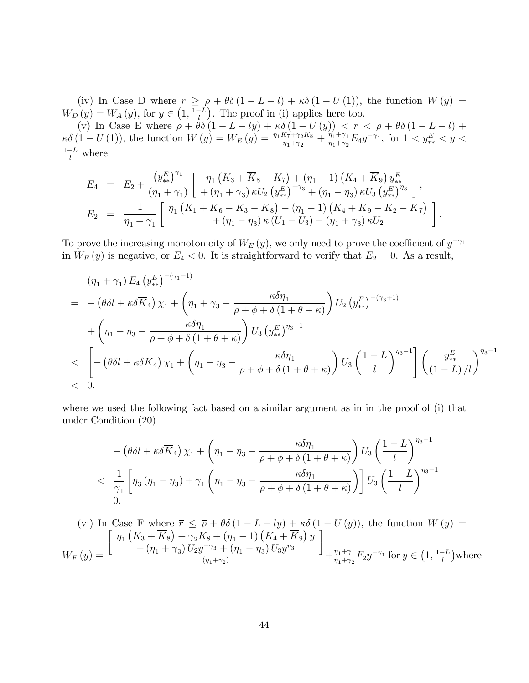(iv) In Case D where  $\overline{r} \geq \overline{\rho} + \theta \delta (1 - L - l) + \kappa \delta (1 - U(1))$ , the function  $W(y) =$  $W_D(y) = W_A(y)$ , for  $y \in \left(1, \frac{1-L}{y}\right)$ . The proof in (i) applies here too.

(v) In Case E where  $\overline{\rho} + \theta \delta (1 - L - ly) + \kappa \delta (1 - U(y)) < \overline{r} < \overline{\rho} + \theta \delta (1 - L - l) +$  $\kappa \delta (1 - U(1)),$  the function  $W(y) = W_E(y) = \frac{\eta_1 K_7 + \gamma_2 K_8}{\eta_1 + \gamma_2} + \frac{\eta_1 + \gamma_1}{\eta_1 + \gamma_2}$  $\frac{\eta_1 + \gamma_1}{\eta_1 + \gamma_2} E_4 y^{-\gamma_1}$ , for  $1 < y_*^E < y <$  $\frac{1-L}{l}$  where

$$
E_4 = E_2 + \frac{(y_{**}^E)^{\gamma_1}}{(\eta_1 + \gamma_1)} \left[ \begin{array}{c} \eta_1 \left( K_3 + \overline{K}_8 - K_7 \right) + (\eta_1 - 1) \left( K_4 + \overline{K}_9 \right) y_{**}^E \\ + (\eta_1 + \gamma_3) \kappa U_2 \left( y_{**}^E \right)^{-\gamma_3} + (\eta_1 - \eta_3) \kappa U_3 \left( y_{**}^E \right)^{\eta_3} \end{array} \right],
$$
  
\n
$$
E_2 = \frac{1}{\eta_1 + \gamma_1} \left[ \begin{array}{c} \eta_1 \left( K_1 + \overline{K}_6 - K_3 - \overline{K}_8 \right) - (\eta_1 - 1) \left( K_4 + \overline{K}_9 - K_2 - \overline{K}_7 \right) \\ + (\eta_1 - \eta_3) \kappa \left( U_1 - U_3 \right) - (\eta_1 + \gamma_3) \kappa U_2 \end{array} \right].
$$

To prove the increasing monotonicity of  $W_E(y)$ , we only need to prove the coefficient of  $y^{-\gamma_1}$ in  $W_E(y)$  is negative, or  $E_4 < 0$ . It is straightforward to verify that  $E_2 = 0$ . As a result,

$$
(\eta_1 + \gamma_1) E_4 (y_{**}^E)^{-(\gamma_1+1)}
$$
  
=  $-(\theta \delta l + \kappa \delta \overline{K}_4) \chi_1 + (\eta_1 + \gamma_3 - \frac{\kappa \delta \eta_1}{\rho + \phi + \delta (1 + \theta + \kappa)}) U_2 (y_{**}^E)^{-(\gamma_3+1)}$   
+  $(\eta_1 - \eta_3 - \frac{\kappa \delta \eta_1}{\rho + \phi + \delta (1 + \theta + \kappa)}) U_3 (y_{**}^E)^{\eta_3-1}$   
 $< \left[ -(\theta \delta l + \kappa \delta \overline{K}_4) \chi_1 + (\eta_1 - \eta_3 - \frac{\kappa \delta \eta_1}{\rho + \phi + \delta (1 + \theta + \kappa)}) U_3 \left( \frac{1-L}{l} \right)^{\eta_3-1} \right] \left( \frac{y_{**}^E}{(1-L)/l} \right)^{\eta_3-1}$   
< 0.

where we used the following fact based on a similar argument as in in the proof of (i) that under Condition (20)

$$
- \left(\theta \delta l + \kappa \delta \overline{K}_4\right) \chi_1 + \left(\eta_1 - \eta_3 - \frac{\kappa \delta \eta_1}{\rho + \phi + \delta (1 + \theta + \kappa)}\right) U_3 \left(\frac{1 - L}{l}\right)^{\eta_3 - 1}
$$
  

$$
< \frac{1}{\gamma_1} \left[\eta_3 \left(\eta_1 - \eta_3\right) + \gamma_1 \left(\eta_1 - \eta_3 - \frac{\kappa \delta \eta_1}{\rho + \phi + \delta (1 + \theta + \kappa)}\right)\right] U_3 \left(\frac{1 - L}{l}\right)^{\eta_3 - 1}
$$
  
= 0.

(vi) In Case F where 
$$
\overline{r} \leq \overline{\rho} + \theta \delta (1 - L - ly) + \kappa \delta (1 - U(y))
$$
, the function  $W(y) = \frac{\left[\eta_1 \left(K_3 + \overline{K}_8\right) + \gamma_2 K_8 + (\eta_1 - 1) \left(K_4 + \overline{K}_9\right) y\right]}{+(\eta_1 + \gamma_3) U_2 y^{-\gamma_3} + (\eta_1 - \eta_3) U_3 y^{\eta_3}} + \frac{\eta_1 + \gamma_1}{\eta_1 + \gamma_2} F_2 y^{-\gamma_1}$  for  $y \in \left(1, \frac{1 - L}{l}\right)$  where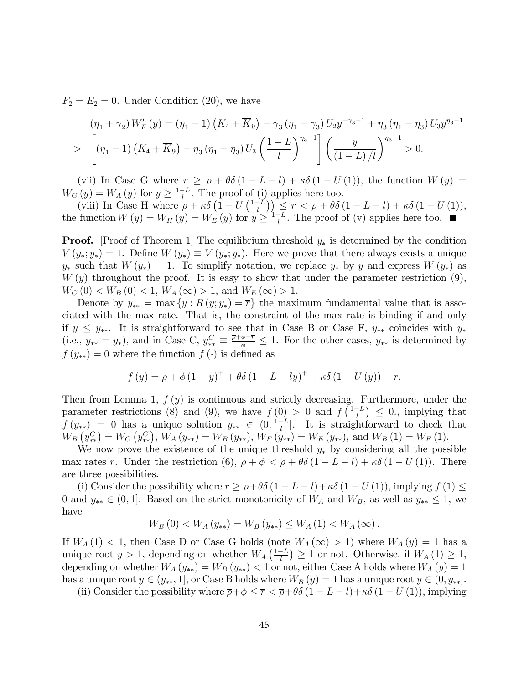$F_2 = E_2 = 0$ . Under Condition (20), we have

$$
(\eta_1 + \gamma_2) W'_F(y) = (\eta_1 - 1) \left( K_4 + \overline{K}_9 \right) - \gamma_3 (\eta_1 + \gamma_3) U_2 y^{-\gamma_3 - 1} + \eta_3 (\eta_1 - \eta_3) U_3 y^{\eta_3 - 1}
$$
  
> 
$$
\left[ (\eta_1 - 1) \left( K_4 + \overline{K}_9 \right) + \eta_3 (\eta_1 - \eta_3) U_3 \left( \frac{1 - L}{l} \right)^{\eta_3 - 1} \right] \left( \frac{y}{(1 - L)/l} \right)^{\eta_3 - 1} > 0.
$$

(vii) In Case G where  $\overline{r} \geq \overline{\rho} + \theta \delta (1 - L - l) + \kappa \delta (1 - U(1))$ , the function  $W(y) =$  $W_G(y) = W_A(y)$  for  $y \ge \frac{1-L}{l}$ . The proof of (i) applies here too.

(y)  $-\frac{1}{2}$  in  $\frac{1}{2}$  in the proof of (i) applies field too.<br>
(viii) In Case H where  $\frac{1}{\rho} + \kappa \delta \left(1 - U\left(\frac{1-L}{l}\right)\right) \leq \overline{r} \leq \overline{\rho} + \theta \delta \left(1 - L - l\right) + \kappa \delta \left(1 - U\left(1\right)\right)$ , the function  $W(y) = W_H(y) = W_E(y)$  for  $y \ge \frac{1-L}{l}$ . The proof of (v) applies here too.

**Proof.** [Proof of Theorem 1] The equilibrium threshold  $y_*$  is determined by the condition  $V(y_*; y_*) = 1$ . Define  $W(y_*) \equiv V(y_*; y_*)$ . Here we prove that there always exists a unique  $y_*$  such that  $W(y_*) = 1$ . To simplify notation, we replace  $y_*$  by y and express  $W(y_*)$  as  $W(y)$  throughout the proof. It is easy to show that under the parameter restriction  $(9)$ ,  $W_C(0) < W_B(0) < 1, W_A(\infty) > 1, \text{ and } W_E(\infty) > 1.$ 

Denote by  $y_{**} = \max \{y : R(y; y_*) = \overline{r}\}\$ the maximum fundamental value that is associated with the max rate. That is, the constraint of the max rate is binding if and only if  $y \leq y_{**}$ . It is straightforward to see that in Case B or Case F,  $y_{**}$  coincides with  $y_{*}$ (i.e.,  $y_{**} = y_*$ ), and in Case C,  $y_{**}^C \equiv \frac{\bar{p} + \phi - \bar{r}}{\phi} \leq 1$ . For the other cases,  $y_{**}$  is determined by  $f(y_{**}) = 0$  where the function  $f(\cdot)$  is defined as

$$
f(y) = \overline{\rho} + \phi (1 - y)^{+} + \theta \delta (1 - L - ly)^{+} + \kappa \delta (1 - U(y)) - \overline{r}.
$$

Then from Lemma 1,  $f(y)$  is continuous and strictly decreasing. Furthermore, under the parameter restrictions (8) and (9), we have  $f(0) > 0$  and  $f\left(\frac{1-L}{l}\right) \leq 0$ , implying that parameter restrictions (c) and (c), we have  $f(0) > 0$  and  $f(1) \ge 0$ , implying that  $f(y_{**}) = 0$  has a unique solution  $y_{**} \in (0, \frac{1-L}{l}]$ . It is straightforward to check that  $W_B(y^C_{**}) = W_C(y^C_{**}), W_A(y_{**}) = W_B(y_{**}), W_F(y_{**}) = W_E(y_{**}), \text{ and } W_B(1) = W_F(1).$ 

We now prove the existence of the unique threshold  $y_*$  by considering all the possible max rates  $\bar{r}$ . Under the restriction (6),  $\bar{\rho} + \phi < \bar{\rho} + \theta \delta (1 - L - l) + \kappa \delta (1 - U(1))$ . There are three possibilities.

(i) Consider the possibility where  $\bar{r} \geq \bar{\rho} + \theta \delta (1 - L - l) + \kappa \delta (1 - U(1))$ , implying  $f(1) \leq$ 0 and  $y_{**} \in (0,1]$ . Based on the strict monotonicity of  $W_A$  and  $W_B$ , as well as  $y_{**} \leq 1$ , we have

$$
W_B(0) < W_A(y_{**}) = W_B(y_{**}) \le W_A(1) < W_A(\infty).
$$

If  $W_A(1) < 1$ , then Case D or Case G holds (note  $W_A(\infty) > 1$ ) where  $W_A(y) = 1$  has a unique root  $y > 1$ , depending on whether  $W_A\left(\frac{1-L}{l}\right) \geq 1$  or not. Otherwise, if  $W_A(1) \geq 1$ , depending on whether  $W_A(y_{**}) = W_B(y_{**}) < 1$  or not, either Case A holds where  $W_A(y) = 1$ has a unique root  $y \in (y_{**}, 1]$ , or Case B holds where  $W_B(y) = 1$  has a unique root  $y \in (0, y_{**}).$ 

(ii) Consider the possibility where  $\bar{\rho} + \phi \leq \bar{r} < \bar{\rho} + \theta \delta (1 - L - l) + \kappa \delta (1 - U(1))$ , implying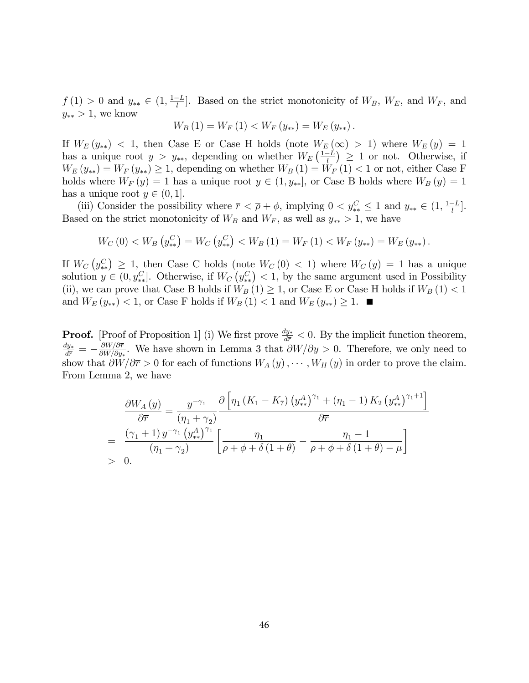$f(1) > 0$  and  $y_{**} \in (1, \frac{1-L}{l}]$ . Based on the strict monotonicity of  $W_B$ ,  $W_E$ , and  $W_F$ , and  $y_{**} > 1$ , we know

$$
W_B(1) = W_F(1) < W_F(y_{**}) = W_E(y_{**}).
$$

If  $W_E(y_{**}) < 1$ , then Case E or Case H holds (note  $W_E(\infty) > 1$ ) where  $W_E(y) = 1$ has a unique root  $y > y_{**}$ , depending on whether  $W_E\left(\frac{1-L}{l}\right) \geq 1$  or not. Otherwise, if  $W_E(y_{**}) = W_F(y_{**}) \geq 1$ , depending on whether  $W_B(1) = W_F(1) < 1$  or not, either Case F holds where  $W_F(y) = 1$  has a unique root  $y \in (1, y_{**}]$ , or Case B holds where  $W_B(y) = 1$ has a unique root  $y \in (0, 1]$ .

(iii) Consider the possibility where  $\overline{r} < \overline{\rho} + \phi$ , implying  $0 < y_{**}^C \le 1$  and  $y_{**} \in (1, \frac{1-L}{l}]$ . Based on the strict monotonicity of  $W_B$  and  $W_F$ , as well as  $y_{**} > 1$ , we have

$$
W_C(0) < W_B\left(y_*^C\right) = W_C\left(y_*^C\right) < W_B\left(1\right) = W_F\left(1\right) < W_F\left(y_{**}\right) = W_E\left(y_{**}\right).
$$

If  $W_C(y_{**}^C) \geq 1$ , then Case C holds (note  $W_C(0) < 1$ ) where  $W_C(y) = 1$  has a unique solution  $y \in (0, y_{**}^C]$ . Otherwise, if  $W_C(y_{**}^C) < 1$ , by the same argument used in Possibility (ii), we can prove that Case B holds if  $W_B(1) \geq 1$ , or Case E or Case H holds if  $W_B(1) < 1$ and  $W_E(y_{**}) < 1$ , or Case F holds if  $W_B(1) < 1$  and  $W_E(y_{**}) \ge 1$ .

**Proof.** [Proof of Proposition 1] (i) We first prove  $\frac{dy_*}{d\bar{r}} < 0$ . By the implicit function theorem,  $\frac{dy_{*}}{d\overline{r}}=-\frac{\partial W/\partial \overline{r}}{\partial W/\partial y_{*}}$  $\frac{\partial W/\partial r}{\partial W/\partial y_*}$ . We have shown in Lemma 3 that  $\partial W/\partial y > 0$ . Therefore, we only need to show that  $\partial W/\partial \overline{r} > 0$  for each of functions  $W_A(y), \cdots, W_H(y)$  in order to prove the claim. From Lemma 2, we have

$$
\frac{\partial W_A(y)}{\partial \overline{r}} = \frac{y^{-\gamma_1}}{(\eta_1 + \gamma_2)} \frac{\partial \left[\eta_1 \left(K_1 - K_7\right) \left(y_{**}^A\right)^{\gamma_1} + \left(\eta_1 - 1\right) K_2 \left(y_{**}^A\right)^{\gamma_1 + 1}\right]}{\partial \overline{r}}
$$
\n
$$
= \frac{(\gamma_1 + 1) y^{-\gamma_1} \left(y_{**}^A\right)^{\gamma_1}}{(\eta_1 + \gamma_2)} \left[\frac{\eta_1}{\rho + \phi + \delta \left(1 + \theta\right)} - \frac{\eta_1 - 1}{\rho + \phi + \delta \left(1 + \theta\right) - \mu}\right]
$$
\n
$$
> 0.
$$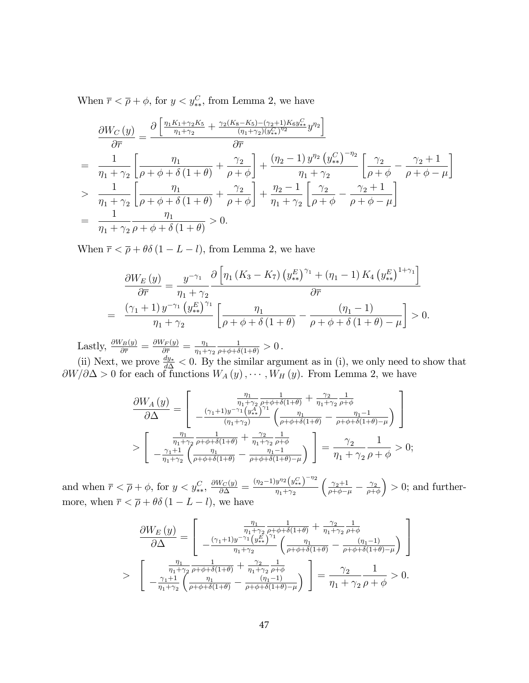When  $\bar{r} < \bar{\rho} + \phi$ , for  $y < y_{**}^C$ , from Lemma 2, we have

$$
\frac{\partial W_C(y)}{\partial \overline{r}} = \frac{\partial \left[ \frac{\eta_1 K_1 + \gamma_2 K_5}{\eta_1 + \gamma_2} + \frac{\gamma_2 (K_8 - K_5) - (\gamma_2 + 1) K_6 y_{**}^C}{(\eta_1 + \gamma_2)(y_{**}^C)^{\eta_2}} y^{\eta_2} \right]}{\partial \overline{r}}
$$
\n
$$
= \frac{1}{\eta_1 + \gamma_2} \left[ \frac{\eta_1}{\rho + \phi + \delta(1 + \theta)} + \frac{\gamma_2}{\rho + \phi} \right] + \frac{(\eta_2 - 1) y^{\eta_2} (y_{**}^C)^{-\eta_2}}{\eta_1 + \gamma_2} \left[ \frac{\gamma_2}{\rho + \phi} - \frac{\gamma_2 + 1}{\rho + \phi - \mu} \right]
$$
\n
$$
> \frac{1}{\eta_1 + \gamma_2} \left[ \frac{\eta_1}{\rho + \phi + \delta(1 + \theta)} + \frac{\gamma_2}{\rho + \phi} \right] + \frac{\eta_2 - 1}{\eta_1 + \gamma_2} \left[ \frac{\gamma_2}{\rho + \phi} - \frac{\gamma_2 + 1}{\rho + \phi - \mu} \right]
$$
\n
$$
= \frac{1}{\eta_1 + \gamma_2} \frac{\eta_1}{\rho + \phi + \delta(1 + \theta)} > 0.
$$

When  $\bar{r} < \bar{\rho} + \theta \delta (1 - L - l)$ , from Lemma 2, we have

$$
\frac{\partial W_E(y)}{\partial \overline{r}} = \frac{y^{-\gamma_1}}{\eta_1 + \gamma_2} \frac{\partial \left[ \eta_1 \left( K_3 - K_7 \right) \left( y_{**}^E \right)^{\gamma_1} + \left( \eta_1 - 1 \right) K_4 \left( y_{**}^E \right)^{1 + \gamma_1} \right]}{\partial \overline{r}}
$$
\n
$$
= \frac{\left( \gamma_1 + 1 \right) y^{-\gamma_1} \left( y_{**}^E \right)^{\gamma_1}}{\eta_1 + \gamma_2} \left[ \frac{\eta_1}{\rho + \phi + \delta \left( 1 + \theta \right)} - \frac{\left( \eta_1 - 1 \right)}{\rho + \phi + \delta \left( 1 + \theta \right) - \mu} \right] > 0.
$$

Lastly,  $\frac{\partial W_B(y)}{\partial \overline{r}} = \frac{\partial W_F(y)}{\partial \overline{r}} = \frac{\eta_1}{\eta_1 + \eta_2}$  $\eta_1 + \gamma_2$  $\frac{1}{\rho+\phi+\delta(1+\theta)} > 0$ .

(ii) Next, we prove  $\frac{dy_*}{d\Delta} < 0$ . By the similar argument as in (i), we only need to show that  $\partial W/\partial \Delta > 0$  for each of functions  $W_A(y), \cdots, W_H(y)$ . From Lemma 2, we have

$$
\frac{\partial W_A\left(y\right)}{\partial\Delta} = \left[ \begin{array}{c} \frac{\eta_1}{\eta_1 + \gamma_2} \frac{1}{\rho + \phi + \delta(1+\theta)} + \frac{\gamma_2}{\eta_1 + \gamma_2} \frac{1}{\rho + \phi} \\ -\frac{(\gamma_1 + 1) y^{-\gamma_1} \left(y_+^A\right)^{\gamma_1}}{\left(\eta_1 + \gamma_2\right)} \left(\frac{\eta_1}{\rho + \phi + \delta(1+\theta)} - \frac{\eta_1 - 1}{\rho + \phi + \delta(1+\theta) - \mu}\right) \\ \frac{\eta_1}{\eta_1 + \gamma_2} \frac{1}{\rho + \phi + \delta(1+\theta)} + \frac{\gamma_2}{\eta_1 + \gamma_2} \frac{1}{\rho + \phi} \\ -\frac{\gamma_1 + 1}{\eta_1 + \gamma_2} \left(\frac{\eta_1}{\rho + \phi + \delta(1+\theta)} - \frac{\eta_1 - 1}{\rho + \phi + \delta(1+\theta) - \mu}\right) \end{array} \right] = \frac{\gamma_2}{\eta_1 + \gamma_2} \frac{1}{\rho + \phi} > 0;
$$

and when  $\bar{r} < \bar{\rho} + \phi$ , for  $y < y_{**}^C$ ,  $\frac{\partial W_C(y)}{\partial \Delta} = \frac{(\eta_2 - 1)y^{\eta_2}(y_{**}^C)^{-\eta_2}}{\eta_1 + \gamma_2}$  $\eta_1 + \gamma_2$  $\Big(\frac{\gamma_2+1}{\rho+\phi-\mu}\,-\,\frac{\gamma_2}{\rho+\circ}$  $\rho + \phi$  $\big) > 0$ ; and furthermore, when  $\bar{r} < \bar{\rho} + \theta \delta (1 - L - l)$ , we have

$$
\frac{\partial W_E(y)}{\partial \Delta} = \left[ \begin{array}{cc} \frac{\eta_1}{\eta_1 + \gamma_2} \frac{1}{\rho + \phi + \delta(1+\theta)} + \frac{\gamma_2}{\eta_1 + \gamma_2} \frac{1}{\rho + \phi} \\ -\frac{(\gamma_1 + 1)y^{-\gamma_1} \left( y_{k_\star}^E \right)^{\gamma_1}}{\eta_1 + \gamma_2} \left( \frac{\eta_1}{\rho + \phi + \delta(1+\theta)} - \frac{(\eta_1 - 1)}{\rho + \phi + \delta(1+\theta) - \mu} \right) \end{array} \right]
$$
  
> 
$$
\left[ \begin{array}{cc} \frac{\eta_1}{\eta_1 + \gamma_2} \frac{1}{\rho + \phi + \delta(1+\theta)} + \frac{\gamma_2}{\eta_1 + \gamma_2} \frac{1}{\rho + \phi} \\ -\frac{\gamma_1 + 1}{\eta_1 + \gamma_2} \left( \frac{\eta_1}{\rho + \phi + \delta(1+\theta)} - \frac{(\eta_1 - 1)}{\rho + \phi + \delta(1+\theta) - \mu} \right) \end{array} \right] = \frac{\gamma_2}{\eta_1 + \gamma_2} \frac{1}{\rho + \phi} > 0.
$$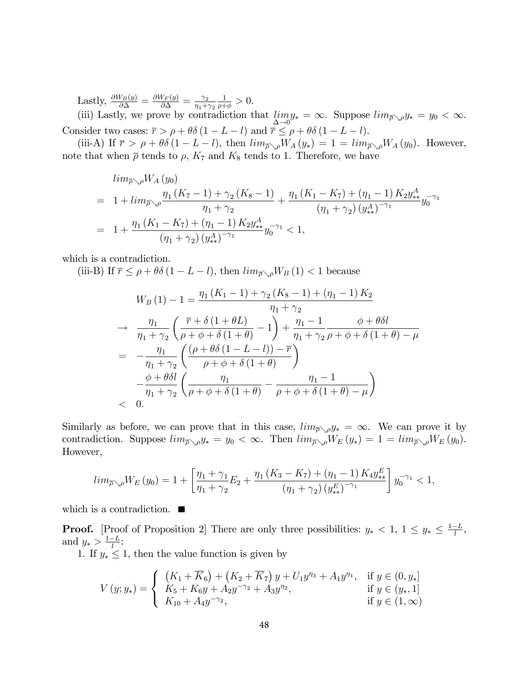Lastly,  $\frac{\partial W_B(y)}{\partial \Delta} = \frac{\partial W_F(y)}{\partial \Delta} = \frac{\gamma_2}{\eta_1 + \rho_2}$  $\eta_1 + \gamma_2$  $\frac{1}{\rho + \phi} > 0.$ 

(iii) Lastly, we prove by contradiction that  $\lim_{n \to \infty}$  $\lim_{\Delta \to 0} y_* = \infty$ . Suppose  $\lim_{\overline{\rho} \setminus \rho} y_* = y_0 < \infty$ . Consider two cases:  $\overline{r} > \rho + \theta \delta (1 - L - l)$  and  $\overline{r} \leq \rho + \theta \delta (1 - L - l)$ .

(iii-A) If  $\bar{r} > \rho + \theta \delta (1 - L - l)$ , then  $\lim_{\bar{\rho}\searrow\rho}W_A(y_*) = 1 = \lim_{\bar{\rho}\searrow\rho}W_A(y_0)$ . However, note that when  $\bar{\rho}$  tends to  $\rho$ ,  $K_7$  and  $K_8$  tends to 1. Therefore, we have

$$
\lim_{\overline{\rho}\searrow\rho} W_A(y_0)
$$
\n
$$
= 1 + \lim_{\overline{\rho}\searrow\rho} \frac{\eta_1(K_7 - 1) + \gamma_2(K_8 - 1)}{\eta_1 + \gamma_2} + \frac{\eta_1(K_1 - K_7) + (\eta_1 - 1) K_2 y_{**}^A}{(\eta_1 + \gamma_2) (y_{**}^A)^{-\gamma_1}} y_0^{-\gamma_1}
$$
\n
$$
= 1 + \frac{\eta_1(K_1 - K_7) + (\eta_1 - 1) K_2 y_{**}^A}{(\eta_1 + \gamma_2) (y_{**}^A)^{-\gamma_1}} y_0^{-\gamma_1} < 1,
$$

which is a contradiction.

(iii-B) If  $\bar{r} \leq \rho + \theta \delta (1 - L - l)$ , then  $\lim_{\bar{\rho} \setminus \rho} W_B(1) < 1$  because

$$
W_B(1) - 1 = \frac{\eta_1 (K_1 - 1) + \gamma_2 (K_8 - 1) + (\eta_1 - 1) K_2}{\eta_1 + \gamma_2}
$$
  
\n
$$
\rightarrow \frac{\eta_1}{\eta_1 + \gamma_2} \left( \frac{\overline{r} + \delta (1 + \theta L)}{\rho + \phi + \delta (1 + \theta)} - 1 \right) + \frac{\eta_1 - 1}{\eta_1 + \gamma_2} \frac{\phi + \theta \delta l}{\rho + \phi + \delta (1 + \theta) - \mu}
$$
  
\n
$$
= -\frac{\eta_1}{\eta_1 + \gamma_2} \left( \frac{(\rho + \theta \delta (1 - L - l)) - \overline{r}}{\rho + \phi + \delta (1 + \theta)} \right)
$$
  
\n
$$
- \frac{\phi + \theta \delta l}{\eta_1 + \gamma_2} \left( \frac{\eta_1}{\rho + \phi + \delta (1 + \theta)} - \frac{\eta_1 - 1}{\rho + \phi + \delta (1 + \theta) - \mu} \right)
$$
  
\n
$$
< 0.
$$

Similarly as before, we can prove that in this case,  $\lim_{\bar{p}\setminus\rho}y_* = \infty$ . We can prove it by contradiction. Suppose  $\lim_{\bar{\rho}\searrow\rho}y_* = y_0 < \infty$ . Then  $\lim_{\bar{\rho}\searrow\rho}W_E(y_*) = 1 = \lim_{\bar{\rho}\searrow\rho}W_E(y_0)$ . However,

$$
\lim_{\overline{\rho}\searrow\rho}W_E\left(y_0\right) = 1 + \left[\frac{\eta_1 + \gamma_1}{\eta_1 + \gamma_2}E_2 + \frac{\eta_1\left(K_3 - K_7\right) + \left(\eta_1 - 1\right)K_4y_*^E}{\left(\eta_1 + \gamma_2\right)\left(y_*^E\right)^{-\gamma_1}}\right]y_0^{-\gamma_1} < 1,
$$

which is a contradiction.  $\blacksquare$ 

**Proof.** [Proof of Proposition 2] There are only three possibilities:  $y_* < 1, 1 \le y_* \le \frac{1-L}{l}$ , and  $y_* > \frac{1-L}{l}$ :

1. If  $y_* \leq 1$ , then the value function is given by

$$
V(y; y_*) = \begin{cases} (K_1 + \overline{K}_6) + (K_2 + \overline{K}_7) y + U_1 y^{\eta_3} + A_1 y^{\eta_1}, & \text{if } y \in (0, y_*)\\ K_5 + K_6 y + A_2 y^{-\gamma_2} + A_3 y^{\eta_2}, & \text{if } y \in (y_*, 1] \\ K_{10} + A_4 y^{-\gamma_2}, & \text{if } y \in (1, \infty) \end{cases}
$$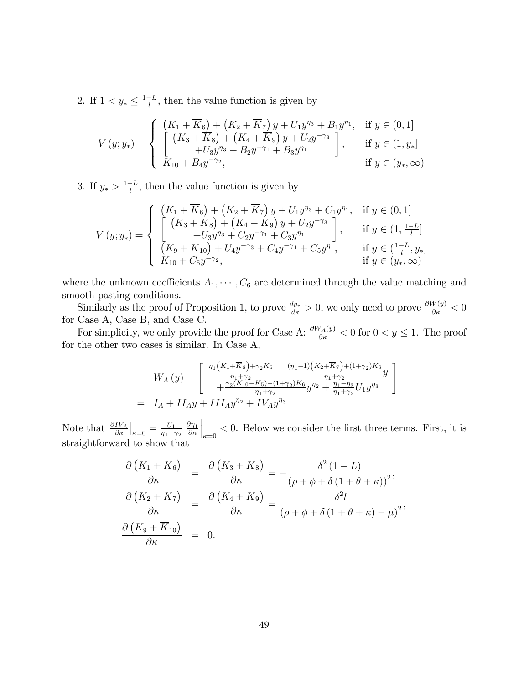2. If  $1 < y_* \leq \frac{1-L}{l}$ , then the value function is given by

$$
V(y; y_*) = \begin{cases} \begin{array}{l} \left( K_1 + \overline{K}_6 \right) + \left( K_2 + \overline{K}_7 \right) y + U_1 y^{\eta_3} + B_1 y^{\eta_1}, & \text{if } y \in (0, 1] \\ \left[ \left( K_3 + \overline{K}_8 \right) + \left( K_4 + \overline{K}_9 \right) y + U_2 y^{-\gamma_3} \\ + U_3 y^{\eta_3} + B_2 y^{-\gamma_1} + B_3 y^{\eta_1} \end{array} \right], & \text{if } y \in (1, y_*) \\ \text{if } y \in (y_*, \infty) \end{cases}
$$

3. If  $y_* > \frac{1-L}{l}$ , then the value function is given by

$$
V(y; y_*) = \begin{cases} \begin{array}{ll} \left( K_1 + \overline{K}_6 \right) + \left( K_2 + \overline{K}_7 \right) y + U_1 y^{\eta_3} + C_1 y^{\eta_1}, & \text{if } y \in (0, 1] \\ \left[ \left( K_3 + \overline{K}_8 \right) + \left( K_4 + \overline{K}_9 \right) y + U_2 y^{-\gamma_3} \right] & \text{if } y \in (1, \frac{1 - L}{l}] \\ \left[ \frac{+ U_3 y^{\eta_3} + C_2 y^{-\gamma_1} + C_3 y^{\eta_1}}{K_{10} + \overline{K}_{10}} \right) + U_4 y^{-\gamma_3} + C_4 y^{-\gamma_1} + C_5 y^{\eta_1}, & \text{if } y \in (\frac{1 - L}{l}, y_*) \\ \overline{K}_{10} + C_6 y^{-\gamma_2}, & \text{if } y \in (y_*, \infty) \end{array} \end{cases}
$$

where the unknown coefficients  $A_1, \dots, C_6$  are determined through the value matching and smooth pasting conditions.

Similarly as the proof of Proposition 1, to prove  $\frac{dy_*}{d\kappa} > 0$ , we only need to prove  $\frac{\partial W(y)}{\partial \kappa} < 0$ for Case A, Case B, and Case C.

For simplicity, we only provide the proof for Case A:  $\frac{\partial W_A(y)}{\partial \kappa} < 0$  for  $0 < y \le 1$ . The proof for the other two cases is similar. In Case A,

$$
W_A(y) = \begin{bmatrix} \frac{\eta_1(K_1 + \overline{K}_6) + \gamma_2 K_5}{\eta_1 + \gamma_2} + \frac{(\eta_1 - 1)(K_2 + \overline{K}_7) + (1 + \gamma_2)K_6}{\eta_1 + \gamma_2} y \\ + \frac{\gamma_2(K_1 - K_5) - (1 + \gamma_2)K_6}{\eta_1 + \gamma_2} y^{\eta_2} + \frac{\eta_1 - \eta_3}{\eta_1 + \gamma_2} U_1 y^{\eta_3} \end{bmatrix}
$$
  
=  $I_A + II_A y + III_A y^{\eta_2} + IV_A y^{\eta_3}$ 

Note that  $\frac{\partial IV_A}{\partial \kappa}\Big|_{\kappa=0} = \frac{U_1}{\eta_1 + \lambda}$  $\eta_1 + \gamma_2$  $\partial \eta_1$  $\partial \kappa$  $\Big|_{\kappa=0}$  < 0. Below we consider the first three terms. First, it is straightforward to show that

$$
\frac{\partial (K_1 + \overline{K}_6)}{\partial \kappa} = \frac{\partial (K_3 + \overline{K}_8)}{\partial \kappa} = -\frac{\delta^2 (1 - L)}{(\rho + \phi + \delta (1 + \theta + \kappa))^2},
$$
  

$$
\frac{\partial (K_2 + \overline{K}_7)}{\partial \kappa} = \frac{\partial (K_4 + \overline{K}_9)}{\partial \kappa} = \frac{\delta^2 l}{(\rho + \phi + \delta (1 + \theta + \kappa) - \mu)^2},
$$
  

$$
\frac{\partial (K_9 + \overline{K}_{10})}{\partial \kappa} = 0.
$$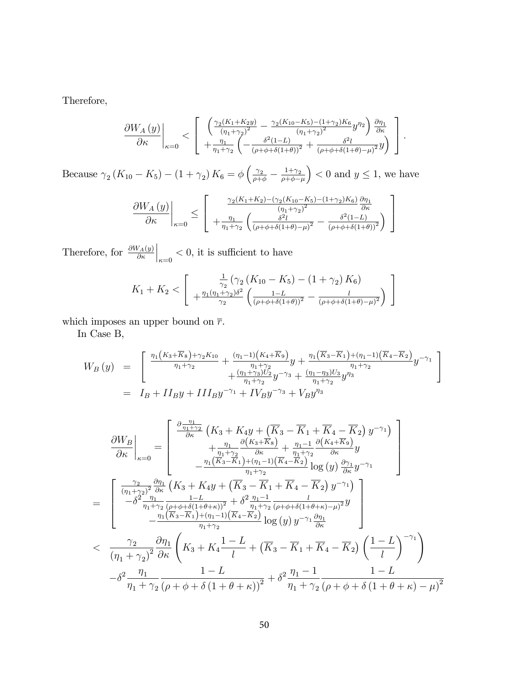Therefore,

$$
\frac{\partial W_A(y)}{\partial \kappa}\Big|_{\kappa=0} < \left[\begin{array}{c} \left(\frac{\gamma_2(K_1+K_2y)}{(\eta_1+\gamma_2)^2} - \frac{\gamma_2(K_{10}-K_5)-(1+\gamma_2)K_6}{(\eta_1+\gamma_2)^2}y^{\eta_2}\right)\frac{\partial \eta_1}{\partial \kappa} \\ + \frac{\eta_1}{\eta_1+\gamma_2}\left(-\frac{\delta^2(1-L)}{(\rho+\phi+\delta(1+\theta))^2} + \frac{\delta^2l}{(\rho+\phi+\delta(1+\theta)-\mu)^2}y\right) \end{array}\right].
$$

Because  $\gamma_2 (K_{10} - K_5) - (1 + \gamma_2) K_6 = \phi \left( \frac{\gamma_2}{\rho + \phi} - \frac{1 + \gamma_2}{\rho + \phi - \phi} \right)$  $\rho + \phi - \mu$  $($  > 0 and  $y \le 1$ , we have

$$
\left. \frac{\partial W_A\left(y\right)}{\partial \kappa} \right|_{\kappa=0} \leq \left[ \begin{array}{c} \frac{\gamma_2(K_1+K_2)-(\gamma_2(K_{10}-K_5)-(1+\gamma_2)K_6)}{(\eta_1+\gamma_2)^2} \frac{\partial \eta_1}{\partial \kappa} \\ +\frac{\eta_1}{\eta_1+\gamma_2}\left(\frac{\delta^2 l}{(\rho+\phi+\delta(1+\theta)-\mu)^2} - \frac{\delta^2(1-L)}{(\rho+\phi+\delta(1+\theta))^2}\right) \end{array} \right]
$$

Therefore, for  $\frac{\partial W_A(y)}{\partial \kappa}$  $\Big|_{\kappa=0}$  < 0, it is sufficient to have

$$
K_1 + K_2 < \left[ \frac{\frac{1}{\gamma_2} \left( \gamma_2 \left( K_{10} - K_5 \right) - \left( 1 + \gamma_2 \right) K_6 \right)}{\frac{\eta_1 (\eta_1 + \gamma_2) \delta^2}{\gamma_2} \left( \frac{1 - L}{\left( \rho + \phi + \delta (1 + \theta) \right)^2} - \frac{l}{\left( \rho + \phi + \delta (1 + \theta) - \mu \right)^2} \right)} \right]
$$

which imposes an upper bound on  $\overline{r}.$ 

In Case B,

$$
W_B(y) = \begin{bmatrix} \frac{\eta_1(K_3 + \overline{K}_8) + \gamma_2 K_{10}}{\eta_1 + \gamma_2} + \frac{(\eta_1 - 1)(K_4 + \overline{K}_9)}{\eta_1 + \gamma_2} y + \frac{\eta_1(\overline{K}_3 - \overline{K}_1) + (\eta_1 - 1)(\overline{K}_4 - \overline{K}_2)}{\eta_1 + \gamma_2} y^{-\gamma_1} \\ + \frac{(\eta_1 + \gamma_3)U_2}{\eta_1 + \gamma_2} y^{-\gamma_3} + \frac{(\eta_1 - \eta_3)U_3}{\eta_1 + \gamma_2} y^{\eta_3} \end{bmatrix}^{n_1 + \gamma_2} = I_B + II_B y + III_B y^{-\gamma_1} + IV_B y^{-\gamma_3} + V_B y^{\eta_3}
$$

$$
\frac{\partial W_B}{\partial \kappa}\Big|_{\kappa=0} = \begin{bmatrix} \frac{\partial \frac{\eta_1}{\eta_1 + \gamma_2}}{\partial \kappa} \left( K_3 + K_4 y + (\overline{K}_3 - \overline{K}_1 + \overline{K}_4 - \overline{K}_2) y^{-\gamma_1} \right) \\ + \frac{\eta_1}{\eta_1 + \gamma_2} \frac{\partial (K_3 + \overline{K}_8)}{\partial \kappa} + \frac{\eta_1 - 1}{\eta_1 + \gamma_2} \frac{\partial (K_4 + \overline{K}_9)}{\partial \kappa} y \\ - \frac{\eta_1 (\overline{K}_3 - \overline{K}_1) + (\eta_1 - 1) (\overline{K}_4 - \overline{K}_2)}{\eta_1 + \gamma_2} \log (y) \frac{\partial \gamma_1}{\partial \kappa} y^{-\gamma_1} \end{bmatrix} \Bigg]
$$
\n
$$
= \begin{bmatrix} \frac{\gamma_2}{(\eta_1 + \gamma_2)^2} \frac{\partial \eta_1}{\partial \kappa} \left( K_3 + K_4 y + (\overline{K}_3 - \overline{K}_1 + \overline{K}_4 - \overline{K}_2) y^{-\gamma_1} \right) \\ - \delta^2 \frac{\eta_1}{\eta_1 + \gamma_2} \frac{1 - L}{(\rho + \phi + \delta(1 + \theta + \kappa))^2} + \delta^2 \frac{\eta_1 - 1}{\eta_1 + \gamma_2} \frac{l}{(\rho + \phi + \delta(1 + \theta + \kappa) - \mu)^2} y \\ - \frac{\eta_1 (\overline{K}_3 - \overline{K}_1) + (\eta_1 - 1) (\overline{K}_4 - \overline{K}_2)}{\eta_1 + \gamma_2} \log (y) y^{-\gamma_1} \frac{\partial \eta_1}{\partial \kappa} \end{bmatrix}
$$
\n
$$
< \frac{\gamma_2}{(\eta_1 + \gamma_2)^2} \frac{\partial \eta_1}{\partial \kappa} \left( K_3 + K_4 \frac{1 - L}{l} + (\overline{K}_3 - \overline{K}_1 + \overline{K}_4 - \overline{K}_2) \left( \frac{1 - L}{l} \right)^{-\gamma_1} \right)
$$
\n
$$
- \delta^2 \frac{\eta_1}{\eta_1 + \gamma_2} \frac{1 - L}{(\rho + \phi + \delta(1
$$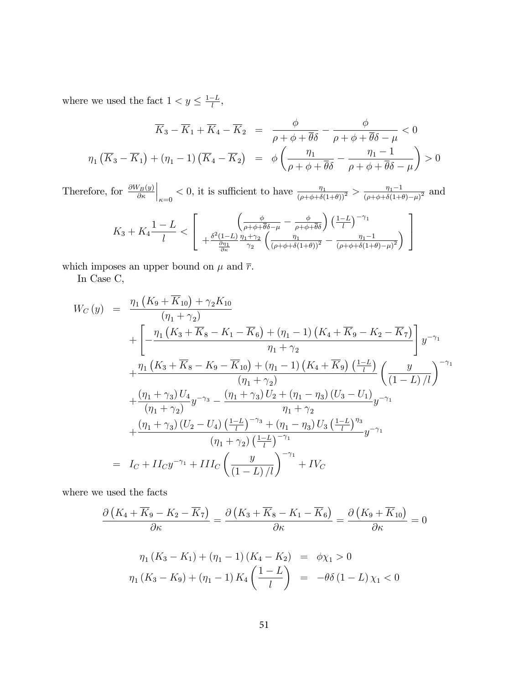where we used the fact  $1 < y \leq \frac{1-L}{l}$ ,

$$
\overline{K}_3 - \overline{K}_1 + \overline{K}_4 - \overline{K}_2 = \frac{\phi}{\rho + \phi + \overline{\theta}\delta} - \frac{\phi}{\rho + \phi + \overline{\theta}\delta - \mu} < 0
$$
  

$$
\eta_1 (\overline{K}_3 - \overline{K}_1) + (\eta_1 - 1) (\overline{K}_4 - \overline{K}_2) = \phi \left( \frac{\eta_1}{\rho + \phi + \overline{\theta}\delta} - \frac{\eta_1 - 1}{\rho + \phi + \overline{\theta}\delta - \mu} \right) > 0
$$

Therefore, for  $\frac{\partial W_B(y)}{\partial \kappa}$  $\Big|_{\kappa=0} < 0$ , it is sufficient to have  $\frac{\eta_1}{(\rho+\phi+\delta(1+\theta))^2} > \frac{\eta_1-1}{(\rho+\phi+\delta(1+\theta))^2}$  $\frac{\eta_1-1}{(\rho+\phi+\delta(1+\theta)-\mu)^2}$  and

$$
K_3 + K_4 \frac{1-L}{l} < \left[ \frac{\left(\frac{\phi}{\rho+\phi+\overline{\theta}\delta-\mu} - \frac{\phi}{\rho+\phi+\overline{\theta}\delta}\right) \left(\frac{1-L}{l}\right)^{-\gamma_1}}{\frac{\partial \eta_1}{\partial \kappa} \gamma_2 \left(\frac{\eta_1}{(\rho+\phi+\delta(1+\theta))^2} - \frac{\eta_1-1}{(\rho+\phi+\delta(1+\theta)-\mu)^2}\right)} \right]
$$

which imposes an upper bound on  $\mu$  and  $\overline{r}.$ 

In Case C,

$$
W_C(y) = \frac{\eta_1 (K_9 + \overline{K}_{10}) + \gamma_2 K_{10}}{(\eta_1 + \gamma_2)}
$$
  
+ 
$$
\left[ -\frac{\eta_1 (K_3 + \overline{K}_8 - K_1 - \overline{K}_6) + (\eta_1 - 1) (K_4 + \overline{K}_9 - K_2 - \overline{K}_7)}{\eta_1 + \gamma_2} \right] y^{-\gamma_1}
$$
  
+ 
$$
\frac{\eta_1 (K_3 + \overline{K}_8 - K_9 - \overline{K}_{10}) + (\eta_1 - 1) (K_4 + \overline{K}_9) (\frac{1 - L}{l})}{(\eta_1 + \gamma_2)} (\frac{y}{(1 - L)/l})^{-\gamma_1}
$$
  
+ 
$$
\frac{(\eta_1 + \gamma_3) U_4}{(\eta_1 + \gamma_2)} y^{-\gamma_3} - \frac{(\eta_1 + \gamma_3) U_2 + (\eta_1 - \eta_3) (U_3 - U_1)}{\eta_1 + \gamma_2} y^{-\gamma_1}
$$
  
+ 
$$
\frac{(\eta_1 + \gamma_3) (U_2 - U_4) (\frac{1 - L}{l})^{-\gamma_3} + (\eta_1 - \eta_3) U_3 (\frac{1 - L}{l})^{\eta_3}}{(\eta_1 + \gamma_2) (\frac{1 - L}{l})^{-\gamma_1}} y^{-\gamma_1}
$$
  
= 
$$
I_C + I I_C y^{-\gamma_1} + I I I_C \left( \frac{y}{(1 - L)/l} \right)^{-\gamma_1} + I V_C
$$

where we used the facts

$$
\frac{\partial \left( K_4 + \overline{K}_9 - K_2 - \overline{K}_7 \right)}{\partial \kappa} = \frac{\partial \left( K_3 + \overline{K}_8 - K_1 - \overline{K}_6 \right)}{\partial \kappa} = \frac{\partial \left( K_9 + \overline{K}_{10} \right)}{\partial \kappa} = 0
$$

$$
\eta_1 (K_3 - K_1) + (\eta_1 - 1) (K_4 - K_2) = \phi \chi_1 > 0
$$
  

$$
\eta_1 (K_3 - K_9) + (\eta_1 - 1) K_4 \left( \frac{1 - L}{l} \right) = -\theta \delta (1 - L) \chi_1 < 0
$$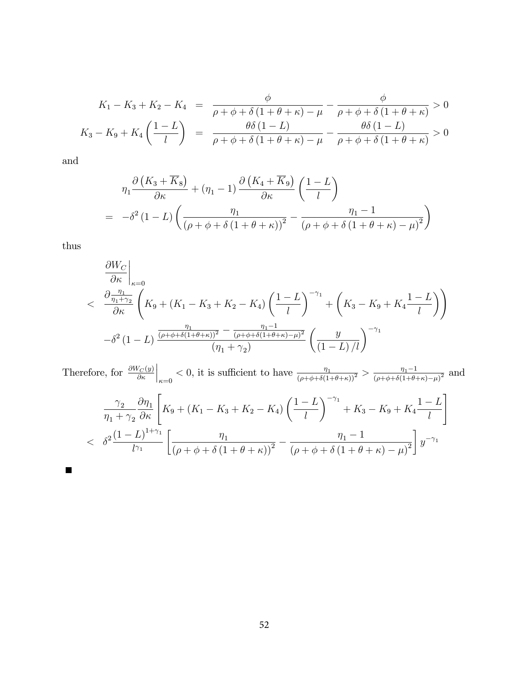$$
K_1 - K_3 + K_2 - K_4 = \frac{\phi}{\rho + \phi + \delta(1 + \theta + \kappa) - \mu} - \frac{\phi}{\rho + \phi + \delta(1 + \theta + \kappa)} > 0
$$
  

$$
K_3 - K_9 + K_4 \left(\frac{1 - L}{l}\right) = \frac{\theta \delta(1 - L)}{\rho + \phi + \delta(1 + \theta + \kappa) - \mu} - \frac{\theta \delta(1 - L)}{\rho + \phi + \delta(1 + \theta + \kappa)} > 0
$$

and

$$
\eta_1 \frac{\partial (K_3 + \overline{K}_8)}{\partial \kappa} + (\eta_1 - 1) \frac{\partial (K_4 + \overline{K}_9)}{\partial \kappa} \left(\frac{1 - L}{l}\right)
$$
  
= 
$$
-\delta^2 (1 - L) \left(\frac{\eta_1}{(\rho + \phi + \delta(1 + \theta + \kappa))^2} - \frac{\eta_1 - 1}{(\rho + \phi + \delta(1 + \theta + \kappa) - \mu)^2}\right)
$$

thus

 $\blacksquare$ 

$$
\frac{\partial W_C}{\partial \kappa}\Big|_{\kappa=0}
$$
\n
$$
< \frac{\partial \frac{\eta_1}{\eta_1 + \gamma_2}}{\partial \kappa} \left( K_9 + (K_1 - K_3 + K_2 - K_4) \left( \frac{1 - L}{l} \right)^{-\gamma_1} + \left( K_3 - K_9 + K_4 \frac{1 - L}{l} \right) \right)
$$
\n
$$
- \delta^2 (1 - L) \frac{\frac{\eta_1}{(\rho + \phi + \delta(1 + \theta + \kappa))^2} - \frac{\eta_1 - 1}{(\rho + \phi + \delta(1 + \theta + \kappa) - \mu)^2}}{\left( \eta_1 + \gamma_2 \right)} \left( \frac{y}{(1 - L)/l} \right)^{-\gamma_1}
$$

Therefore, for  $\frac{\partial W_C(y)}{\partial \kappa}$  $\Big|_{\kappa=0} < 0$ , it is sufficient to have  $\frac{\eta_1}{(\rho+\phi+\delta(1+\theta+\kappa))^2} > \frac{\eta_1-1}{(\rho+\phi+\delta(1+\theta+\kappa))^2}$  $\frac{\eta_1-1}{(\rho+\phi+\delta(1+\theta+\kappa)-\mu)^2}$  and

$$
\frac{\gamma_2}{\eta_1 + \gamma_2} \frac{\partial \eta_1}{\partial \kappa} \left[ K_9 + (K_1 - K_3 + K_2 - K_4) \left( \frac{1 - L}{l} \right)^{-\gamma_1} + K_3 - K_9 + K_4 \frac{1 - L}{l} \right]
$$
  

$$
< \delta^2 \frac{(1 - L)^{1 + \gamma_1}}{l^{\gamma_1}} \left[ \frac{\eta_1}{(\rho + \phi + \delta (1 + \theta + \kappa))^2} - \frac{\eta_1 - 1}{(\rho + \phi + \delta (1 + \theta + \kappa) - \mu)^2} \right] y^{-\gamma_1}
$$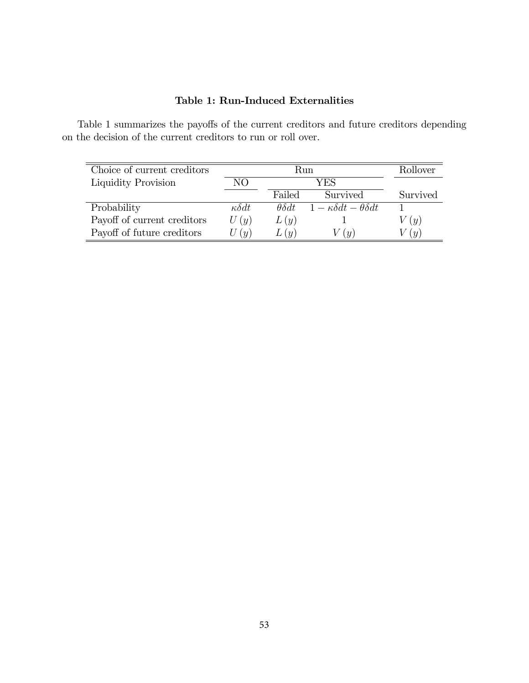## Table 1: Run-Induced Externalities

Table 1 summarizes the payoffs of the current creditors and future creditors depending on the decision of the current creditors to run or roll over.

| Choice of current creditors | Run                          |                    |                                           | Rollover          |
|-----------------------------|------------------------------|--------------------|-------------------------------------------|-------------------|
| Liquidity Provision         | NΟ                           | YES                |                                           |                   |
|                             |                              | Failed             | Survived                                  | Survived          |
| Probability                 | $\kappa \delta dt$           | $\theta \delta dt$ | $1 - \kappa \delta dt - \theta \delta dt$ |                   |
| Payoff of current creditors | U(y)                         | L(y)               |                                           | (y)               |
| Payoff of future creditors  | $\left( \frac{u}{u} \right)$ | L(u)               | $\left( u\right)$                         | $\left( u\right)$ |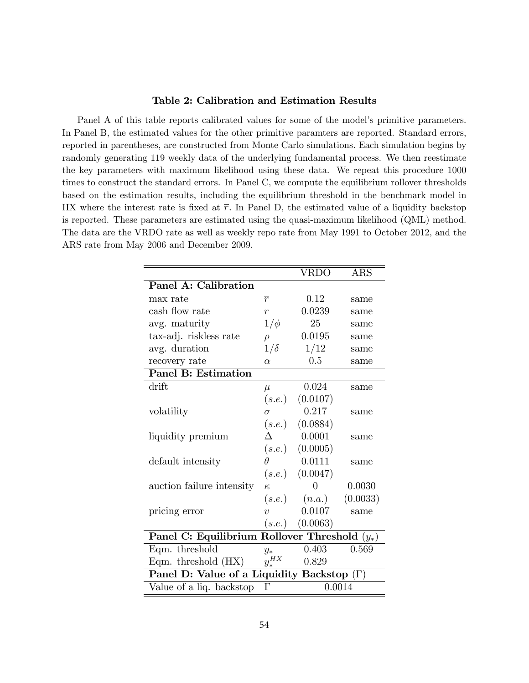#### Table 2: Calibration and Estimation Results

Panel A of this table reports calibrated values for some of the model's primitive parameters. In Panel B, the estimated values for the other primitive paramters are reported. Standard errors, reported in parentheses, are constructed from Monte Carlo simulations. Each simulation begins by randomly generating 119 weekly data of the underlying fundamental process. We then reestimate the key parameters with maximum likelihood using these data. We repeat this procedure 1000 times to construct the standard errors. In Panel C, we compute the equilibrium rollover thresholds based on the estimation results, including the equilibrium threshold in the benchmark model in HX where the interest rate is fixed at  $\bar{r}$ . In Panel D, the estimated value of a liquidity backstop is reported. These parameters are estimated using the quasi-maximum likelihood (QML) method. The data are the VRDO rate as well as weekly repo rate from May 1991 to October 2012, and the ARS rate from May 2006 and December 2009.

|                                                   |                | $\operatorname{VRD}\!\overline{\mathrm{O}}$ | <b>ARS</b> |  |  |
|---------------------------------------------------|----------------|---------------------------------------------|------------|--|--|
| Panel A: Calibration                              |                |                                             |            |  |  |
| max rate                                          | $\overline{r}$ | 0.12                                        | same       |  |  |
| cash flow rate                                    | $\overline{r}$ | 0.0239                                      | same       |  |  |
| avg. maturity                                     | $1/\phi$       | 25                                          | same       |  |  |
| tax-adj. riskless rate                            | $\rho$         | 0.0195                                      | same       |  |  |
| avg. duration                                     | $1/\delta$     | 1/12                                        | same       |  |  |
| recovery rate                                     | $\alpha$       | 0.5                                         | same       |  |  |
| <b>Panel B: Estimation</b>                        |                |                                             |            |  |  |
| drift                                             | $\mu$          | 0.024                                       | same       |  |  |
|                                                   | (s.e.)         | (0.0107)                                    |            |  |  |
| volatility                                        | $\sigma$       | 0.217                                       | same       |  |  |
|                                                   |                | $(s.e.) \quad (0.0884)$                     |            |  |  |
| liquidity premium                                 |                | 0.0001                                      | same       |  |  |
|                                                   |                | (s.e.) (0.0005)                             |            |  |  |
| default intensity                                 | Ĥ              | 0.0111                                      | same       |  |  |
|                                                   |                | $(s.e.) \quad (0.0047)$                     |            |  |  |
| auction failure intensity                         | $\kappa$       | $\Omega$                                    | 0.0030     |  |  |
|                                                   |                | $(s.e.) \qquad (n.a.)$                      | (0.0033)   |  |  |
| pricing error                                     | $\overline{v}$ | 0.0107                                      | same       |  |  |
|                                                   |                | (s.e.) (0.0063)                             |            |  |  |
| Panel C: Equilibrium Rollover Threshold $(y_*)$   |                |                                             |            |  |  |
| Eqm. threshold                                    | $y_*$          | 0.403                                       | 0.569      |  |  |
| Eqm. threshold $(HX)$                             | $y_*^{HX}$     | 0.829                                       |            |  |  |
| Panel D: Value of a Liquidity Backstop $(\Gamma)$ |                |                                             |            |  |  |
| Value of a liq. backstop                          | $\Gamma$       | 0.0014                                      |            |  |  |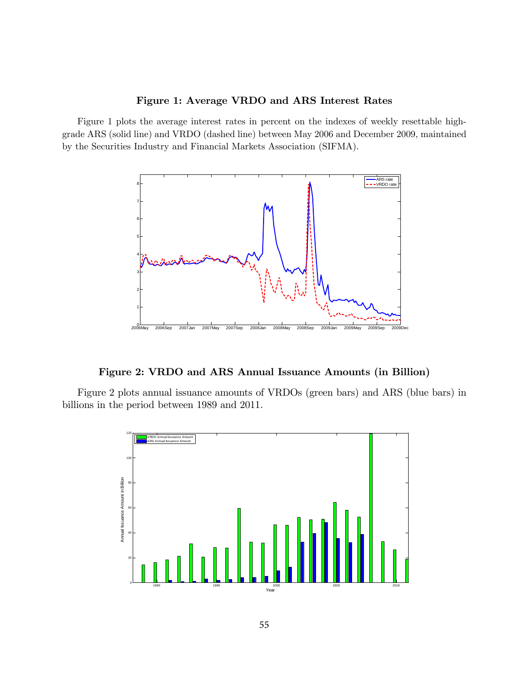#### Figure 1: Average VRDO and ARS Interest Rates

Figure 1 plots the average interest rates in percent on the indexes of weekly resettable highgrade ARS (solid line) and VRDO (dashed line) between May 2006 and December 2009, maintained by the Securities Industry and Financial Markets Association (SIFMA).



Figure 2: VRDO and ARS Annual Issuance Amounts (in Billion)

Figure 2 plots annual issuance amounts of VRDOs (green bars) and ARS (blue bars) in billions in the period between 1989 and 2011.

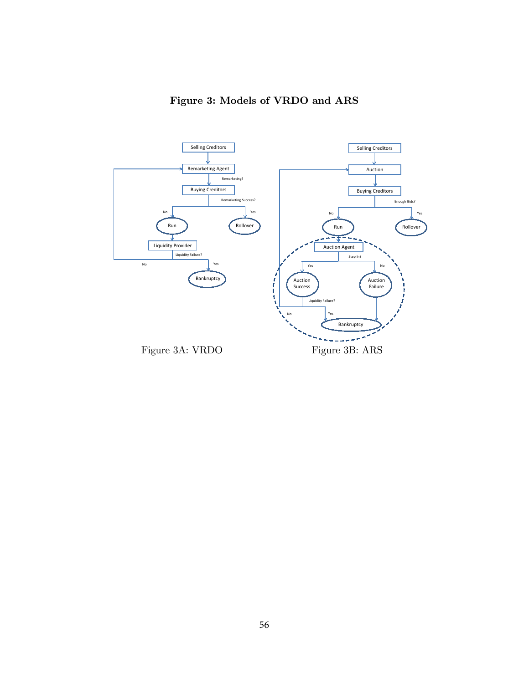

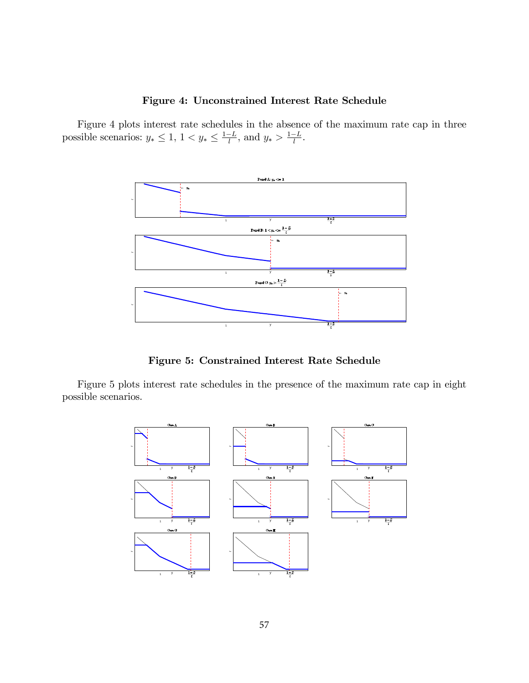#### Figure 4: Unconstrained Interest Rate Schedule

Figure 4 plots interest rate schedules in the absence of the maximum rate cap in three possible scenarios:  $y_* \leq 1$ ,  $1 < y_* \leq \frac{1-L}{l}$ , and  $y_* > \frac{1-L}{l}$ .



Figure 5: Constrained Interest Rate Schedule

Figure 5 plots interest rate schedules in the presence of the maximum rate cap in eight possible scenarios.

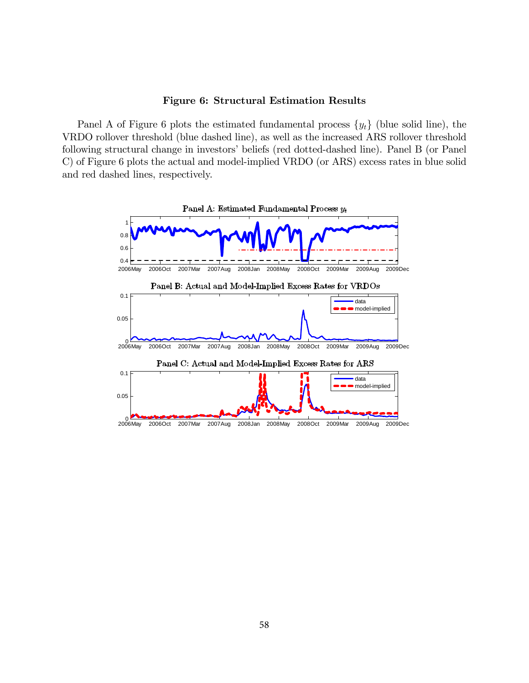#### Figure 6: Structural Estimation Results

Panel A of Figure 6 plots the estimated fundamental process  $\{y_t\}$  (blue solid line), the VRDO rollover threshold (blue dashed line), as well as the increased ARS rollover threshold following structural change in investors' beliefs (red dotted-dashed line). Panel B (or Panel C) of Figure 6 plots the actual and model-implied VRDO (or ARS) excess rates in blue solid and red dashed lines, respectively.